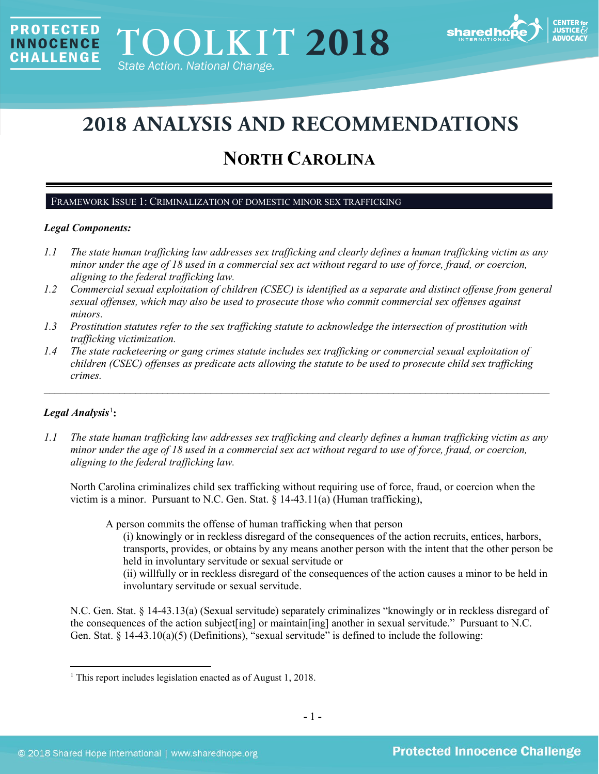

# **2018 ANALYSIS AND RECOMMENDATIONS**

## **NORTH CAROLINA**

## FRAMEWORK ISSUE 1: CRIMINALIZATION OF DOMESTIC MINOR SEX TRAFFICKING

## *Legal Components:*

**PROTECTED** 

**INNOCENCE CHALLENGE** 

- *1.1 The state human trafficking law addresses sex trafficking and clearly defines a human trafficking victim as any minor under the age of 18 used in a commercial sex act without regard to use of force, fraud, or coercion, aligning to the federal trafficking law.*
- *1.2 Commercial sexual exploitation of children (CSEC) is identified as a separate and distinct offense from general sexual offenses, which may also be used to prosecute those who commit commercial sex offenses against minors.*
- *1.3 Prostitution statutes refer to the sex trafficking statute to acknowledge the intersection of prostitution with trafficking victimization.*
- *1.4 The state racketeering or gang crimes statute includes sex trafficking or commercial sexual exploitation of children (CSEC) offenses as predicate acts allowing the statute to be used to prosecute child sex trafficking crimes.*

\_\_\_\_\_\_\_\_\_\_\_\_\_\_\_\_\_\_\_\_\_\_\_\_\_\_\_\_\_\_\_\_\_\_\_\_\_\_\_\_\_\_\_\_\_\_\_\_\_\_\_\_\_\_\_\_\_\_\_\_\_\_\_\_\_\_\_\_\_\_\_\_\_\_\_\_\_\_\_\_\_\_\_\_\_\_\_\_\_\_\_\_\_\_

## $Legal$  *Analysis*<sup>[1](#page-0-0)</sup>:

l

*1.1 The state human trafficking law addresses sex trafficking and clearly defines a human trafficking victim as any minor under the age of 18 used in a commercial sex act without regard to use of force, fraud, or coercion, aligning to the federal trafficking law.*

North Carolina criminalizes child sex trafficking without requiring use of force, fraud, or coercion when the victim is a minor. Pursuant to N.C. Gen. Stat. § 14-43.11(a) (Human trafficking),

A person commits the offense of human trafficking when that person

(i) knowingly or in reckless disregard of the consequences of the action recruits, entices, harbors, transports, provides, or obtains by any means another person with the intent that the other person be held in involuntary servitude or sexual servitude or

(ii) willfully or in reckless disregard of the consequences of the action causes a minor to be held in involuntary servitude or sexual servitude.

N.C. Gen. Stat. § 14-43.13(a) (Sexual servitude) separately criminalizes "knowingly or in reckless disregard of the consequences of the action subject[ing] or maintain[ing] another in sexual servitude." Pursuant to N.C. Gen. Stat. § 14-43.10(a)(5) (Definitions), "sexual servitude" is defined to include the following:

<span id="page-0-0"></span><sup>&</sup>lt;sup>1</sup> This report includes legislation enacted as of August 1, 2018.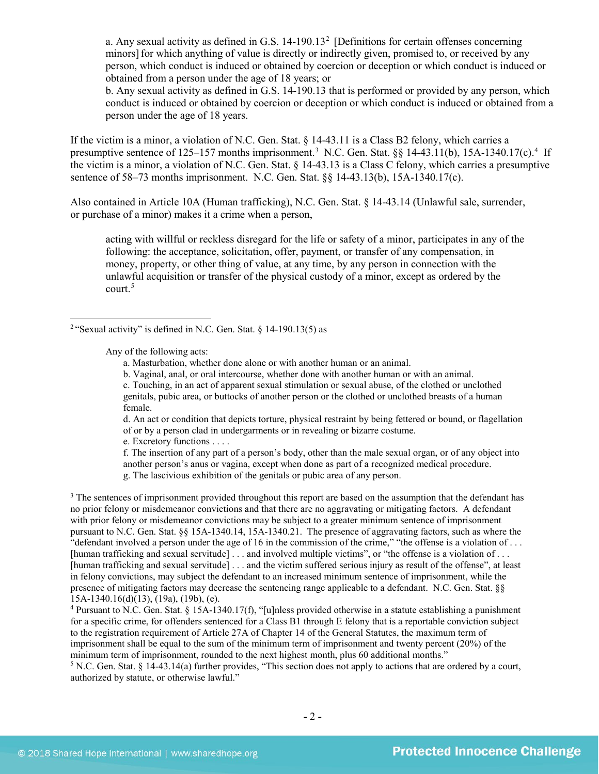<span id="page-1-4"></span>a. Any sexual activity as defined in G.S.  $14-190.13<sup>2</sup>$  $14-190.13<sup>2</sup>$  $14-190.13<sup>2</sup>$  [Definitions for certain offenses concerning minors] for which anything of value is directly or indirectly given, promised to, or received by any person, which conduct is induced or obtained by coercion or deception or which conduct is induced or obtained from a person under the age of 18 years; or

b. Any sexual activity as defined in G.S. 14-190.13 that is performed or provided by any person, which conduct is induced or obtained by coercion or deception or which conduct is induced or obtained from a person under the age of 18 years.

If the victim is a minor, a violation of N.C. Gen. Stat. § 14-43.11 is a Class B2 felony, which carries a presumptive sentence of 125–157 months imprisonment.<sup>[3](#page-1-1)</sup> N.C. Gen. Stat. §§ 1[4](#page-1-2)-43.11(b), 15A-1340.17(c).<sup>4</sup> If the victim is a minor, a violation of N.C. Gen. Stat. § 14-43.13 is a Class C felony, which carries a presumptive sentence of 58–73 months imprisonment. N.C. Gen. Stat. §§ 14-43.13(b), 15A-1340.17(c).

Also contained in Article 10A (Human trafficking), N.C. Gen. Stat. § 14-43.14 (Unlawful sale, surrender, or purchase of a minor) makes it a crime when a person,

acting with willful or reckless disregard for the life or safety of a minor, participates in any of the following: the acceptance, solicitation, offer, payment, or transfer of any compensation, in money, property, or other thing of value, at any time, by any person in connection with the unlawful acquisition or transfer of the physical custody of a minor, except as ordered by the court.[5](#page-1-3)

<span id="page-1-0"></span><sup>2</sup> "Sexual activity" is defined in N.C. Gen. Stat.  $\frac{14-190.13(5)}{19}$  as

Any of the following acts:

 $\overline{\phantom{a}}$ 

- a. Masturbation, whether done alone or with another human or an animal.
- b. Vaginal, anal, or oral intercourse, whether done with another human or with an animal.

c. Touching, in an act of apparent sexual stimulation or sexual abuse, of the clothed or unclothed genitals, pubic area, or buttocks of another person or the clothed or unclothed breasts of a human female.

d. An act or condition that depicts torture, physical restraint by being fettered or bound, or flagellation of or by a person clad in undergarments or in revealing or bizarre costume.

e. Excretory functions . . . .

f. The insertion of any part of a person's body, other than the male sexual organ, or of any object into another person's anus or vagina, except when done as part of a recognized medical procedure. g. The lascivious exhibition of the genitals or pubic area of any person.

<span id="page-1-1"></span><sup>3</sup> The sentences of imprisonment provided throughout this report are based on the assumption that the defendant has no prior felony or misdemeanor convictions and that there are no aggravating or mitigating factors. A defendant with prior felony or misdemeanor convictions may be subject to a greater minimum sentence of imprisonment pursuant to N.C. Gen. Stat. §§ 15A-1340.14, 15A-1340.21. The presence of aggravating factors, such as where the "defendant involved a person under the age of 16 in the commission of the crime," "the offense is a violation of . . . [human trafficking and sexual servitude] . . . and involved multiple victims", or "the offense is a violation of . . . [human trafficking and sexual servitude] . . . and the victim suffered serious injury as result of the offense", at least in felony convictions, may subject the defendant to an increased minimum sentence of imprisonment, while the presence of mitigating factors may decrease the sentencing range applicable to a defendant. N.C. Gen. Stat. §§ 15A-1340.16(d)(13), (19a), (19b), (e).

<span id="page-1-2"></span><sup>4</sup> Pursuant to N.C. Gen. Stat. § 15A-1340.17(f), "[u]nless provided otherwise in a statute establishing a punishment for a specific crime, for offenders sentenced for a Class B1 through E felony that is a reportable conviction subject to the registration requirement of Article 27A of Chapter 14 of the General Statutes, the maximum term of imprisonment shall be equal to the sum of the minimum term of imprisonment and twenty percent (20%) of the minimum term of imprisonment, rounded to the next highest month, plus 60 additional months."

<span id="page-1-3"></span><sup>5</sup> N.C. Gen. Stat. § 14-43.14(a) further provides, "This section does not apply to actions that are ordered by a court, authorized by statute, or otherwise lawful."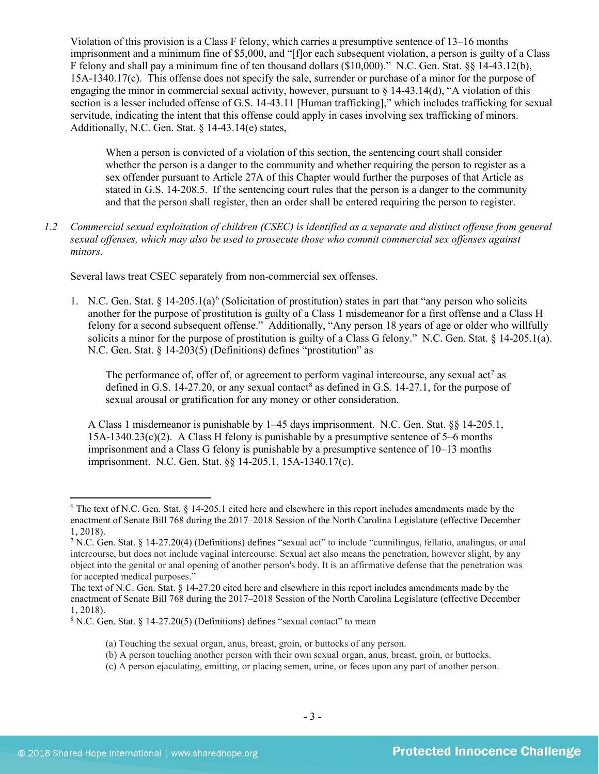Violation of this provision is a Class F felony, which carries a presumptive sentence of 13–16 months imprisonment and a minimum fine of \$5,000, and "[f]or each subsequent violation, a person is guilty of a Class F felony and shall pay a minimum fine of ten thousand dollars (\$10,000)." N.C. Gen. Stat. §§ 14-43.12(b), 15A-1340.17(c). This offense does not specify the sale, surrender or purchase of a minor for the purpose of engaging the minor in commercial sexual activity, however, pursuant to  $\S$  14-43.14(d), "A violation of this section is a lesser included offense of G.S. 14-43.11 [Human trafficking]," which includes trafficking for sexual servitude, indicating the intent that this offense could apply in cases involving sex trafficking of minors. Additionally, N.C. Gen. Stat. § 14-43.14(e) states,

When a person is convicted of a violation of this section, the sentencing court shall consider whether the person is a danger to the community and whether requiring the person to register as a sex offender pursuant to Article 27A of this Chapter would further the purposes of that Article as stated in G.S. 14-208.5. If the sentencing court rules that the person is a danger to the community and that the person shall register, then an order shall be entered requiring the person to register.

*1.2 Commercial sexual exploitation of children (CSEC) is identified as a separate and distinct offense from general sexual offenses, which may also be used to prosecute those who commit commercial sex offenses against minors.*

Several laws treat CSEC separately from non-commercial sex offenses.

1. N.C. Gen. Stat. § 14-205.1(a)<sup>[6](#page-2-0)</sup> (Solicitation of prostitution) states in part that "any person who solicits another for the purpose of prostitution is guilty of a Class 1 misdemeanor for a first offense and a Class H felony for a second subsequent offense." Additionally, "Any person 18 years of age or older who willfully solicits a minor for the purpose of prostitution is guilty of a Class G felony." N.C. Gen. Stat. § 14-205.1(a). N.C. Gen. Stat. § 14-203(5) (Definitions) defines "prostitution" as

<span id="page-2-5"></span><span id="page-2-4"></span><span id="page-2-3"></span>The performance of, offer of, or agreement to perform vaginal intercourse, any sexual  $\arctan^7$  $\arctan^7$  as defined in G.S. 14-27.20, or any sexual contact<sup>[8](#page-2-2)</sup> as defined in G.S. 14-27.1, for the purpose of sexual arousal or gratification for any money or other consideration.

A Class 1 misdemeanor is punishable by 1–45 days imprisonment. N.C. Gen. Stat. §§ 14-205.1, 15A-1340.23(c)(2). A Class H felony is punishable by a presumptive sentence of 5–6 months imprisonment and a Class G felony is punishable by a presumptive sentence of 10–13 months imprisonment. N.C. Gen. Stat. §§ 14-205.1, 15A-1340.17(c).

<span id="page-2-0"></span><sup>6</sup> The text of N.C. Gen. Stat. § 14-205.1 cited here and elsewhere in this report includes amendments made by the enactment of Senate Bill 768 during the 2017–2018 Session of the North Carolina Legislature (effective December 1, 2018).

<span id="page-2-1"></span><sup>7</sup> N.C. Gen. Stat. § 14-27.20(4) (Definitions) defines "sexual act" to include "cunnilingus, fellatio, analingus, or anal intercourse, but does not include vaginal intercourse. Sexual act also means the penetration, however slight, by any object into the genital or anal opening of another person's body. It is an affirmative defense that the penetration was for accepted medical purposes."

The text of N.C. Gen. Stat. § 14-27.20 cited here and elsewhere in this report includes amendments made by the enactment of Senate Bill 768 during the 2017–2018 Session of the North Carolina Legislature (effective December 1, 2018).

<span id="page-2-2"></span><sup>8</sup> N.C. Gen. Stat. § 14-27.20(5) (Definitions) defines "sexual contact" to mean

<sup>(</sup>a) Touching the sexual organ, anus, breast, groin, or buttocks of any person.

<sup>(</sup>b) A person touching another person with their own sexual organ, anus, breast, groin, or buttocks.

<sup>(</sup>c) A person ejaculating, emitting, or placing semen, urine, or feces upon any part of another person.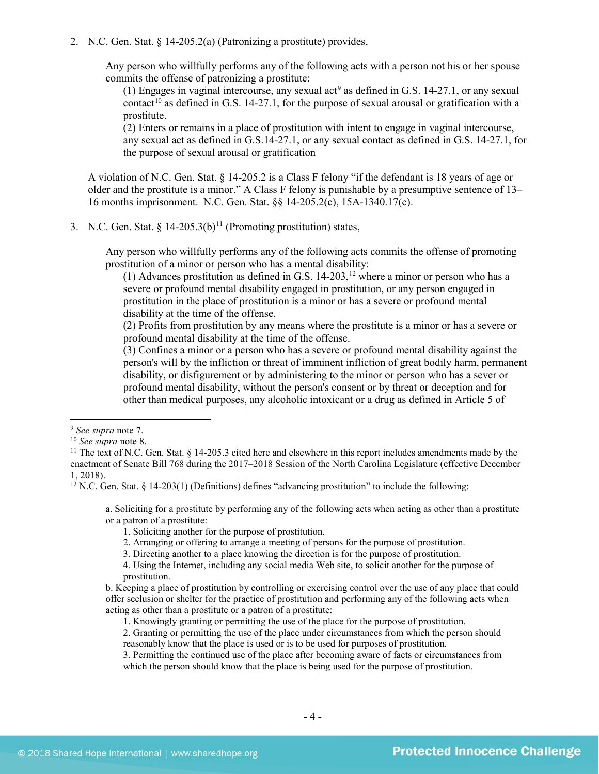2. N.C. Gen. Stat. § 14-205.2(a) (Patronizing a prostitute) provides,

Any person who willfully performs any of the following acts with a person not his or her spouse commits the offense of patronizing a prostitute:

(1) Engages in vaginal intercourse, any sexual  $act<sup>9</sup>$  $act<sup>9</sup>$  $act<sup>9</sup>$  as defined in G.S. 14-27.1, or any sexual contact<sup>[10](#page-3-1)</sup> as defined in G.S. 14-27.1, for the purpose of sexual arousal or gratification with a prostitute.

(2) Enters or remains in a place of prostitution with intent to engage in vaginal intercourse, any sexual act as defined in G.S.14-27.1, or any sexual contact as defined in G.S. 14-27.1, for the purpose of sexual arousal or gratification

A violation of N.C. Gen. Stat. § 14-205.2 is a Class F felony "if the defendant is 18 years of age or older and the prostitute is a minor." A Class F felony is punishable by a presumptive sentence of 13– 16 months imprisonment. N.C. Gen. Stat. §§ 14-205.2(c), 15A-1340.17(c).

3. N.C. Gen. Stat. §  $14-205.3(b)^{11}$  $14-205.3(b)^{11}$  $14-205.3(b)^{11}$  (Promoting prostitution) states,

Any person who willfully performs any of the following acts commits the offense of promoting prostitution of a minor or person who has a mental disability:

<span id="page-3-5"></span><span id="page-3-4"></span>(1) Advances prostitution as defined in G.S.  $14-203$ ,  $12$  where a minor or person who has a severe or profound mental disability engaged in prostitution, or any person engaged in prostitution in the place of prostitution is a minor or has a severe or profound mental disability at the time of the offense.

(2) Profits from prostitution by any means where the prostitute is a minor or has a severe or profound mental disability at the time of the offense.

(3) Confines a minor or a person who has a severe or profound mental disability against the person's will by the infliction or threat of imminent infliction of great bodily harm, permanent disability, or disfigurement or by administering to the minor or person who has a sever or profound mental disability, without the person's consent or by threat or deception and for other than medical purposes, any alcoholic intoxicant or a drug as defined in Article 5 of

 $\overline{\phantom{a}}$ 

<span id="page-3-3"></span> $12$  N.C. Gen. Stat. § 14-203(1) (Definitions) defines "advancing prostitution" to include the following:

a. Soliciting for a prostitute by performing any of the following acts when acting as other than a prostitute or a patron of a prostitute:

1. Soliciting another for the purpose of prostitution.

- 2. Arranging or offering to arrange a meeting of persons for the purpose of prostitution.
- 3. Directing another to a place knowing the direction is for the purpose of prostitution.

4. Using the Internet, including any social media Web site, to solicit another for the purpose of prostitution.

b. Keeping a place of prostitution by controlling or exercising control over the use of any place that could offer seclusion or shelter for the practice of prostitution and performing any of the following acts when acting as other than a prostitute or a patron of a prostitute:

1. Knowingly granting or permitting the use of the place for the purpose of prostitution.

2. Granting or permitting the use of the place under circumstances from which the person should reasonably know that the place is used or is to be used for purposes of prostitution.

3. Permitting the continued use of the place after becoming aware of facts or circumstances from which the person should know that the place is being used for the purpose of prostitution.

<span id="page-3-0"></span><sup>9</sup> *See supra* note [7.](#page-2-3)

<span id="page-3-1"></span><sup>10</sup> *See supra* note [8.](#page-2-4)

<span id="page-3-2"></span> $11$  The text of N.C. Gen. Stat. § 14-205.3 cited here and elsewhere in this report includes amendments made by the enactment of Senate Bill 768 during the 2017–2018 Session of the North Carolina Legislature (effective December 1, 2018).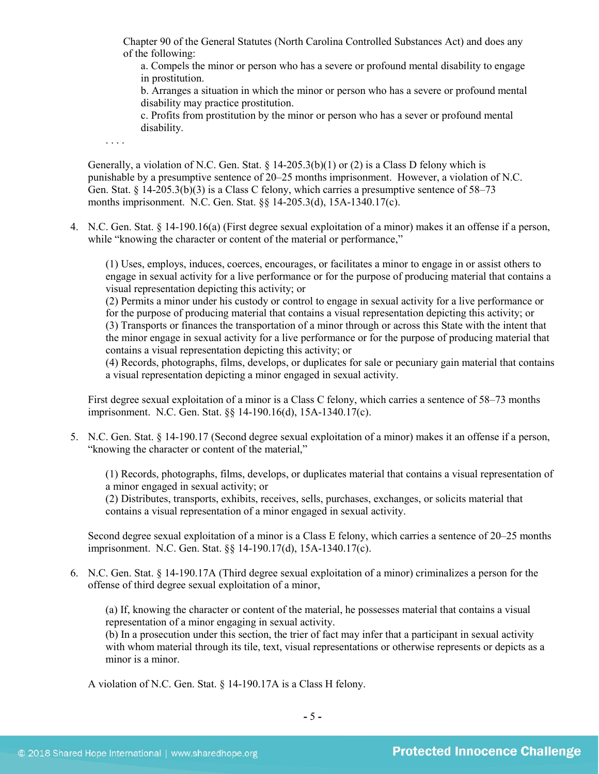Chapter 90 of the General Statutes (North Carolina Controlled Substances Act) and does any of the following:

a. Compels the minor or person who has a severe or profound mental disability to engage in prostitution.

b. Arranges a situation in which the minor or person who has a severe or profound mental disability may practice prostitution.

c. Profits from prostitution by the minor or person who has a sever or profound mental disability.

. . . .

Generally, a violation of N.C. Gen. Stat.  $\S$  14-205.3(b)(1) or (2) is a Class D felony which is punishable by a presumptive sentence of 20–25 months imprisonment. However, a violation of N.C. Gen. Stat. § 14-205.3(b)(3) is a Class C felony, which carries a presumptive sentence of 58–73 months imprisonment. N.C. Gen. Stat. §§ 14-205.3(d), 15A-1340.17(c).

4. N.C. Gen. Stat. § 14-190.16(a) (First degree sexual exploitation of a minor) makes it an offense if a person, while "knowing the character or content of the material or performance,"

(1) Uses, employs, induces, coerces, encourages, or facilitates a minor to engage in or assist others to engage in sexual activity for a live performance or for the purpose of producing material that contains a visual representation depicting this activity; or

(2) Permits a minor under his custody or control to engage in sexual activity for a live performance or for the purpose of producing material that contains a visual representation depicting this activity; or (3) Transports or finances the transportation of a minor through or across this State with the intent that the minor engage in sexual activity for a live performance or for the purpose of producing material that contains a visual representation depicting this activity; or

(4) Records, photographs, films, develops, or duplicates for sale or pecuniary gain material that contains a visual representation depicting a minor engaged in sexual activity.

First degree sexual exploitation of a minor is a Class C felony, which carries a sentence of 58–73 months imprisonment. N.C. Gen. Stat. §§ 14-190.16(d), 15A-1340.17(c).

5. N.C. Gen. Stat. § 14-190.17 (Second degree sexual exploitation of a minor) makes it an offense if a person, "knowing the character or content of the material,"

(1) Records, photographs, films, develops, or duplicates material that contains a visual representation of a minor engaged in sexual activity; or

(2) Distributes, transports, exhibits, receives, sells, purchases, exchanges, or solicits material that contains a visual representation of a minor engaged in sexual activity.

Second degree sexual exploitation of a minor is a Class E felony, which carries a sentence of 20–25 months imprisonment. N.C. Gen. Stat. §§ 14-190.17(d), 15A-1340.17(c).

6. N.C. Gen. Stat. § 14-190.17A (Third degree sexual exploitation of a minor) criminalizes a person for the offense of third degree sexual exploitation of a minor,

(a) If, knowing the character or content of the material, he possesses material that contains a visual representation of a minor engaging in sexual activity.

(b) In a prosecution under this section, the trier of fact may infer that a participant in sexual activity with whom material through its tile, text, visual representations or otherwise represents or depicts as a minor is a minor.

A violation of N.C. Gen. Stat. § 14-190.17A is a Class H felony.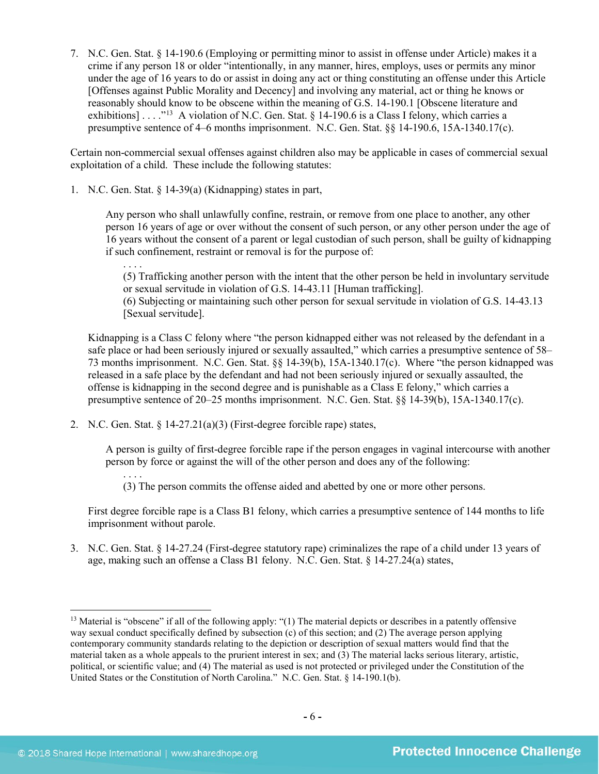7. N.C. Gen. Stat. § 14-190.6 (Employing or permitting minor to assist in offense under Article) makes it a crime if any person 18 or older "intentionally, in any manner, hires, employs, uses or permits any minor under the age of 16 years to do or assist in doing any act or thing constituting an offense under this Article [Offenses against Public Morality and Decency] and involving any material, act or thing he knows or reasonably should know to be obscene within the meaning of G.S. 14-190.1 [Obscene literature and exhibitions] . . . .<sup>"13</sup> A violation of N.C. Gen. Stat. § 14-190.6 is a Class I felony, which carries a presumptive sentence of 4–6 months imprisonment. N.C. Gen. Stat.  $\&$  14-190.6, 15A-1340.17(c).

Certain non-commercial sexual offenses against children also may be applicable in cases of commercial sexual exploitation of a child. These include the following statutes:

1. N.C. Gen. Stat. § 14-39(a) (Kidnapping) states in part,

Any person who shall unlawfully confine, restrain, or remove from one place to another, any other person 16 years of age or over without the consent of such person, or any other person under the age of 16 years without the consent of a parent or legal custodian of such person, shall be guilty of kidnapping if such confinement, restraint or removal is for the purpose of:

. . . . (5) Trafficking another person with the intent that the other person be held in involuntary servitude or sexual servitude in violation of G.S. 14-43.11 [Human trafficking].

(6) Subjecting or maintaining such other person for sexual servitude in violation of G.S. 14-43.13 [Sexual servitude].

Kidnapping is a Class C felony where "the person kidnapped either was not released by the defendant in a safe place or had been seriously injured or sexually assaulted," which carries a presumptive sentence of 58– 73 months imprisonment. N.C. Gen. Stat. §§ 14-39(b), 15A-1340.17(c). Where "the person kidnapped was released in a safe place by the defendant and had not been seriously injured or sexually assaulted, the offense is kidnapping in the second degree and is punishable as a Class E felony," which carries a presumptive sentence of 20–25 months imprisonment. N.C. Gen. Stat. §§ 14-39(b), 15A-1340.17(c).

2. N.C. Gen. Stat. § 14-27.21(a)(3) (First-degree forcible rape) states,

A person is guilty of first-degree forcible rape if the person engages in vaginal intercourse with another person by force or against the will of the other person and does any of the following:

. . . . (3) The person commits the offense aided and abetted by one or more other persons.

First degree forcible rape is a Class B1 felony, which carries a presumptive sentence of 144 months to life imprisonment without parole.

3. N.C. Gen. Stat. § 14-27.24 (First-degree statutory rape) criminalizes the rape of a child under 13 years of age, making such an offense a Class B1 felony. N.C. Gen. Stat. § 14-27.24(a) states,

<span id="page-5-0"></span> $13$  Material is "obscene" if all of the following apply: "(1) The material depicts or describes in a patently offensive way sexual conduct specifically defined by subsection (c) of this section; and (2) The average person applying contemporary community standards relating to the depiction or description of sexual matters would find that the material taken as a whole appeals to the prurient interest in sex; and (3) The material lacks serious literary, artistic, political, or scientific value; and (4) The material as used is not protected or privileged under the Constitution of the United States or the Constitution of North Carolina." N.C. Gen. Stat. § 14-190.1(b).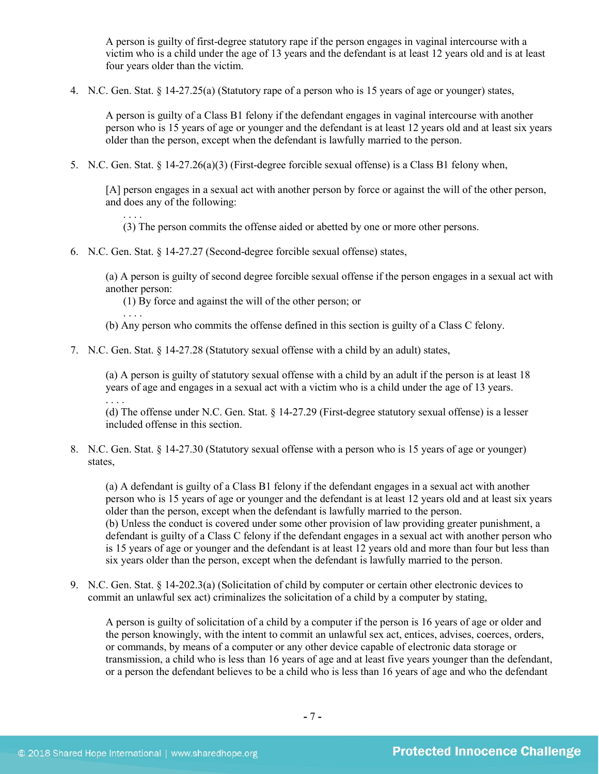A person is guilty of first-degree statutory rape if the person engages in vaginal intercourse with a victim who is a child under the age of 13 years and the defendant is at least 12 years old and is at least four years older than the victim.

4. N.C. Gen. Stat. § 14-27.25(a) (Statutory rape of a person who is 15 years of age or younger) states,

A person is guilty of a Class B1 felony if the defendant engages in vaginal intercourse with another person who is 15 years of age or younger and the defendant is at least 12 years old and at least six years older than the person, except when the defendant is lawfully married to the person.

5. N.C. Gen. Stat. § 14-27.26(a)(3) (First-degree forcible sexual offense) is a Class B1 felony when,

[A] person engages in a sexual act with another person by force or against the will of the other person, and does any of the following:

(3) The person commits the offense aided or abetted by one or more other persons.

6. N.C. Gen. Stat. § 14-27.27 (Second-degree forcible sexual offense) states,

(a) A person is guilty of second degree forcible sexual offense if the person engages in a sexual act with another person:

(1) By force and against the will of the other person; or

. . . . (b) Any person who commits the offense defined in this section is guilty of a Class C felony.

7. N.C. Gen. Stat. § 14-27.28 (Statutory sexual offense with a child by an adult) states,

(a) A person is guilty of statutory sexual offense with a child by an adult if the person is at least 18 years of age and engages in a sexual act with a victim who is a child under the age of 13 years.

(d) The offense under N.C. Gen. Stat. § 14-27.29 (First-degree statutory sexual offense) is a lesser included offense in this section.

8. N.C. Gen. Stat. § 14-27.30 (Statutory sexual offense with a person who is 15 years of age or younger) states,

(a) A defendant is guilty of a Class B1 felony if the defendant engages in a sexual act with another person who is 15 years of age or younger and the defendant is at least 12 years old and at least six years older than the person, except when the defendant is lawfully married to the person. (b) Unless the conduct is covered under some other provision of law providing greater punishment, a defendant is guilty of a Class C felony if the defendant engages in a sexual act with another person who is 15 years of age or younger and the defendant is at least 12 years old and more than four but less than six years older than the person, except when the defendant is lawfully married to the person.

9. N.C. Gen. Stat. § 14-202.3(a) (Solicitation of child by computer or certain other electronic devices to commit an unlawful sex act) criminalizes the solicitation of a child by a computer by stating,

A person is guilty of solicitation of a child by a computer if the person is 16 years of age or older and the person knowingly, with the intent to commit an unlawful sex act, entices, advises, coerces, orders, or commands, by means of a computer or any other device capable of electronic data storage or transmission, a child who is less than 16 years of age and at least five years younger than the defendant, or a person the defendant believes to be a child who is less than 16 years of age and who the defendant

. . . .

. . . .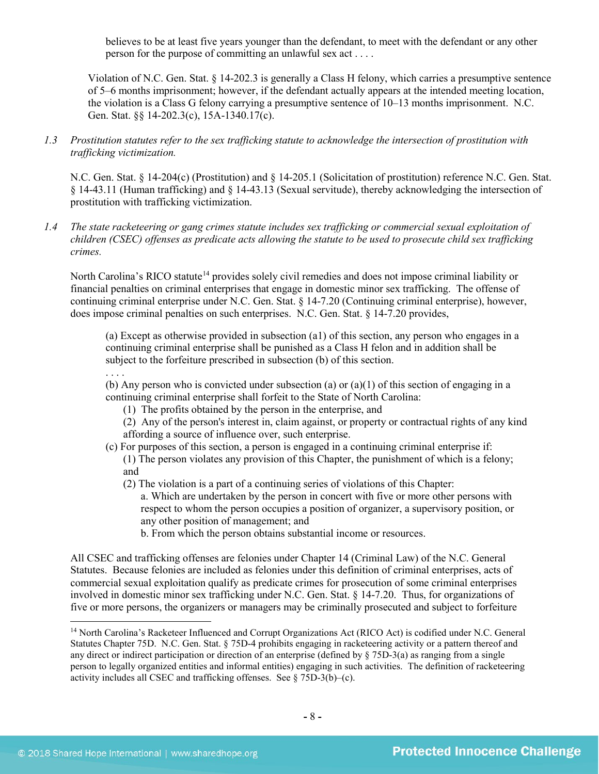believes to be at least five years younger than the defendant, to meet with the defendant or any other person for the purpose of committing an unlawful sex act . . . .

Violation of N.C. Gen. Stat. § 14-202.3 is generally a Class H felony, which carries a presumptive sentence of 5–6 months imprisonment; however, if the defendant actually appears at the intended meeting location, the violation is a Class G felony carrying a presumptive sentence of 10–13 months imprisonment. N.C. Gen. Stat. §§ 14-202.3(c), 15A-1340.17(c).

*1.3 Prostitution statutes refer to the sex trafficking statute to acknowledge the intersection of prostitution with trafficking victimization.* 

N.C. Gen. Stat. § 14-204(c) (Prostitution) and § 14-205.1 (Solicitation of prostitution) reference N.C. Gen. Stat. § 14-43.11 (Human trafficking) and § 14-43.13 (Sexual servitude), thereby acknowledging the intersection of prostitution with trafficking victimization.

*1.4 The state racketeering or gang crimes statute includes sex trafficking or commercial sexual exploitation of children (CSEC) offenses as predicate acts allowing the statute to be used to prosecute child sex trafficking crimes.* 

North Carolina's RICO statute<sup>[14](#page-7-0)</sup> provides solely civil remedies and does not impose criminal liability or financial penalties on criminal enterprises that engage in domestic minor sex trafficking. The offense of continuing criminal enterprise under N.C. Gen. Stat. § 14-7.20 (Continuing criminal enterprise), however, does impose criminal penalties on such enterprises. N.C. Gen. Stat. § 14-7.20 provides,

(a) Except as otherwise provided in subsection (a1) of this section, any person who engages in a continuing criminal enterprise shall be punished as a Class H felon and in addition shall be subject to the forfeiture prescribed in subsection (b) of this section.

. . . .

 $\overline{\phantom{a}}$ 

(b) Any person who is convicted under subsection (a) or (a)(1) of this section of engaging in a continuing criminal enterprise shall forfeit to the State of North Carolina:

- (1) The profits obtained by the person in the enterprise, and
- (2) Any of the person's interest in, claim against, or property or contractual rights of any kind affording a source of influence over, such enterprise.
- (c) For purposes of this section, a person is engaged in a continuing criminal enterprise if: (1) The person violates any provision of this Chapter, the punishment of which is a felony; and
	- (2) The violation is a part of a continuing series of violations of this Chapter:
		- a. Which are undertaken by the person in concert with five or more other persons with respect to whom the person occupies a position of organizer, a supervisory position, or any other position of management; and
		- b. From which the person obtains substantial income or resources.

All CSEC and trafficking offenses are felonies under Chapter 14 (Criminal Law) of the N.C. General Statutes. Because felonies are included as felonies under this definition of criminal enterprises, acts of commercial sexual exploitation qualify as predicate crimes for prosecution of some criminal enterprises involved in domestic minor sex trafficking under N.C. Gen. Stat. § 14-7.20. Thus, for organizations of five or more persons, the organizers or managers may be criminally prosecuted and subject to forfeiture

<span id="page-7-0"></span><sup>&</sup>lt;sup>14</sup> North Carolina's Racketeer Influenced and Corrupt Organizations Act (RICO Act) is codified under N.C. General Statutes Chapter 75D. N.C. Gen. Stat. § 75D-4 prohibits engaging in racketeering activity or a pattern thereof and any direct or indirect participation or direction of an enterprise (defined by § 75D-3(a) as ranging from a single person to legally organized entities and informal entities) engaging in such activities. The definition of racketeering activity includes all CSEC and trafficking offenses. See § 75D-3(b)–(c).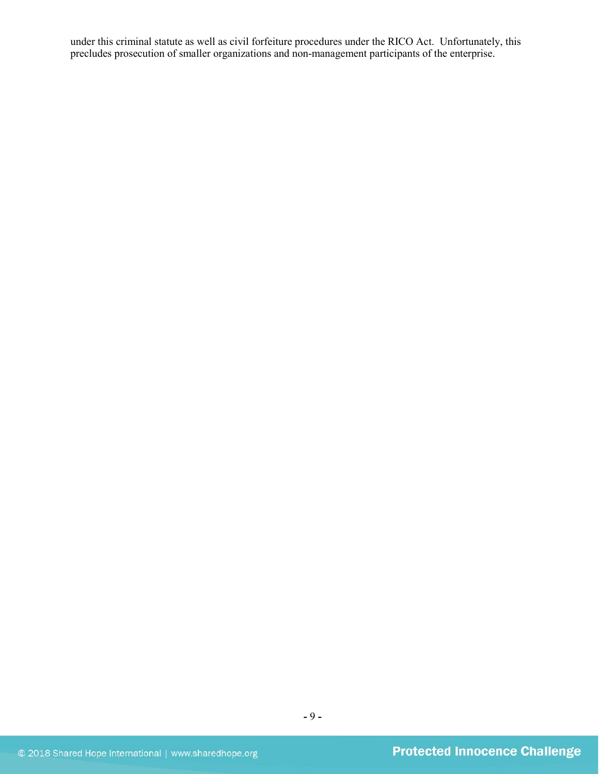under this criminal statute as well as civil forfeiture procedures under the RICO Act. Unfortunately, this precludes prosecution of smaller organizations and non-management participants of the enterprise.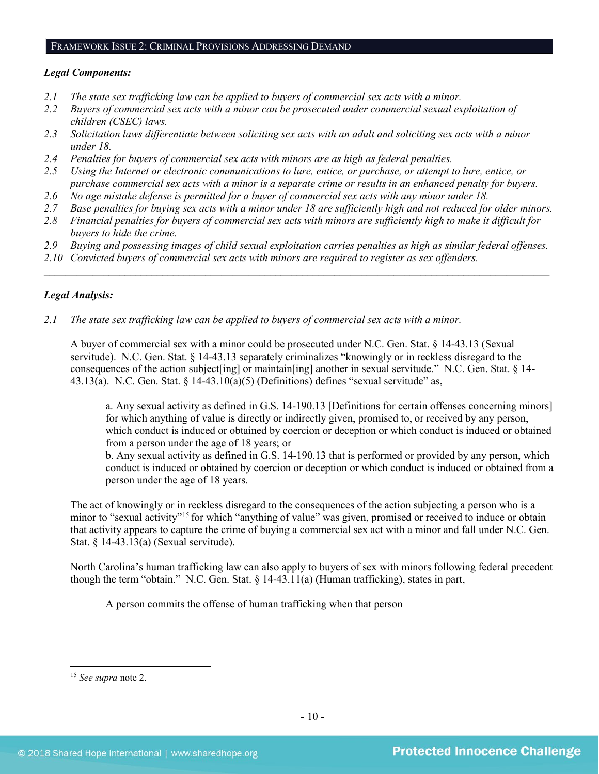#### FRAMEWORK ISSUE 2: CRIMINAL PROVISIONS ADDRESSING DEMAND

## *Legal Components:*

- *2.1 The state sex trafficking law can be applied to buyers of commercial sex acts with a minor.*
- *2.2 Buyers of commercial sex acts with a minor can be prosecuted under commercial sexual exploitation of children (CSEC) laws.*
- *2.3 Solicitation laws differentiate between soliciting sex acts with an adult and soliciting sex acts with a minor under 18.*
- *2.4 Penalties for buyers of commercial sex acts with minors are as high as federal penalties.*
- *2.5 Using the Internet or electronic communications to lure, entice, or purchase, or attempt to lure, entice, or purchase commercial sex acts with a minor is a separate crime or results in an enhanced penalty for buyers.*
- *2.6 No age mistake defense is permitted for a buyer of commercial sex acts with any minor under 18.*
- *2.7 Base penalties for buying sex acts with a minor under 18 are sufficiently high and not reduced for older minors.*
- *2.8 Financial penalties for buyers of commercial sex acts with minors are sufficiently high to make it difficult for buyers to hide the crime.*
- *2.9 Buying and possessing images of child sexual exploitation carries penalties as high as similar federal offenses.*

 $\mathcal{L}_\mathcal{L} = \mathcal{L}_\mathcal{L} = \mathcal{L}_\mathcal{L} = \mathcal{L}_\mathcal{L} = \mathcal{L}_\mathcal{L} = \mathcal{L}_\mathcal{L} = \mathcal{L}_\mathcal{L} = \mathcal{L}_\mathcal{L} = \mathcal{L}_\mathcal{L} = \mathcal{L}_\mathcal{L} = \mathcal{L}_\mathcal{L} = \mathcal{L}_\mathcal{L} = \mathcal{L}_\mathcal{L} = \mathcal{L}_\mathcal{L} = \mathcal{L}_\mathcal{L} = \mathcal{L}_\mathcal{L} = \mathcal{L}_\mathcal{L}$ 

*2.10 Convicted buyers of commercial sex acts with minors are required to register as sex offenders.*

## *Legal Analysis:*

*2.1 The state sex trafficking law can be applied to buyers of commercial sex acts with a minor.* 

A buyer of commercial sex with a minor could be prosecuted under N.C. Gen. Stat. § 14-43.13 (Sexual servitude). N.C. Gen. Stat. § 14-43.13 separately criminalizes "knowingly or in reckless disregard to the consequences of the action subject[ing] or maintain[ing] another in sexual servitude." N.C. Gen. Stat. § 14- 43.13(a). N.C. Gen. Stat. § 14-43.10(a)(5) (Definitions) defines "sexual servitude" as,

a. Any sexual activity as defined in G.S. 14-190.13 [Definitions for certain offenses concerning minors] for which anything of value is directly or indirectly given, promised to, or received by any person, which conduct is induced or obtained by coercion or deception or which conduct is induced or obtained from a person under the age of 18 years; or

b. Any sexual activity as defined in G.S. 14-190.13 that is performed or provided by any person, which conduct is induced or obtained by coercion or deception or which conduct is induced or obtained from a person under the age of 18 years.

The act of knowingly or in reckless disregard to the consequences of the action subjecting a person who is a minor to "sexual activity["15](#page-9-0) for which "anything of value" was given, promised or received to induce or obtain that activity appears to capture the crime of buying a commercial sex act with a minor and fall under N.C. Gen. Stat. § 14-43.13(a) (Sexual servitude).

North Carolina's human trafficking law can also apply to buyers of sex with minors following federal precedent though the term "obtain." N.C. Gen. Stat. § 14-43.11(a) (Human trafficking), states in part,

A person commits the offense of human trafficking when that person

<span id="page-9-0"></span><sup>15</sup> *See supra* note [2.](#page-1-4)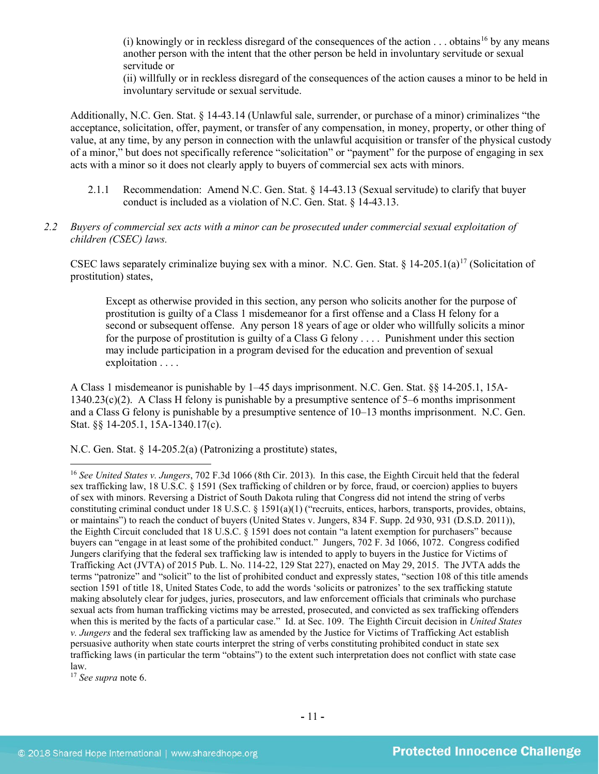(i) knowingly or in reckless disregard of the consequences of the action . . . obtains<sup>[16](#page-10-0)</sup> by any means another person with the intent that the other person be held in involuntary servitude or sexual servitude or

(ii) willfully or in reckless disregard of the consequences of the action causes a minor to be held in involuntary servitude or sexual servitude.

Additionally, N.C. Gen. Stat. § 14-43.14 (Unlawful sale, surrender, or purchase of a minor) criminalizes "the acceptance, solicitation, offer, payment, or transfer of any compensation, in money, property, or other thing of value, at any time, by any person in connection with the unlawful acquisition or transfer of the physical custody of a minor," but does not specifically reference "solicitation" or "payment" for the purpose of engaging in sex acts with a minor so it does not clearly apply to buyers of commercial sex acts with minors.

- 2.1.1 Recommendation: Amend N.C. Gen. Stat. § 14-43.13 (Sexual servitude) to clarify that buyer conduct is included as a violation of N.C. Gen. Stat. § 14-43.13.
- *2.2 Buyers of commercial sex acts with a minor can be prosecuted under commercial sexual exploitation of children (CSEC) laws.*

CSEC laws separately criminalize buying sex with a minor. N.C. Gen. Stat. § 14-205.1(a)<sup>[17](#page-10-1)</sup> (Solicitation of prostitution) states,

Except as otherwise provided in this section, any person who solicits another for the purpose of prostitution is guilty of a Class 1 misdemeanor for a first offense and a Class H felony for a second or subsequent offense. Any person 18 years of age or older who willfully solicits a minor for the purpose of prostitution is guilty of a Class G felony . . . . Punishment under this section may include participation in a program devised for the education and prevention of sexual exploitation . . . .

A Class 1 misdemeanor is punishable by 1–45 days imprisonment. N.C. Gen. Stat. §§ 14-205.1, 15A-1340.23(c)(2). A Class H felony is punishable by a presumptive sentence of 5–6 months imprisonment and a Class G felony is punishable by a presumptive sentence of 10–13 months imprisonment. N.C. Gen. Stat. §§ 14-205.1, 15A-1340.17(c).

N.C. Gen. Stat. § 14-205.2(a) (Patronizing a prostitute) states,

<span id="page-10-1"></span><sup>17</sup> *See supra* note [6.](#page-2-5)

<span id="page-10-0"></span><sup>16</sup> *See United States v. Jungers*, 702 F.3d 1066 (8th Cir. 2013). In this case, the Eighth Circuit held that the federal sex trafficking law, 18 U.S.C. § 1591 (Sex trafficking of children or by force, fraud, or coercion) applies to buyers of sex with minors. Reversing a District of South Dakota ruling that Congress did not intend the string of verbs constituting criminal conduct under 18 U.S.C. § 1591(a)(1) ("recruits, entices, harbors, transports, provides, obtains, or maintains") to reach the conduct of buyers (United States v. Jungers, 834 F. Supp. 2d 930, 931 (D.S.D. 2011)), the Eighth Circuit concluded that 18 U.S.C. § 1591 does not contain "a latent exemption for purchasers" because buyers can "engage in at least some of the prohibited conduct." Jungers, 702 F. 3d 1066, 1072. Congress codified Jungers clarifying that the federal sex trafficking law is intended to apply to buyers in the Justice for Victims of Trafficking Act (JVTA) of 2015 Pub. L. No. 114-22, 129 Stat 227), enacted on May 29, 2015. The JVTA adds the terms "patronize" and "solicit" to the list of prohibited conduct and expressly states, "section 108 of this title amends section 1591 of title 18, United States Code, to add the words 'solicits or patronizes' to the sex trafficking statute making absolutely clear for judges, juries, prosecutors, and law enforcement officials that criminals who purchase sexual acts from human trafficking victims may be arrested, prosecuted, and convicted as sex trafficking offenders when this is merited by the facts of a particular case." Id. at Sec. 109. The Eighth Circuit decision in *United States v. Jungers* and the federal sex trafficking law as amended by the Justice for Victims of Trafficking Act establish persuasive authority when state courts interpret the string of verbs constituting prohibited conduct in state sex trafficking laws (in particular the term "obtains") to the extent such interpretation does not conflict with state case law.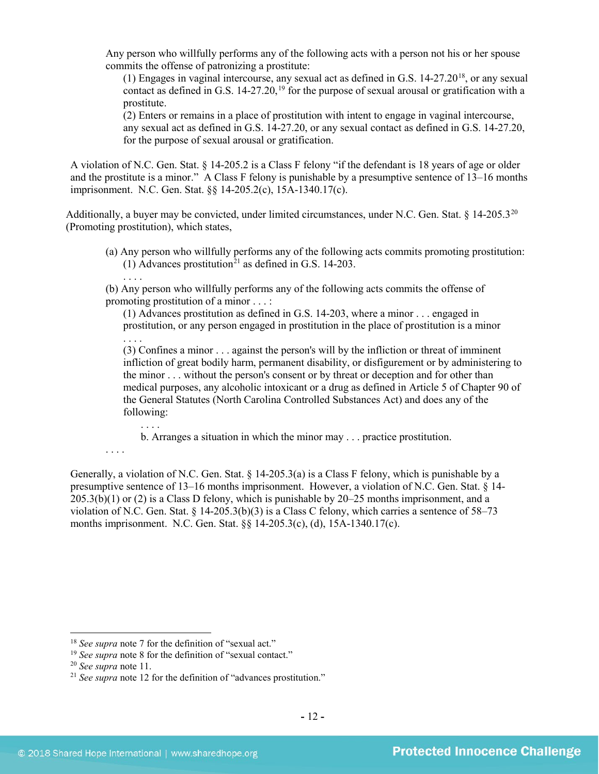Any person who willfully performs any of the following acts with a person not his or her spouse commits the offense of patronizing a prostitute:

(1) Engages in vaginal intercourse, any sexual act as defined in G.S. 14-27.20[18,](#page-11-0) or any sexual contact as defined in G.S. 14-27.20,<sup>[19](#page-11-1)</sup> for the purpose of sexual arousal or gratification with a prostitute.

(2) Enters or remains in a place of prostitution with intent to engage in vaginal intercourse, any sexual act as defined in G.S. 14-27.20, or any sexual contact as defined in G.S. 14-27.20, for the purpose of sexual arousal or gratification.

A violation of N.C. Gen. Stat. § 14-205.2 is a Class F felony "if the defendant is 18 years of age or older and the prostitute is a minor." A Class F felony is punishable by a presumptive sentence of 13–16 months imprisonment. N.C. Gen. Stat. §§ 14-205.2(c), 15A-1340.17(c).

Additionally, a buyer may be convicted, under limited circumstances, under N.C. Gen. Stat.  $§$  14-205.3<sup>20</sup> (Promoting prostitution), which states,

(a) Any person who willfully performs any of the following acts commits promoting prostitution: (1) Advances prostitution<sup>[21](#page-11-3)</sup> as defined in G.S. 14-203.

(b) Any person who willfully performs any of the following acts commits the offense of promoting prostitution of a minor . . . :

(1) Advances prostitution as defined in G.S. 14-203, where a minor . . . engaged in prostitution, or any person engaged in prostitution in the place of prostitution is a minor . . . .

(3) Confines a minor . . . against the person's will by the infliction or threat of imminent infliction of great bodily harm, permanent disability, or disfigurement or by administering to the minor . . . without the person's consent or by threat or deception and for other than medical purposes, any alcoholic intoxicant or a drug as defined in Article 5 of Chapter 90 of the General Statutes (North Carolina Controlled Substances Act) and does any of the following:

b. Arranges a situation in which the minor may . . . practice prostitution.

. . . .

. . . .

Generally, a violation of N.C. Gen. Stat. § 14-205.3(a) is a Class F felony, which is punishable by a presumptive sentence of 13–16 months imprisonment. However, a violation of N.C. Gen. Stat. § 14- 205.3(b)(1) or (2) is a Class D felony, which is punishable by 20–25 months imprisonment, and a violation of N.C. Gen. Stat. § 14-205.3(b)(3) is a Class C felony, which carries a sentence of 58–73 months imprisonment. N.C. Gen. Stat. §§ 14-205.3(c), (d), 15A-1340.17(c).

<span id="page-11-1"></span><span id="page-11-0"></span>

<sup>&</sup>lt;sup>18</sup> *See supra* note 7 for the definition of "sexual act."<br><sup>19</sup> *See supra* note 8 for the definition of "sexual contact."<br><sup>20</sup> *See supra* note [11.](#page-3-4)

<span id="page-11-2"></span>

<span id="page-11-3"></span><sup>&</sup>lt;sup>21</sup> See supra note [12](#page-3-5) for the definition of "advances prostitution."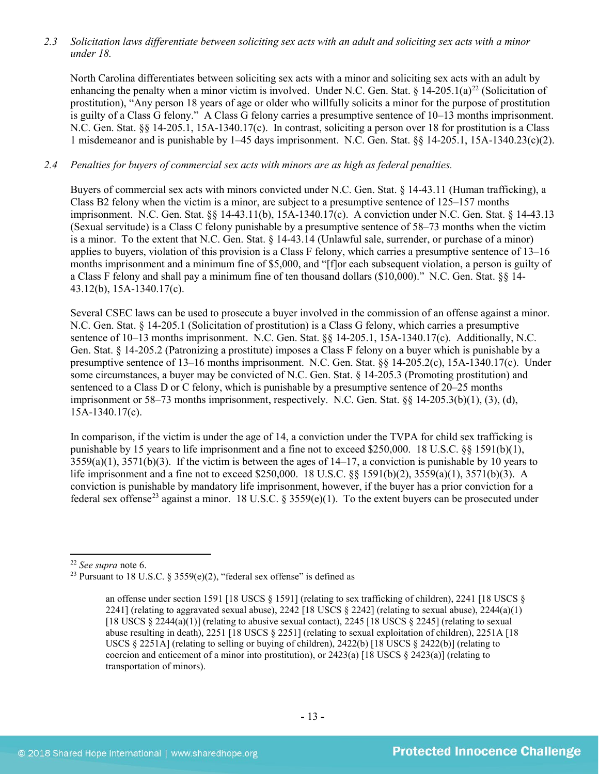*2.3 Solicitation laws differentiate between soliciting sex acts with an adult and soliciting sex acts with a minor under 18.*

North Carolina differentiates between soliciting sex acts with a minor and soliciting sex acts with an adult by enhancing the penalty when a minor victim is involved. Under N.C. Gen. Stat.  $\S 14{\text -}205.1(a)^{22}$  $\S 14{\text -}205.1(a)^{22}$  $\S 14{\text -}205.1(a)^{22}$  (Solicitation of prostitution), "Any person 18 years of age or older who willfully solicits a minor for the purpose of prostitution is guilty of a Class G felony." A Class G felony carries a presumptive sentence of 10–13 months imprisonment. N.C. Gen. Stat. §§ 14-205.1, 15A-1340.17(c). In contrast, soliciting a person over 18 for prostitution is a Class 1 misdemeanor and is punishable by 1–45 days imprisonment. N.C. Gen. Stat. §§ 14-205.1, 15A-1340.23(c)(2).

## *2.4 Penalties for buyers of commercial sex acts with minors are as high as federal penalties.*

Buyers of commercial sex acts with minors convicted under N.C. Gen. Stat. § 14-43.11 (Human trafficking), a Class B2 felony when the victim is a minor, are subject to a presumptive sentence of 125–157 months imprisonment. N.C. Gen. Stat. §§ 14-43.11(b), 15A-1340.17(c). A conviction under N.C. Gen. Stat. § 14-43.13 (Sexual servitude) is a Class C felony punishable by a presumptive sentence of 58–73 months when the victim is a minor. To the extent that N.C. Gen. Stat. § 14-43.14 (Unlawful sale, surrender, or purchase of a minor) applies to buyers, violation of this provision is a Class F felony, which carries a presumptive sentence of 13–16 months imprisonment and a minimum fine of \$5,000, and "[f]or each subsequent violation, a person is guilty of a Class F felony and shall pay a minimum fine of ten thousand dollars (\$10,000)." N.C. Gen. Stat. §§ 14- 43.12(b), 15A-1340.17(c).

Several CSEC laws can be used to prosecute a buyer involved in the commission of an offense against a minor. N.C. Gen. Stat. § 14-205.1 (Solicitation of prostitution) is a Class G felony, which carries a presumptive sentence of 10–13 months imprisonment. N.C. Gen. Stat. §§ 14-205.1, 15A-1340.17(c). Additionally, N.C. Gen. Stat. § 14-205.2 (Patronizing a prostitute) imposes a Class F felony on a buyer which is punishable by a presumptive sentence of 13–16 months imprisonment. N.C. Gen. Stat. §§ 14-205.2(c), 15A-1340.17(c). Under some circumstances, a buyer may be convicted of N.C. Gen. Stat. § 14-205.3 (Promoting prostitution) and sentenced to a Class D or C felony, which is punishable by a presumptive sentence of 20–25 months imprisonment or 58–73 months imprisonment, respectively. N.C. Gen. Stat. §§ 14-205.3(b)(1), (3), (d), 15A-1340.17(c).

<span id="page-12-2"></span>In comparison, if the victim is under the age of 14, a conviction under the TVPA for child sex trafficking is punishable by 15 years to life imprisonment and a fine not to exceed \$250,000. 18 U.S.C. §§ 1591(b)(1),  $3559(a)(1)$ ,  $3571(b)(3)$ . If the victim is between the ages of  $14-17$ , a conviction is punishable by 10 years to life imprisonment and a fine not to exceed \$250,000. 18 U.S.C. §§ 1591(b)(2), 3559(a)(1), 3571(b)(3). A conviction is punishable by mandatory life imprisonment, however, if the buyer has a prior conviction for a federal sex offense<sup>[23](#page-12-1)</sup> against a minor. 18 U.S.C. § 3559(e)(1). To the extent buyers can be prosecuted under

<span id="page-12-0"></span><sup>22</sup> *See supra* note [6.](#page-2-5)

<span id="page-12-1"></span><sup>&</sup>lt;sup>23</sup> Pursuant to 18 U.S.C. § 3559(e)(2), "federal sex offense" is defined as

an offense under section 1591 [18 USCS § 1591] (relating to sex trafficking of children), 2241 [18 USCS § 2241] (relating to aggravated sexual abuse), 2242 [18 USCS  $\S$  2242] (relating to sexual abuse), 2244(a)(1) [18 USCS  $\S 2244(a)(1)$ ] (relating to abusive sexual contact), 2245 [18 USCS  $\S 2245$ ] (relating to sexual abuse resulting in death), 2251 [18 USCS § 2251] (relating to sexual exploitation of children), 2251A [18 USCS § 2251A] (relating to selling or buying of children), 2422(b) [18 USCS § 2422(b)] (relating to coercion and enticement of a minor into prostitution), or  $2423(a)$  [18 USCS §  $2423(a)$ ] (relating to transportation of minors).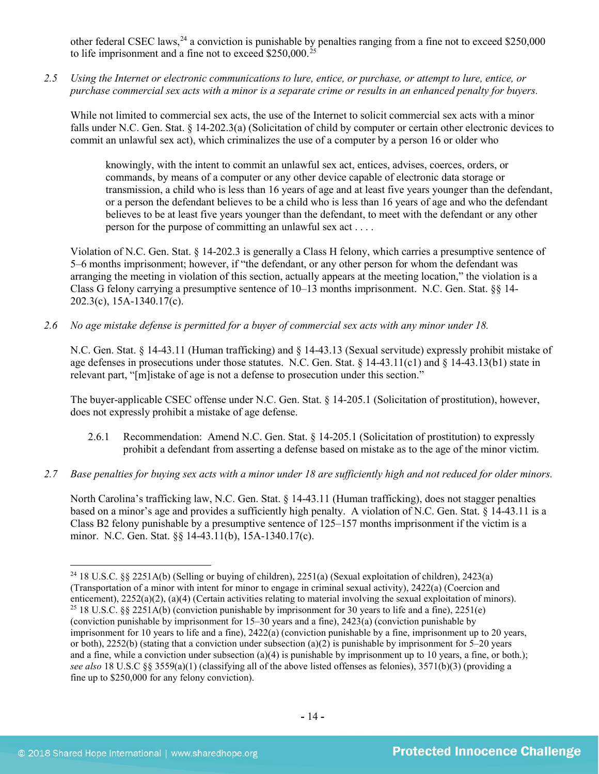other federal CSEC laws,  $^{24}$  $^{24}$  $^{24}$  a conviction is punishable by penalties ranging from a fine not to exceed \$250,000 to life imprisonment and a fine not to exceed \$250,000.[25](#page-13-1) 

*2.5 Using the Internet or electronic communications to lure, entice, or purchase, or attempt to lure, entice, or purchase commercial sex acts with a minor is a separate crime or results in an enhanced penalty for buyers.*

While not limited to commercial sex acts, the use of the Internet to solicit commercial sex acts with a minor falls under N.C. Gen. Stat. § 14-202.3(a) (Solicitation of child by computer or certain other electronic devices to commit an unlawful sex act), which criminalizes the use of a computer by a person 16 or older who

knowingly, with the intent to commit an unlawful sex act, entices, advises, coerces, orders, or commands, by means of a computer or any other device capable of electronic data storage or transmission, a child who is less than 16 years of age and at least five years younger than the defendant, or a person the defendant believes to be a child who is less than 16 years of age and who the defendant believes to be at least five years younger than the defendant, to meet with the defendant or any other person for the purpose of committing an unlawful sex act . . . .

Violation of N.C. Gen. Stat. § 14-202.3 is generally a Class H felony, which carries a presumptive sentence of 5–6 months imprisonment; however, if "the defendant, or any other person for whom the defendant was arranging the meeting in violation of this section, actually appears at the meeting location," the violation is a Class G felony carrying a presumptive sentence of 10–13 months imprisonment. N.C. Gen. Stat. §§ 14- 202.3(c), 15A-1340.17(c).

*2.6 No age mistake defense is permitted for a buyer of commercial sex acts with any minor under 18.*

N.C. Gen. Stat. § 14-43.11 (Human trafficking) and § 14-43.13 (Sexual servitude) expressly prohibit mistake of age defenses in prosecutions under those statutes. N.C. Gen. Stat. § 14-43.11(c1) and § 14-43.13(b1) state in relevant part, "[m]istake of age is not a defense to prosecution under this section."

The buyer-applicable CSEC offense under N.C. Gen. Stat. § 14-205.1 (Solicitation of prostitution), however, does not expressly prohibit a mistake of age defense.

- 2.6.1 Recommendation: Amend N.C. Gen. Stat. § 14-205.1 (Solicitation of prostitution) to expressly prohibit a defendant from asserting a defense based on mistake as to the age of the minor victim.
- *2.7 Base penalties for buying sex acts with a minor under 18 are sufficiently high and not reduced for older minors.*

North Carolina's trafficking law, N.C. Gen. Stat. § 14-43.11 (Human trafficking), does not stagger penalties based on a minor's age and provides a sufficiently high penalty. A violation of N.C. Gen. Stat. § 14-43.11 is a Class B2 felony punishable by a presumptive sentence of 125–157 months imprisonment if the victim is a minor. N.C. Gen. Stat. §§ 14-43.11(b), 15A-1340.17(c).

<span id="page-13-1"></span><span id="page-13-0"></span><sup>&</sup>lt;sup>24</sup> 18 U.S.C. §§ 2251A(b) (Selling or buying of children), 2251(a) (Sexual exploitation of children), 2423(a) (Transportation of a minor with intent for minor to engage in criminal sexual activity),  $2422(a)$  (Coercion and enticement),  $2252(a)(2)$ ,  $(a)(4)$  (Certain activities relating to material involving the sexual exploitation of <sup>25</sup> 18 U.S.C. §§ 2251A(b) (conviction punishable by imprisonment for 30 years to life and a fine), 2251(e) (conviction punishable by imprisonment for 15–30 years and a fine), 2423(a) (conviction punishable by imprisonment for 10 years to life and a fine), 2422(a) (conviction punishable by a fine, imprisonment up to 20 years, or both),  $2252(b)$  (stating that a conviction under subsection (a)(2) is punishable by imprisonment for 5–20 years and a fine, while a conviction under subsection (a)(4) is punishable by imprisonment up to 10 years, a fine, or both.); *see also* 18 U.S.C §§ 3559(a)(1) (classifying all of the above listed offenses as felonies), 3571(b)(3) (providing a fine up to \$250,000 for any felony conviction).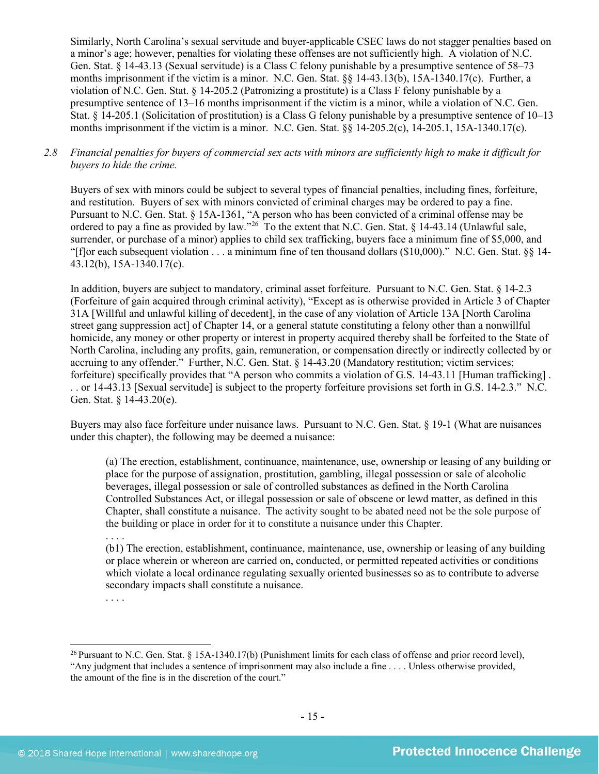Similarly, North Carolina's sexual servitude and buyer-applicable CSEC laws do not stagger penalties based on a minor's age; however, penalties for violating these offenses are not sufficiently high. A violation of N.C. Gen. Stat. § 14-43.13 (Sexual servitude) is a Class C felony punishable by a presumptive sentence of 58–73 months imprisonment if the victim is a minor. N.C. Gen. Stat. §§ 14-43.13(b), 15A-1340.17(c). Further, a violation of N.C. Gen. Stat. § 14-205.2 (Patronizing a prostitute) is a Class F felony punishable by a presumptive sentence of 13–16 months imprisonment if the victim is a minor, while a violation of N.C. Gen. Stat. § 14-205.1 (Solicitation of prostitution) is a Class G felony punishable by a presumptive sentence of 10–13 months imprisonment if the victim is a minor. N.C. Gen. Stat. §§ 14-205.2(c), 14-205.1, 15A-1340.17(c).

#### *2.8 Financial penalties for buyers of commercial sex acts with minors are sufficiently high to make it difficult for buyers to hide the crime.*

Buyers of sex with minors could be subject to several types of financial penalties, including fines, forfeiture, and restitution. Buyers of sex with minors convicted of criminal charges may be ordered to pay a fine. Pursuant to N.C. Gen. Stat. § 15A-1361, "A person who has been convicted of a criminal offense may be ordered to pay a fine as provided by law."<sup>[26](#page-14-0)</sup> To the extent that N.C. Gen. Stat. § 14-43.14 (Unlawful sale, surrender, or purchase of a minor) applies to child sex trafficking, buyers face a minimum fine of \$5,000, and "[f]or each subsequent violation  $\dots$  a minimum fine of ten thousand dollars (\$10,000)." N.C. Gen. Stat. §§ 14-43.12(b), 15A-1340.17(c).

In addition, buyers are subject to mandatory, criminal asset forfeiture. Pursuant to N.C. Gen. Stat. § 14-2.3 (Forfeiture of gain acquired through criminal activity), "Except as is otherwise provided in Article 3 of Chapter 31A [Willful and unlawful killing of decedent], in the case of any violation of Article 13A [North Carolina street gang suppression act] of Chapter 14, or a general statute constituting a felony other than a nonwillful homicide, any money or other property or interest in property acquired thereby shall be forfeited to the State of North Carolina, including any profits, gain, remuneration, or compensation directly or indirectly collected by or accruing to any offender." Further, N.C. Gen. Stat. § 14-43.20 (Mandatory restitution; victim services; forfeiture) specifically provides that "A person who commits a violation of G.S. 14-43.11 [Human trafficking] . . . or 14-43.13 [Sexual servitude] is subject to the property forfeiture provisions set forth in G.S. 14-2.3." N.C. Gen. Stat. § 14-43.20(e).

Buyers may also face forfeiture under nuisance laws. Pursuant to N.C. Gen. Stat. § 19-1 (What are nuisances under this chapter), the following may be deemed a nuisance:

(a) The erection, establishment, continuance, maintenance, use, ownership or leasing of any building or place for the purpose of assignation, prostitution, gambling, illegal possession or sale of alcoholic beverages, illegal possession or sale of controlled substances as defined in the North Carolina Controlled Substances Act, or illegal possession or sale of obscene or lewd matter, as defined in this Chapter, shall constitute a nuisance. The activity sought to be abated need not be the sole purpose of the building or place in order for it to constitute a nuisance under this Chapter.

. . . .

(b1) The erection, establishment, continuance, maintenance, use, ownership or leasing of any building or place wherein or whereon are carried on, conducted, or permitted repeated activities or conditions which violate a local ordinance regulating sexually oriented businesses so as to contribute to adverse secondary impacts shall constitute a nuisance.

. . . .

<span id="page-14-0"></span><sup>26</sup> Pursuant to N.C. Gen. Stat. § 15A-1340.17(b) (Punishment limits for each class of offense and prior record level), "Any judgment that includes a sentence of imprisonment may also include a fine . . . . Unless otherwise provided, the amount of the fine is in the discretion of the court."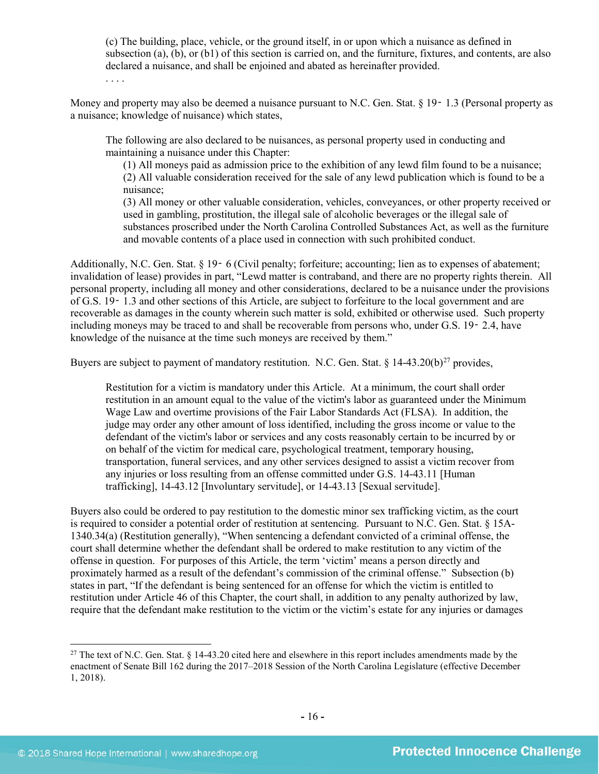(c) The building, place, vehicle, or the ground itself, in or upon which a nuisance as defined in subsection (a), (b), or (b1) of this section is carried on, and the furniture, fixtures, and contents, are also declared a nuisance, and shall be enjoined and abated as hereinafter provided.

. . . .

Money and property may also be deemed a nuisance pursuant to N.C. Gen. Stat. § 19–1.3 (Personal property as a nuisance; knowledge of nuisance) which states,

The following are also declared to be nuisances, as personal property used in conducting and maintaining a nuisance under this Chapter:

(1) All moneys paid as admission price to the exhibition of any lewd film found to be a nuisance; (2) All valuable consideration received for the sale of any lewd publication which is found to be a nuisance;

(3) All money or other valuable consideration, vehicles, conveyances, or other property received or used in gambling, prostitution, the illegal sale of alcoholic beverages or the illegal sale of substances proscribed under the North Carolina Controlled Substances Act, as well as the furniture and movable contents of a place used in connection with such prohibited conduct.

Additionally, N.C. Gen. Stat. § 19 <sup>-</sup> 6 (Civil penalty; forfeiture; accounting; lien as to expenses of abatement; invalidation of lease) provides in part, "Lewd matter is contraband, and there are no property rights therein. All personal property, including all money and other considerations, declared to be a nuisance under the provisions of G.S. 19‑ 1.3 and other sections of this Article, are subject to forfeiture to the local government and are recoverable as damages in the county wherein such matter is sold, exhibited or otherwise used. Such property including moneys may be traced to and shall be recoverable from persons who, under G.S. 19‑ 2.4, have knowledge of the nuisance at the time such moneys are received by them."

Buyers are subject to payment of mandatory restitution. N.C. Gen. Stat.  $\S$  14-43.20(b)<sup>27</sup> provides,

<span id="page-15-1"></span>Restitution for a victim is mandatory under this Article. At a minimum, the court shall order restitution in an amount equal to the value of the victim's labor as guaranteed under the Minimum Wage Law and overtime provisions of the Fair Labor Standards Act (FLSA). In addition, the judge may order any other amount of loss identified, including the gross income or value to the defendant of the victim's labor or services and any costs reasonably certain to be incurred by or on behalf of the victim for medical care, psychological treatment, temporary housing, transportation, funeral services, and any other services designed to assist a victim recover from any injuries or loss resulting from an offense committed under G.S. 14-43.11 [Human trafficking], 14-43.12 [Involuntary servitude], or 14-43.13 [Sexual servitude].

Buyers also could be ordered to pay restitution to the domestic minor sex trafficking victim, as the court is required to consider a potential order of restitution at sentencing. Pursuant to N.C. Gen. Stat. § 15A-1340.34(a) (Restitution generally), "When sentencing a defendant convicted of a criminal offense, the court shall determine whether the defendant shall be ordered to make restitution to any victim of the offense in question. For purposes of this Article, the term 'victim' means a person directly and proximately harmed as a result of the defendant's commission of the criminal offense." Subsection (b) states in part, "If the defendant is being sentenced for an offense for which the victim is entitled to restitution under Article 46 of this Chapter, the court shall, in addition to any penalty authorized by law, require that the defendant make restitution to the victim or the victim's estate for any injuries or damages

<span id="page-15-0"></span><sup>&</sup>lt;sup>27</sup> The text of N.C. Gen. Stat.  $\S$  14-43.20 cited here and elsewhere in this report includes amendments made by the enactment of Senate Bill 162 during the 2017–2018 Session of the North Carolina Legislature (effective December 1, 2018).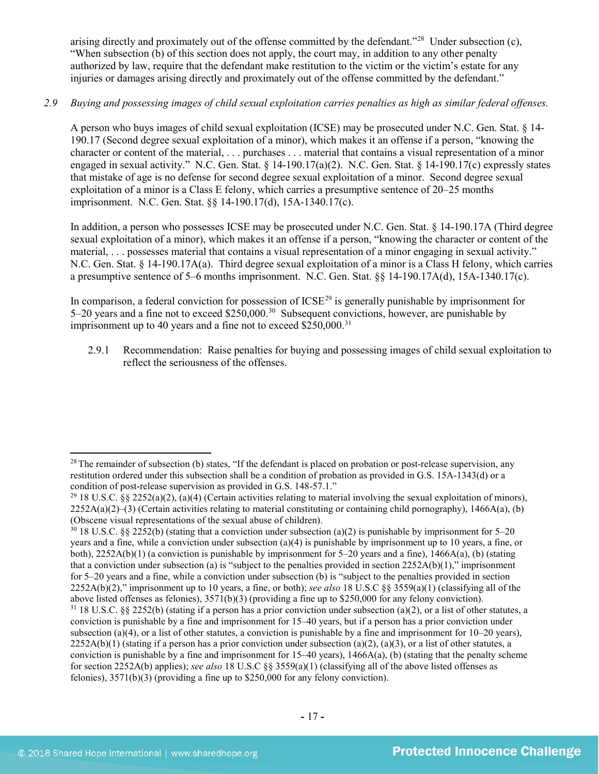arising directly and proximately out of the offense committed by the defendant."[28](#page-16-0) Under subsection (c), "When subsection (b) of this section does not apply, the court may, in addition to any other penalty authorized by law, require that the defendant make restitution to the victim or the victim's estate for any injuries or damages arising directly and proximately out of the offense committed by the defendant."

## *2.9 Buying and possessing images of child sexual exploitation carries penalties as high as similar federal offenses.*

A person who buys images of child sexual exploitation (ICSE) may be prosecuted under N.C. Gen. Stat. § 14- 190.17 (Second degree sexual exploitation of a minor), which makes it an offense if a person, "knowing the character or content of the material, . . . purchases . . . material that contains a visual representation of a minor engaged in sexual activity." N.C. Gen. Stat. § 14-190.17(a)(2). N.C. Gen. Stat. § 14-190.17(c) expressly states that mistake of age is no defense for second degree sexual exploitation of a minor. Second degree sexual exploitation of a minor is a Class E felony, which carries a presumptive sentence of 20–25 months imprisonment. N.C. Gen. Stat. §§ 14-190.17(d), 15A-1340.17(c).

In addition, a person who possesses ICSE may be prosecuted under N.C. Gen. Stat. § 14-190.17A (Third degree sexual exploitation of a minor), which makes it an offense if a person, "knowing the character or content of the material, . . . possesses material that contains a visual representation of a minor engaging in sexual activity." N.C. Gen. Stat. § 14-190.17A(a). Third degree sexual exploitation of a minor is a Class H felony, which carries a presumptive sentence of 5–6 months imprisonment. N.C. Gen. Stat. §§ 14-190.17A(d), 15A-1340.17(c).

In comparison, a federal conviction for possession of  $ICSE<sup>29</sup>$  $ICSE<sup>29</sup>$  $ICSE<sup>29</sup>$  is generally punishable by imprisonment for 5–20 years and a fine not to exceed \$250,000.[30](#page-16-2) Subsequent convictions, however, are punishable by imprisonment up to 40 years and a fine not to exceed  $$250,000$ <sup>[31](#page-16-3)</sup>

2.9.1 Recommendation: Raise penalties for buying and possessing images of child sexual exploitation to reflect the seriousness of the offenses.

<span id="page-16-0"></span><sup>&</sup>lt;sup>28</sup> The remainder of subsection (b) states, "If the defendant is placed on probation or post-release supervision, any restitution ordered under this subsection shall be a condition of probation as provided in G.S. 15A-1343(d) or a condition of post-release supervision as provided in G.S. 148-57.1."

<span id="page-16-1"></span><sup>&</sup>lt;sup>29</sup> 18 U.S.C. §§ 2252(a)(2), (a)(4) (Certain activities relating to material involving the sexual exploitation of minors),  $2252A(a)(2)$ –(3) (Certain activities relating to material constituting or containing child pornography), 1466A(a), (b) (Obscene visual representations of the sexual abuse of children).

<span id="page-16-3"></span><span id="page-16-2"></span> $30\,18$  U.S.C. §§ 2252(b) (stating that a conviction under subsection (a)(2) is punishable by imprisonment for 5–20 years and a fine, while a conviction under subsection (a)(4) is punishable by imprisonment up to 10 years, a fine, or both),  $2252A(b)(1)$  (a conviction is punishable by imprisonment for 5–20 years and a fine),  $1466A(a)$ , (b) (stating that a conviction under subsection (a) is "subject to the penalties provided in section  $2252A(b)(1)$ ," imprisonment for 5–20 years and a fine, while a conviction under subsection (b) is "subject to the penalties provided in section 2252A(b)(2)," imprisonment up to 10 years, a fine, or both); *see also* 18 U.S.C §§ 3559(a)(1) (classifying all of the above listed offenses as felonies), 3571(b)(3) (providing a fine up to \$250,000 for any felony conviction). <sup>31</sup> 18 U.S.C. §§ 2252(b) (stating if a person has a prior conviction under subsection (a)(2), or a list of other statutes, a conviction is punishable by a fine and imprisonment for 15–40 years, but if a person has a prior conviction under subsection (a)(4), or a list of other statutes, a conviction is punishable by a fine and imprisonment for  $10-20$  years),  $2252A(b)(1)$  (stating if a person has a prior conviction under subsection (a)(2), (a)(3), or a list of other statutes, a conviction is punishable by a fine and imprisonment for  $15-40$  years),  $1466A(a)$ , (b) (stating that the penalty scheme for section 2252A(b) applies); *see also* 18 U.S.C §§ 3559(a)(1) (classifying all of the above listed offenses as felonies), 3571(b)(3) (providing a fine up to \$250,000 for any felony conviction).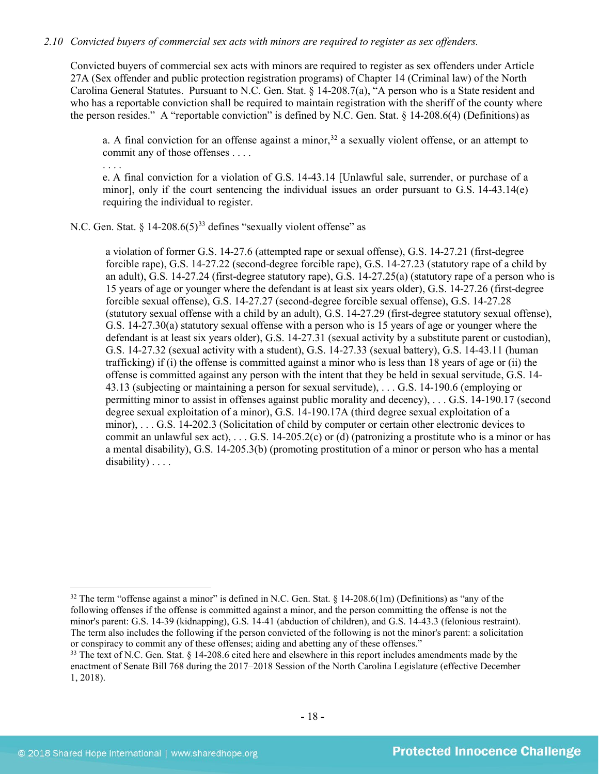#### *2.10 Convicted buyers of commercial sex acts with minors are required to register as sex offenders.*

Convicted buyers of commercial sex acts with minors are required to register as sex offenders under Article 27A (Sex offender and public protection registration programs) of Chapter 14 (Criminal law) of the North Carolina General Statutes. Pursuant to N.C. Gen. Stat. § 14-208.7(a), "A person who is a State resident and who has a reportable conviction shall be required to maintain registration with the sheriff of the county where the person resides." A "reportable conviction" is defined by N.C. Gen. Stat.  $\S$  14-208.6(4) (Definitions) as

a. A final conviction for an offense against a minor,  $32$  a sexually violent offense, or an attempt to commit any of those offenses . . . .

. . . . e. A final conviction for a violation of G.S. 14-43.14 [Unlawful sale, surrender, or purchase of a minor], only if the court sentencing the individual issues an order pursuant to G.S. 14-43.14(e) requiring the individual to register.

N.C. Gen. Stat.  $\S$  14-208.6(5)<sup>[33](#page-17-1)</sup> defines "sexually violent offense" as

<span id="page-17-2"></span>a violation of former G.S. 14-27.6 (attempted rape or sexual offense), G.S. 14-27.21 (first-degree forcible rape), G.S. 14-27.22 (second-degree forcible rape), G.S. 14-27.23 (statutory rape of a child by an adult), G.S. 14-27.24 (first-degree statutory rape), G.S. 14-27.25(a) (statutory rape of a person who is 15 years of age or younger where the defendant is at least six years older), G.S. 14-27.26 (first-degree forcible sexual offense), G.S. 14-27.27 (second-degree forcible sexual offense), G.S. 14-27.28 (statutory sexual offense with a child by an adult), G.S. 14-27.29 (first-degree statutory sexual offense), G.S. 14-27.30(a) statutory sexual offense with a person who is 15 years of age or younger where the defendant is at least six years older), G.S. 14-27.31 (sexual activity by a substitute parent or custodian), G.S. 14-27.32 (sexual activity with a student), G.S. 14-27.33 (sexual battery), G.S. 14-43.11 (human trafficking) if (i) the offense is committed against a minor who is less than 18 years of age or (ii) the offense is committed against any person with the intent that they be held in sexual servitude, G.S. 14- 43.13 (subjecting or maintaining a person for sexual servitude), . . . G.S. 14-190.6 (employing or permitting minor to assist in offenses against public morality and decency), . . . G.S. 14-190.17 (second degree sexual exploitation of a minor), G.S. 14-190.17A (third degree sexual exploitation of a minor), . . . G.S. 14-202.3 (Solicitation of child by computer or certain other electronic devices to commit an unlawful sex act),  $\dots$  G.S. 14-205.2(c) or (d) (patronizing a prostitute who is a minor or has a mental disability), G.S. 14-205.3(b) (promoting prostitution of a minor or person who has a mental disability) . . . .

<span id="page-17-0"></span><sup>&</sup>lt;sup>32</sup> The term "offense against a minor" is defined in N.C. Gen. Stat.  $\S$  14-208.6(1m) (Definitions) as "any of the following offenses if the offense is committed against a minor, and the person committing the offense is not the minor's parent: G.S. 14-39 (kidnapping), G.S. 14-41 (abduction of children), and G.S. 14-43.3 (felonious restraint). The term also includes the following if the person convicted of the following is not the minor's parent: a solicitation or conspiracy to commit any of these offenses; aiding and abetting any of these offenses."

<span id="page-17-1"></span><sup>&</sup>lt;sup>33</sup> The text of N.C. Gen. Stat. § 14-208.6 cited here and elsewhere in this report includes amendments made by the enactment of Senate Bill 768 during the 2017–2018 Session of the North Carolina Legislature (effective December 1, 2018).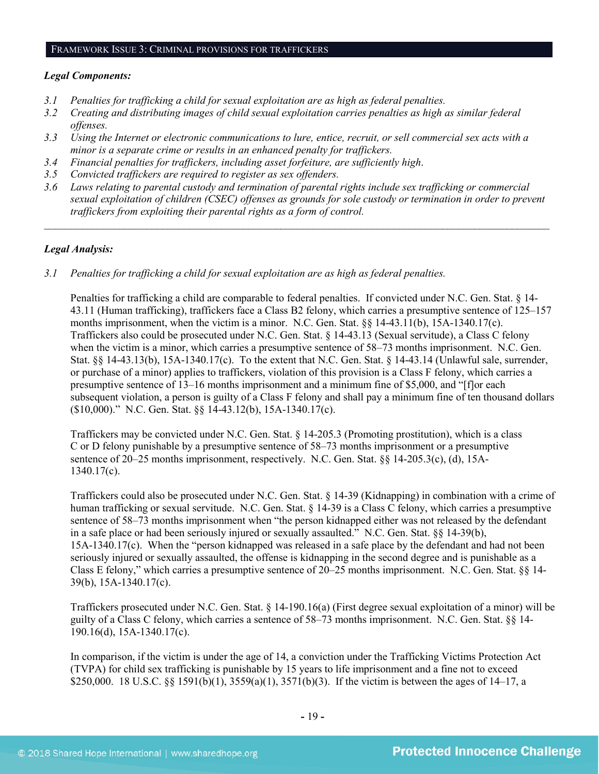#### FRAMEWORK ISSUE 3: CRIMINAL PROVISIONS FOR TRAFFICKERS

#### *Legal Components:*

- *3.1 Penalties for trafficking a child for sexual exploitation are as high as federal penalties.*
- *3.2 Creating and distributing images of child sexual exploitation carries penalties as high as similar federal offenses.*
- *3.3 Using the Internet or electronic communications to lure, entice, recruit, or sell commercial sex acts with a minor is a separate crime or results in an enhanced penalty for traffickers.*
- *3.4 Financial penalties for traffickers, including asset forfeiture, are sufficiently high*.
- *3.5 Convicted traffickers are required to register as sex offenders.*
- *3.6 Laws relating to parental custody and termination of parental rights include sex trafficking or commercial sexual exploitation of children (CSEC) offenses as grounds for sole custody or termination in order to prevent traffickers from exploiting their parental rights as a form of control.*

*\_\_\_\_\_\_\_\_\_\_\_\_\_\_\_\_\_\_\_\_\_\_\_\_\_\_\_\_\_\_\_\_\_\_\_\_\_\_\_\_\_\_\_\_\_\_\_\_\_\_\_\_\_\_\_\_\_\_\_\_\_\_\_\_\_\_\_\_\_\_\_\_\_\_\_\_\_\_\_\_\_\_\_\_\_\_\_\_\_\_\_\_\_\_*

#### *Legal Analysis:*

*3.1 Penalties for trafficking a child for sexual exploitation are as high as federal penalties.* 

Penalties for trafficking a child are comparable to federal penalties. If convicted under N.C. Gen. Stat. § 14- 43.11 (Human trafficking), traffickers face a Class B2 felony, which carries a presumptive sentence of 125–157 months imprisonment, when the victim is a minor. N.C. Gen. Stat. §§ 14-43.11(b), 15A-1340.17(c). Traffickers also could be prosecuted under N.C. Gen. Stat. § 14-43.13 (Sexual servitude), a Class C felony when the victim is a minor, which carries a presumptive sentence of  $58-73$  months imprisonment. N.C. Gen. Stat. §§ 14-43.13(b), 15A-1340.17(c). To the extent that N.C. Gen. Stat. § 14-43.14 (Unlawful sale, surrender, or purchase of a minor) applies to traffickers, violation of this provision is a Class F felony, which carries a presumptive sentence of 13–16 months imprisonment and a minimum fine of \$5,000, and "[f]or each subsequent violation, a person is guilty of a Class F felony and shall pay a minimum fine of ten thousand dollars (\$10,000)." N.C. Gen. Stat. §§ 14-43.12(b), 15A-1340.17(c).

Traffickers may be convicted under N.C. Gen. Stat. § 14-205.3 (Promoting prostitution), which is a class C or D felony punishable by a presumptive sentence of 58–73 months imprisonment or a presumptive sentence of 20–25 months imprisonment, respectively. N.C. Gen. Stat. §§ 14-205.3(c), (d), 15A-1340.17(c).

Traffickers could also be prosecuted under N.C. Gen. Stat. § 14-39 (Kidnapping) in combination with a crime of human trafficking or sexual servitude. N.C. Gen. Stat. § 14-39 is a Class C felony, which carries a presumptive sentence of 58–73 months imprisonment when "the person kidnapped either was not released by the defendant in a safe place or had been seriously injured or sexually assaulted." N.C. Gen. Stat. §§ 14-39(b), 15A-1340.17(c). When the "person kidnapped was released in a safe place by the defendant and had not been seriously injured or sexually assaulted, the offense is kidnapping in the second degree and is punishable as a Class E felony," which carries a presumptive sentence of 20–25 months imprisonment. N.C. Gen. Stat. §§ 14- 39(b), 15A-1340.17(c).

Traffickers prosecuted under N.C. Gen. Stat. § 14-190.16(a) (First degree sexual exploitation of a minor) will be guilty of a Class C felony, which carries a sentence of 58–73 months imprisonment. N.C. Gen. Stat. §§ 14- 190.16(d), 15A-1340.17(c).

In comparison, if the victim is under the age of 14, a conviction under the Trafficking Victims Protection Act (TVPA) for child sex trafficking is punishable by 15 years to life imprisonment and a fine not to exceed \$250,000. 18 U.S.C. §§ 1591(b)(1),  $3559(a)(1)$ ,  $3571(b)(3)$ . If the victim is between the ages of 14–17, a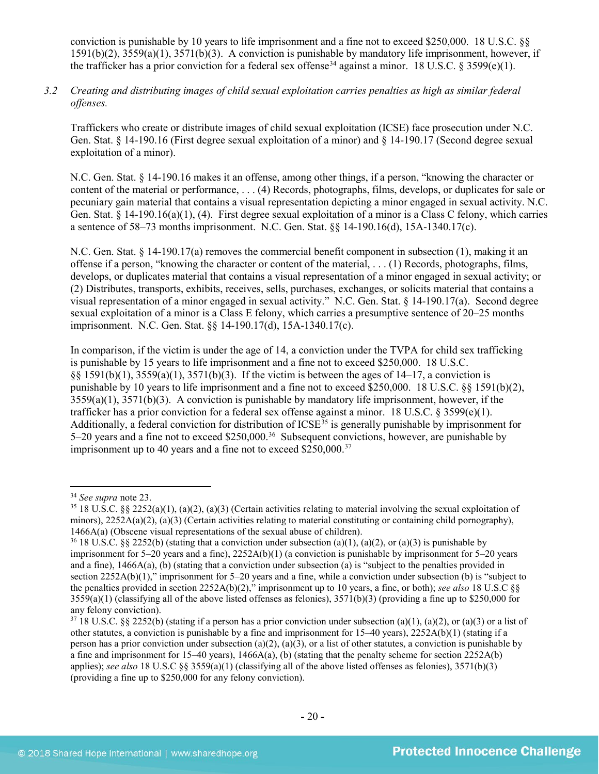conviction is punishable by 10 years to life imprisonment and a fine not to exceed \$250,000. 18 U.S.C. §§ 1591(b)(2), 3559(a)(1), 3571(b)(3). A conviction is punishable by mandatory life imprisonment, however, if the trafficker has a prior conviction for a federal sex offense<sup>[34](#page-19-0)</sup> against a minor. 18 U.S.C. § 3599(e)(1).

*3.2 Creating and distributing images of child sexual exploitation carries penalties as high as similar federal offenses.*

Traffickers who create or distribute images of child sexual exploitation (ICSE) face prosecution under N.C. Gen. Stat. § 14-190.16 (First degree sexual exploitation of a minor) and § 14-190.17 (Second degree sexual exploitation of a minor).

N.C. Gen. Stat. § 14-190.16 makes it an offense, among other things, if a person, "knowing the character or content of the material or performance, . . . (4) Records, photographs, films, develops, or duplicates for sale or pecuniary gain material that contains a visual representation depicting a minor engaged in sexual activity. N.C. Gen. Stat. § 14-190.16(a)(1), (4). First degree sexual exploitation of a minor is a Class C felony, which carries a sentence of 58–73 months imprisonment. N.C. Gen. Stat. §§ 14-190.16(d), 15A-1340.17(c).

N.C. Gen. Stat. § 14-190.17(a) removes the commercial benefit component in subsection (1), making it an offense if a person, "knowing the character or content of the material, . . . (1) Records, photographs, films, develops, or duplicates material that contains a visual representation of a minor engaged in sexual activity; or (2) Distributes, transports, exhibits, receives, sells, purchases, exchanges, or solicits material that contains a visual representation of a minor engaged in sexual activity." N.C. Gen. Stat. § 14-190.17(a). Second degree sexual exploitation of a minor is a Class E felony, which carries a presumptive sentence of 20–25 months imprisonment. N.C. Gen. Stat. §§ 14-190.17(d), 15A-1340.17(c).

In comparison, if the victim is under the age of 14, a conviction under the TVPA for child sex trafficking is punishable by 15 years to life imprisonment and a fine not to exceed \$250,000. 18 U.S.C. §§ 1591(b)(1), 3559(a)(1), 3571(b)(3). If the victim is between the ages of 14–17, a conviction is punishable by 10 years to life imprisonment and a fine not to exceed \$250,000. 18 U.S.C. §§ 1591(b)(2),  $3559(a)(1)$ ,  $3571(b)(3)$ . A conviction is punishable by mandatory life imprisonment, however, if the trafficker has a prior conviction for a federal sex offense against a minor. 18 U.S.C.  $\S 3599(e)(1)$ . Additionally, a federal conviction for distribution of  $ICSE<sup>35</sup>$  $ICSE<sup>35</sup>$  $ICSE<sup>35</sup>$  is generally punishable by imprisonment for 5–20 years and a fine not to exceed \$250,000.<sup>36</sup> Subsequent convictions, however, are punishable by imprisonment up to 40 years and a fine not to exceed \$250,000.<sup>[37](#page-19-3)</sup>

<span id="page-19-1"></span><span id="page-19-0"></span><sup>&</sup>lt;sup>34</sup> *See supra* note 23.<br><sup>35</sup> 18 U.S.C. §§ 2252(a)(1), (a)(2), (a)(3) (Certain activities relating to material involving the sexual exploitation of minors),  $2252A(a)(2)$ ,  $(a)(3)$  (Certain activities relating to material constituting or containing child pornography), 1466A(a) (Obscene visual representations of the sexual abuse of children).

<span id="page-19-2"></span><sup>&</sup>lt;sup>36</sup> 18 U.S.C. §§ 2252(b) (stating that a conviction under subsection (a)(1), (a)(2), or (a)(3) is punishable by imprisonment for 5–20 years and a fine), 2252A(b)(1) (a conviction is punishable by imprisonment for 5–20 years and a fine), 1466A(a), (b) (stating that a conviction under subsection (a) is "subject to the penalties provided in section 2252A(b)(1)," imprisonment for 5–20 years and a fine, while a conviction under subsection (b) is "subject to the penalties provided in section 2252A(b)(2)," imprisonment up to 10 years, a fine, or both); *see also* 18 U.S.C §§  $3559(a)(1)$  (classifying all of the above listed offenses as felonies),  $3571(b)(3)$  (providing a fine up to \$250,000 for any felony conviction).

<span id="page-19-3"></span> $37\,18$  U.S.C. §§ 2252(b) (stating if a person has a prior conviction under subsection (a)(1), (a)(2), or (a)(3) or a list of other statutes, a conviction is punishable by a fine and imprisonment for  $15-40$  years),  $2252A(b)(1)$  (stating if a person has a prior conviction under subsection (a)(2), (a)(3), or a list of other statutes, a conviction is punishable by a fine and imprisonment for 15–40 years),  $1466A(a)$ , (b) (stating that the penalty scheme for section 2252A(b) applies); *see also* 18 U.S.C §§ 3559(a)(1) (classifying all of the above listed offenses as felonies), 3571(b)(3) (providing a fine up to \$250,000 for any felony conviction).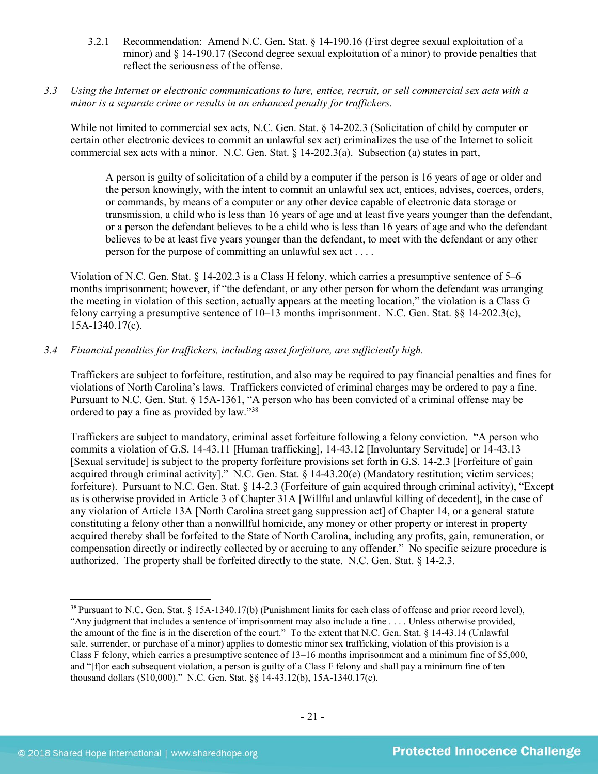- 3.2.1 Recommendation: Amend N.C. Gen. Stat. § 14-190.16 (First degree sexual exploitation of a minor) and § 14-190.17 (Second degree sexual exploitation of a minor) to provide penalties that reflect the seriousness of the offense.
- *3.3 Using the Internet or electronic communications to lure, entice, recruit, or sell commercial sex acts with a minor is a separate crime or results in an enhanced penalty for traffickers.*

While not limited to commercial sex acts, N.C. Gen. Stat. § 14-202.3 (Solicitation of child by computer or certain other electronic devices to commit an unlawful sex act) criminalizes the use of the Internet to solicit commercial sex acts with a minor. N.C. Gen. Stat. § 14-202.3(a). Subsection (a) states in part,

A person is guilty of solicitation of a child by a computer if the person is 16 years of age or older and the person knowingly, with the intent to commit an unlawful sex act, entices, advises, coerces, orders, or commands, by means of a computer or any other device capable of electronic data storage or transmission, a child who is less than 16 years of age and at least five years younger than the defendant, or a person the defendant believes to be a child who is less than 16 years of age and who the defendant believes to be at least five years younger than the defendant, to meet with the defendant or any other person for the purpose of committing an unlawful sex act . . . .

Violation of N.C. Gen. Stat. § 14-202.3 is a Class H felony, which carries a presumptive sentence of 5–6 months imprisonment; however, if "the defendant, or any other person for whom the defendant was arranging the meeting in violation of this section, actually appears at the meeting location," the violation is a Class G felony carrying a presumptive sentence of 10–13 months imprisonment. N.C. Gen. Stat. §§ 14-202.3(c), 15A-1340.17(c).

## *3.4 Financial penalties for traffickers, including asset forfeiture, are sufficiently high.*

Traffickers are subject to forfeiture, restitution, and also may be required to pay financial penalties and fines for violations of North Carolina's laws. Traffickers convicted of criminal charges may be ordered to pay a fine. Pursuant to N.C. Gen. Stat. § 15A-1361, "A person who has been convicted of a criminal offense may be ordered to pay a fine as provided by law."[38](#page-20-0)

Traffickers are subject to mandatory, criminal asset forfeiture following a felony conviction. "A person who commits a violation of G.S. 14-43.11 [Human trafficking], 14-43.12 [Involuntary Servitude] or 14-43.13 [Sexual servitude] is subject to the property forfeiture provisions set forth in G.S. 14-2.3 [Forfeiture of gain acquired through criminal activity]." N.C. Gen. Stat. § 14-43.20(e) (Mandatory restitution; victim services; forfeiture). Pursuant to N.C. Gen. Stat. § 14-2.3 (Forfeiture of gain acquired through criminal activity), "Except as is otherwise provided in Article 3 of Chapter 31A [Willful and unlawful killing of decedent], in the case of any violation of Article 13A [North Carolina street gang suppression act] of Chapter 14, or a general statute constituting a felony other than a nonwillful homicide, any money or other property or interest in property acquired thereby shall be forfeited to the State of North Carolina, including any profits, gain, remuneration, or compensation directly or indirectly collected by or accruing to any offender." No specific seizure procedure is authorized. The property shall be forfeited directly to the state. N.C. Gen. Stat. § 14-2.3.

<span id="page-20-0"></span><sup>&</sup>lt;sup>38</sup> Pursuant to N.C. Gen. Stat. § 15A-1340.17(b) (Punishment limits for each class of offense and prior record level), "Any judgment that includes a sentence of imprisonment may also include a fine . . . . Unless otherwise provided, the amount of the fine is in the discretion of the court." To the extent that N.C. Gen. Stat. § 14-43.14 (Unlawful sale, surrender, or purchase of a minor) applies to domestic minor sex trafficking, violation of this provision is a Class F felony, which carries a presumptive sentence of 13–16 months imprisonment and a minimum fine of \$5,000, and "[f]or each subsequent violation, a person is guilty of a Class F felony and shall pay a minimum fine of ten thousand dollars (\$10,000)." N.C. Gen. Stat. §§ 14-43.12(b), 15A-1340.17(c).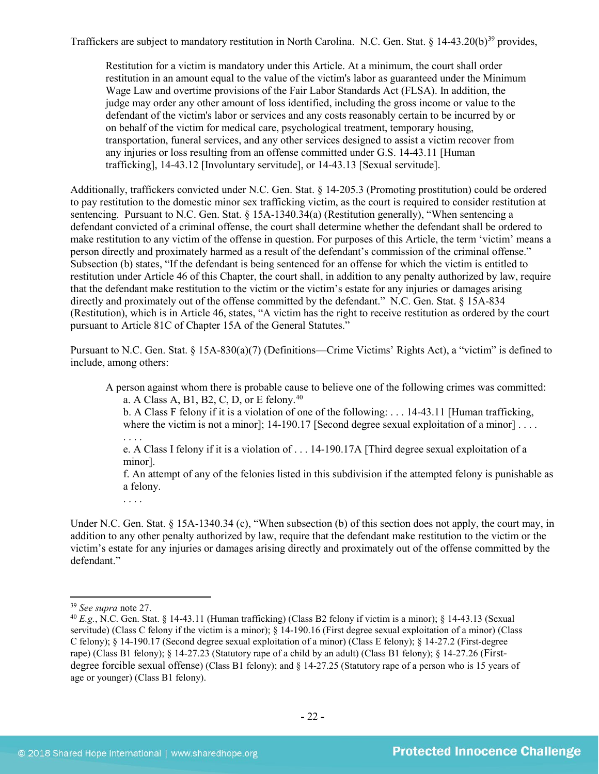Traffickers are subject to mandatory restitution in North Carolina. N.C. Gen. Stat.  $\S$  14-43.20(b)<sup>[39](#page-21-0)</sup> provides,

Restitution for a victim is mandatory under this Article. At a minimum, the court shall order restitution in an amount equal to the value of the victim's labor as guaranteed under the Minimum Wage Law and overtime provisions of the Fair Labor Standards Act (FLSA). In addition, the judge may order any other amount of loss identified, including the gross income or value to the defendant of the victim's labor or services and any costs reasonably certain to be incurred by or on behalf of the victim for medical care, psychological treatment, temporary housing, transportation, funeral services, and any other services designed to assist a victim recover from any injuries or loss resulting from an offense committed under G.S. 14-43.11 [Human trafficking], 14-43.12 [Involuntary servitude], or 14-43.13 [Sexual servitude].

Additionally, traffickers convicted under N.C. Gen. Stat. § 14-205.3 (Promoting prostitution) could be ordered to pay restitution to the domestic minor sex trafficking victim, as the court is required to consider restitution at sentencing. Pursuant to N.C. Gen. Stat. § 15A-1340.34(a) (Restitution generally), "When sentencing a defendant convicted of a criminal offense, the court shall determine whether the defendant shall be ordered to make restitution to any victim of the offense in question. For purposes of this Article, the term 'victim' means a person directly and proximately harmed as a result of the defendant's commission of the criminal offense." Subsection (b) states, "If the defendant is being sentenced for an offense for which the victim is entitled to restitution under Article 46 of this Chapter, the court shall, in addition to any penalty authorized by law, require that the defendant make restitution to the victim or the victim's estate for any injuries or damages arising directly and proximately out of the offense committed by the defendant." N.C. Gen. Stat. § 15A-834 (Restitution), which is in Article 46, states, "A victim has the right to receive restitution as ordered by the court pursuant to Article 81C of Chapter 15A of the General Statutes."

Pursuant to N.C. Gen. Stat. § 15A-830(a)(7) (Definitions—Crime Victims' Rights Act), a "victim" is defined to include, among others:

A person against whom there is probable cause to believe one of the following crimes was committed: a. A Class A, B1, B2, C, D, or E felony.<sup>[40](#page-21-1)</sup>

<span id="page-21-2"></span>b. A Class F felony if it is a violation of one of the following: . . . 14-43.11 [Human trafficking, where the victim is not a minor]; 14-190.17 [Second degree sexual exploitation of a minor] . . . .

. . . .

e. A Class I felony if it is a violation of . . . 14-190.17A [Third degree sexual exploitation of a minor].

f. An attempt of any of the felonies listed in this subdivision if the attempted felony is punishable as a felony.

. . . .

Under N.C. Gen. Stat. § 15A-1340.34 (c), "When subsection (b) of this section does not apply, the court may, in addition to any other penalty authorized by law, require that the defendant make restitution to the victim or the victim's estate for any injuries or damages arising directly and proximately out of the offense committed by the defendant."

<sup>39</sup> *See supra* note [27.](#page-15-1)

<span id="page-21-1"></span><span id="page-21-0"></span><sup>40</sup> *E.g.*, N.C. Gen. Stat. § 14-43.11 (Human trafficking) (Class B2 felony if victim is a minor); § 14-43.13 (Sexual servitude) (Class C felony if the victim is a minor); § 14-190.16 (First degree sexual exploitation of a minor) (Class C felony); § 14-190.17 (Second degree sexual exploitation of a minor) (Class E felony); § 14-27.2 (First-degree rape) (Class B1 felony); § 14-27.23 (Statutory rape of a child by an adult) (Class B1 felony); § 14-27.26 (Firstdegree forcible sexual offense) (Class B1 felony); and § 14-27.25 (Statutory rape of a person who is 15 years of age or younger) (Class B1 felony).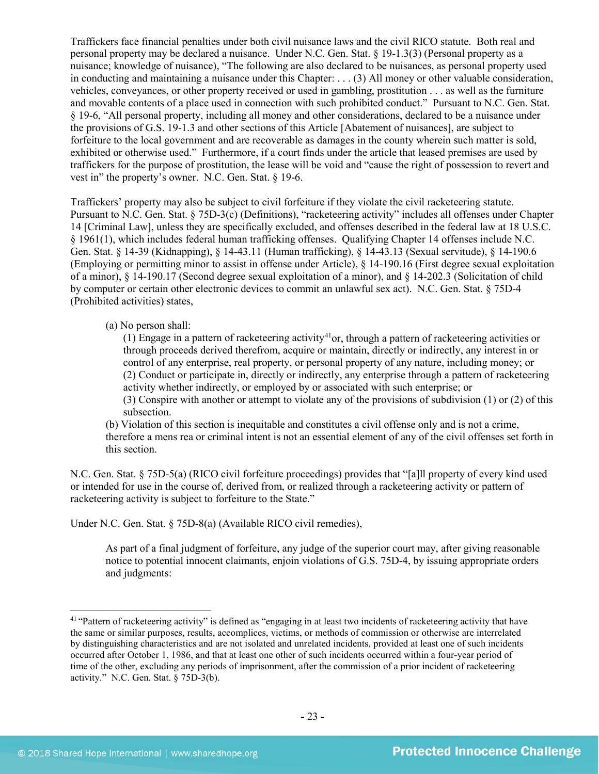Traffickers face financial penalties under both civil nuisance laws and the civil RICO statute. Both real and personal property may be declared a nuisance. Under N.C. Gen. Stat. § 19-1.3(3) (Personal property as a nuisance; knowledge of nuisance), "The following are also declared to be nuisances, as personal property used in conducting and maintaining a nuisance under this Chapter: . . . (3) All money or other valuable consideration, vehicles, conveyances, or other property received or used in gambling, prostitution . . . as well as the furniture and movable contents of a place used in connection with such prohibited conduct." Pursuant to N.C. Gen. Stat. § 19-6, "All personal property, including all money and other considerations, declared to be a nuisance under the provisions of G.S. 19-1.3 and other sections of this Article [Abatement of nuisances], are subject to forfeiture to the local government and are recoverable as damages in the county wherein such matter is sold, exhibited or otherwise used." Furthermore, if a court finds under the article that leased premises are used by traffickers for the purpose of prostitution, the lease will be void and "cause the right of possession to revert and vest in" the property's owner. N.C. Gen. Stat. § 19-6.

Traffickers' property may also be subject to civil forfeiture if they violate the civil racketeering statute. Pursuant to N.C. Gen. Stat. § 75D-3(c) (Definitions), "racketeering activity" includes all offenses under Chapter 14 [Criminal Law], unless they are specifically excluded, and offenses described in the federal law at 18 U.S.C. § 1961(1), which includes federal human trafficking offenses. Qualifying Chapter 14 offenses include N.C. Gen. Stat. § 14-39 (Kidnapping), § 14-43.11 (Human trafficking), § 14-43.13 (Sexual servitude), § 14-190.6 (Employing or permitting minor to assist in offense under Article), § 14-190.16 (First degree sexual exploitation of a minor), § 14-190.17 (Second degree sexual exploitation of a minor), and § 14-202.3 (Solicitation of child by computer or certain other electronic devices to commit an unlawful sex act). N.C. Gen. Stat. § 75D-4 (Prohibited activities) states,

## (a) No person shall:

<span id="page-22-1"></span>(1) Engage in a pattern of racketeering activity<sup>[41](#page-22-0)</sup>or, through a pattern of racketeering activities or through proceeds derived therefrom, acquire or maintain, directly or indirectly, any interest in or control of any enterprise, real property, or personal property of any nature, including money; or (2) Conduct or participate in, directly or indirectly, any enterprise through a pattern of racketeering activity whether indirectly, or employed by or associated with such enterprise; or (3) Conspire with another or attempt to violate any of the provisions of subdivision (1) or (2) of this subsection.

(b) Violation of this section is inequitable and constitutes a civil offense only and is not a crime, therefore a mens rea or criminal intent is not an essential element of any of the civil offenses set forth in this section.

N.C. Gen. Stat. § 75D-5(a) (RICO civil forfeiture proceedings) provides that "[a]ll property of every kind used or intended for use in the course of, derived from, or realized through a racketeering activity or pattern of racketeering activity is subject to forfeiture to the State."

Under N.C. Gen. Stat. § 75D-8(a) (Available RICO civil remedies),

As part of a final judgment of forfeiture, any judge of the superior court may, after giving reasonable notice to potential innocent claimants, enjoin violations of G.S. 75D-4, by issuing appropriate orders and judgments:

<span id="page-22-0"></span><sup>41</sup> "Pattern of racketeering activity" is defined as "engaging in at least two incidents of racketeering activity that have the same or similar purposes, results, accomplices, victims, or methods of commission or otherwise are interrelated by distinguishing characteristics and are not isolated and unrelated incidents, provided at least one of such incidents occurred after October 1, 1986, and that at least one other of such incidents occurred within a four-year period of time of the other, excluding any periods of imprisonment, after the commission of a prior incident of racketeering activity." N.C. Gen. Stat. § 75D-3(b).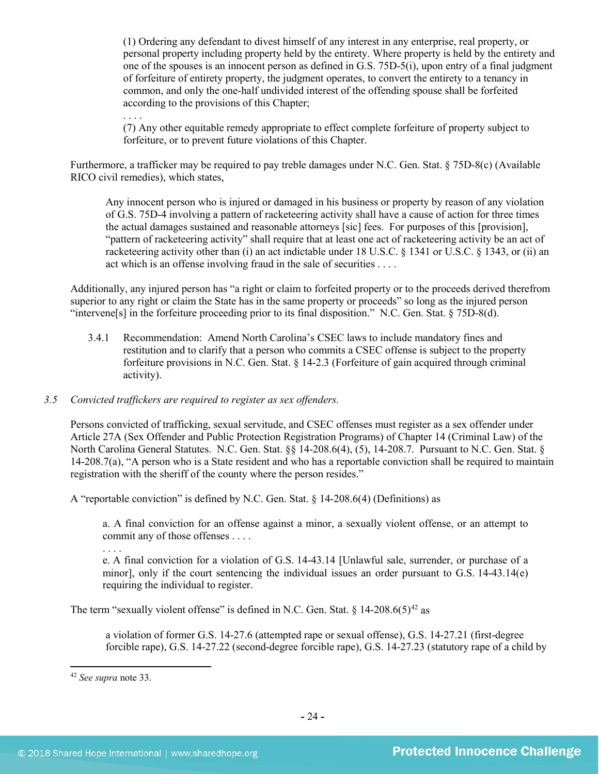(1) Ordering any defendant to divest himself of any interest in any enterprise, real property, or personal property including property held by the entirety. Where property is held by the entirety and one of the spouses is an innocent person as defined in G.S. 75D-5(i), upon entry of a final judgment of forfeiture of entirety property, the judgment operates, to convert the entirety to a tenancy in common, and only the one-half undivided interest of the offending spouse shall be forfeited according to the provisions of this Chapter;

. . . . (7) Any other equitable remedy appropriate to effect complete forfeiture of property subject to forfeiture, or to prevent future violations of this Chapter.

Furthermore, a trafficker may be required to pay treble damages under N.C. Gen. Stat. § 75D-8(c) (Available RICO civil remedies), which states,

Any innocent person who is injured or damaged in his business or property by reason of any violation of G.S. 75D-4 involving a pattern of racketeering activity shall have a cause of action for three times the actual damages sustained and reasonable attorneys [sic] fees. For purposes of this [provision], "pattern of racketeering activity" shall require that at least one act of racketeering activity be an act of racketeering activity other than (i) an act indictable under 18 U.S.C. § 1341 or U.S.C. § 1343, or (ii) an act which is an offense involving fraud in the sale of securities . . . .

Additionally, any injured person has "a right or claim to forfeited property or to the proceeds derived therefrom superior to any right or claim the State has in the same property or proceeds" so long as the injured person "intervene[s] in the forfeiture proceeding prior to its final disposition." N.C. Gen. Stat. § 75D-8(d).

3.4.1 Recommendation: Amend North Carolina's CSEC laws to include mandatory fines and restitution and to clarify that a person who commits a CSEC offense is subject to the property forfeiture provisions in N.C. Gen. Stat. § 14-2.3 (Forfeiture of gain acquired through criminal activity).

## *3.5 Convicted traffickers are required to register as sex offenders.*

Persons convicted of trafficking, sexual servitude, and CSEC offenses must register as a sex offender under Article 27A (Sex Offender and Public Protection Registration Programs) of Chapter 14 (Criminal Law) of the North Carolina General Statutes. N.C. Gen. Stat. §§ 14-208.6(4), (5), 14-208.7. Pursuant to N.C. Gen. Stat. § 14-208.7(a), "A person who is a State resident and who has a reportable conviction shall be required to maintain registration with the sheriff of the county where the person resides."

A "reportable conviction" is defined by N.C. Gen. Stat. § 14-208.6(4) (Definitions) as

a. A final conviction for an offense against a minor, a sexually violent offense, or an attempt to commit any of those offenses . . . .

. . . .

e. A final conviction for a violation of G.S. 14-43.14 [Unlawful sale, surrender, or purchase of a minor], only if the court sentencing the individual issues an order pursuant to G.S. 14-43.14(e) requiring the individual to register.

The term "sexually violent offense" is defined in N.C. Gen. Stat. §  $14{\text -}208.6(5)^{42}$  as

a violation of former G.S. 14-27.6 (attempted rape or sexual offense), G.S. 14-27.21 (first-degree forcible rape), G.S. 14-27.22 (second-degree forcible rape), G.S. 14-27.23 (statutory rape of a child by

<span id="page-23-0"></span><sup>42</sup> *See supra* note [33.](#page-17-2)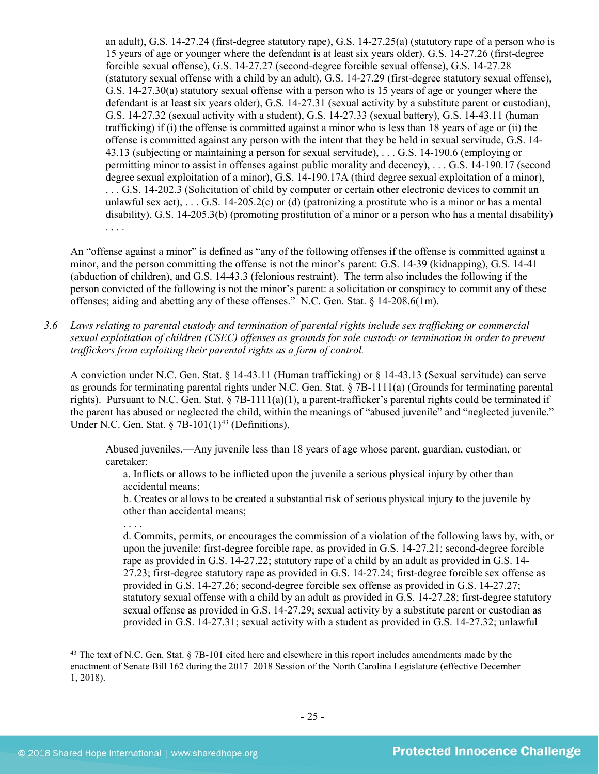an adult), G.S. 14-27.24 (first-degree statutory rape), G.S. 14-27.25(a) (statutory rape of a person who is 15 years of age or younger where the defendant is at least six years older), G.S. 14-27.26 (first-degree forcible sexual offense), G.S. 14-27.27 (second-degree forcible sexual offense), G.S. 14-27.28 (statutory sexual offense with a child by an adult), G.S. 14-27.29 (first-degree statutory sexual offense), G.S. 14-27.30(a) statutory sexual offense with a person who is 15 years of age or younger where the defendant is at least six years older), G.S. 14-27.31 (sexual activity by a substitute parent or custodian), G.S. 14-27.32 (sexual activity with a student), G.S. 14-27.33 (sexual battery), G.S. 14-43.11 (human trafficking) if (i) the offense is committed against a minor who is less than 18 years of age or (ii) the offense is committed against any person with the intent that they be held in sexual servitude, G.S. 14- 43.13 (subjecting or maintaining a person for sexual servitude), . . . G.S. 14-190.6 (employing or permitting minor to assist in offenses against public morality and decency), . . . G.S. 14-190.17 (second degree sexual exploitation of a minor), G.S. 14-190.17A (third degree sexual exploitation of a minor), . . . G.S. 14-202.3 (Solicitation of child by computer or certain other electronic devices to commit an unlawful sex act),  $\dots$  G.S. 14-205.2(c) or (d) (patronizing a prostitute who is a minor or has a mental disability), G.S. 14-205.3(b) (promoting prostitution of a minor or a person who has a mental disability) . . . .

An "offense against a minor" is defined as "any of the following offenses if the offense is committed against a minor, and the person committing the offense is not the minor's parent: G.S. 14-39 (kidnapping), G.S. 14-41 (abduction of children), and G.S. 14-43.3 (felonious restraint). The term also includes the following if the person convicted of the following is not the minor's parent: a solicitation or conspiracy to commit any of these offenses; aiding and abetting any of these offenses." N.C. Gen. Stat. § 14-208.6(1m).

*3.6 Laws relating to parental custody and termination of parental rights include sex trafficking or commercial sexual exploitation of children (CSEC) offenses as grounds for sole custody or termination in order to prevent traffickers from exploiting their parental rights as a form of control.* 

A conviction under N.C. Gen. Stat. § 14-43.11 (Human trafficking) or § 14-43.13 (Sexual servitude) can serve as grounds for terminating parental rights under N.C. Gen. Stat. § 7B-1111(a) (Grounds for terminating parental rights). Pursuant to N.C. Gen. Stat.  $\S 7B-1111(a)(1)$ , a parent-trafficker's parental rights could be terminated if the parent has abused or neglected the child, within the meanings of "abused juvenile" and "neglected juvenile." Under N.C. Gen. Stat.  $\S$  7B-101(1)<sup>[43](#page-24-0)</sup> (Definitions),

Abused juveniles.—Any juvenile less than 18 years of age whose parent, guardian, custodian, or caretaker:

<span id="page-24-1"></span>a. Inflicts or allows to be inflicted upon the juvenile a serious physical injury by other than accidental means;

b. Creates or allows to be created a substantial risk of serious physical injury to the juvenile by other than accidental means;

d. Commits, permits, or encourages the commission of a violation of the following laws by, with, or upon the juvenile: first-degree forcible rape, as provided in G.S. 14-27.21; second-degree forcible rape as provided in G.S. 14-27.22; statutory rape of a child by an adult as provided in G.S. 14- 27.23; first-degree statutory rape as provided in G.S. 14-27.24; first-degree forcible sex offense as provided in G.S. 14-27.26; second-degree forcible sex offense as provided in G.S. 14-27.27; statutory sexual offense with a child by an adult as provided in G.S. 14-27.28; first-degree statutory sexual offense as provided in G.S. 14-27.29; sexual activity by a substitute parent or custodian as provided in G.S. 14-27.31; sexual activity with a student as provided in G.S. 14-27.32; unlawful

<span id="page-24-0"></span> $\overline{\phantom{a}}$ <sup>43</sup> The text of N.C. Gen. Stat. § 7B-101 cited here and elsewhere in this report includes amendments made by the enactment of Senate Bill 162 during the 2017–2018 Session of the North Carolina Legislature (effective December 1, 2018).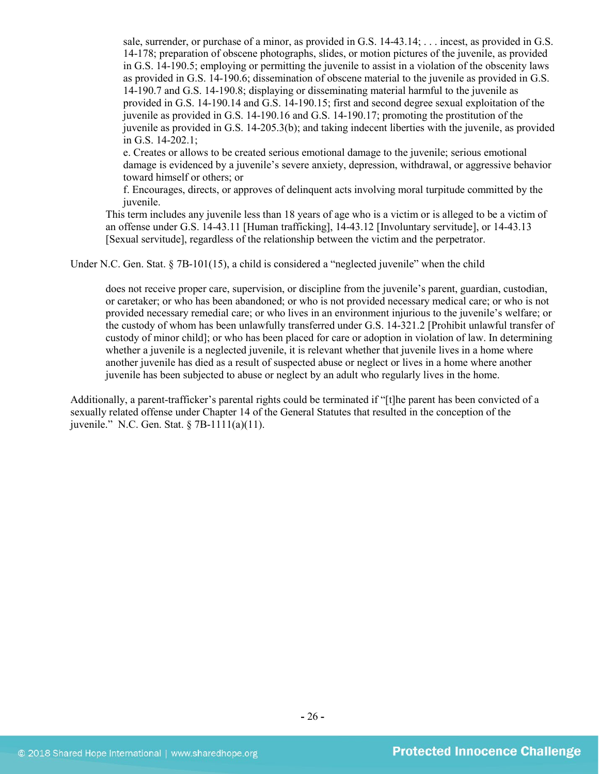sale, surrender, or purchase of a minor, as provided in G.S. 14-43.14; . . . incest, as provided in G.S. 14-178; preparation of obscene photographs, slides, or motion pictures of the juvenile, as provided in G.S. 14-190.5; employing or permitting the juvenile to assist in a violation of the obscenity laws as provided in G.S. 14-190.6; dissemination of obscene material to the juvenile as provided in G.S. 14-190.7 and G.S. 14-190.8; displaying or disseminating material harmful to the juvenile as provided in G.S. 14-190.14 and G.S. 14-190.15; first and second degree sexual exploitation of the juvenile as provided in G.S. 14-190.16 and G.S. 14-190.17; promoting the prostitution of the juvenile as provided in G.S. 14-205.3(b); and taking indecent liberties with the juvenile, as provided in G.S. 14-202.1;

e. Creates or allows to be created serious emotional damage to the juvenile; serious emotional damage is evidenced by a juvenile's severe anxiety, depression, withdrawal, or aggressive behavior toward himself or others; or

f. Encourages, directs, or approves of delinquent acts involving moral turpitude committed by the juvenile.

This term includes any juvenile less than 18 years of age who is a victim or is alleged to be a victim of an offense under G.S. 14-43.11 [Human trafficking], 14-43.12 [Involuntary servitude], or 14-43.13 [Sexual servitude], regardless of the relationship between the victim and the perpetrator.

Under N.C. Gen. Stat. § 7B-101(15), a child is considered a "neglected juvenile" when the child

does not receive proper care, supervision, or discipline from the juvenile's parent, guardian, custodian, or caretaker; or who has been abandoned; or who is not provided necessary medical care; or who is not provided necessary remedial care; or who lives in an environment injurious to the juvenile's welfare; or the custody of whom has been unlawfully transferred under G.S. 14-321.2 [Prohibit unlawful transfer of custody of minor child]; or who has been placed for care or adoption in violation of law. In determining whether a juvenile is a neglected juvenile, it is relevant whether that juvenile lives in a home where another juvenile has died as a result of suspected abuse or neglect or lives in a home where another juvenile has been subjected to abuse or neglect by an adult who regularly lives in the home.

Additionally, a parent-trafficker's parental rights could be terminated if "[t]he parent has been convicted of a sexually related offense under Chapter 14 of the General Statutes that resulted in the conception of the juvenile." N.C. Gen. Stat. § 7B-1111(a)(11).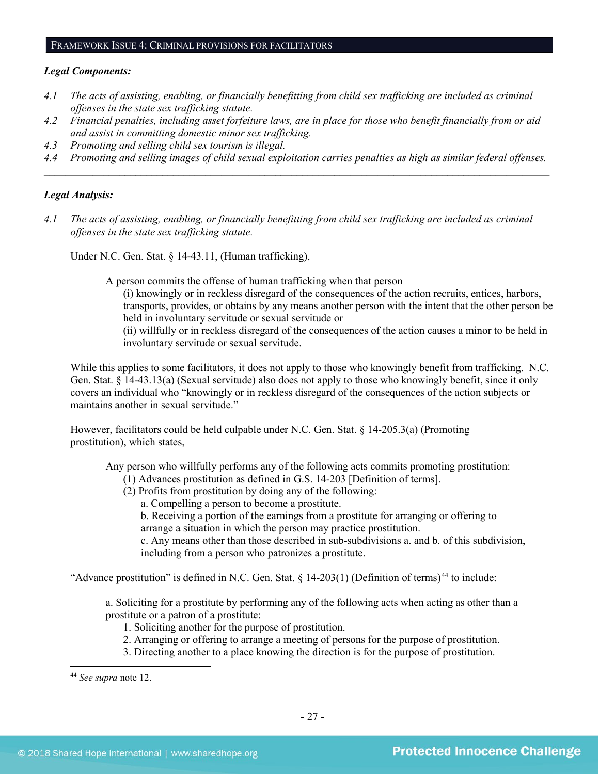#### FRAMEWORK ISSUE 4: CRIMINAL PROVISIONS FOR FACILITATORS

#### *Legal Components:*

- *4.1 The acts of assisting, enabling, or financially benefitting from child sex trafficking are included as criminal offenses in the state sex trafficking statute.*
- *4.2 Financial penalties, including asset forfeiture laws, are in place for those who benefit financially from or aid and assist in committing domestic minor sex trafficking.*
- *4.3 Promoting and selling child sex tourism is illegal.*
- *4.4 Promoting and selling images of child sexual exploitation carries penalties as high as similar federal offenses. \_\_\_\_\_\_\_\_\_\_\_\_\_\_\_\_\_\_\_\_\_\_\_\_\_\_\_\_\_\_\_\_\_\_\_\_\_\_\_\_\_\_\_\_\_\_\_\_\_\_\_\_\_\_\_\_\_\_\_\_\_\_\_\_\_\_\_\_\_\_\_\_\_\_\_\_\_\_\_\_\_\_\_\_\_\_\_\_\_\_\_\_\_\_*

#### *Legal Analysis:*

*4.1 The acts of assisting, enabling, or financially benefitting from child sex trafficking are included as criminal offenses in the state sex trafficking statute.*

Under N.C. Gen. Stat. § 14-43.11, (Human trafficking),

- A person commits the offense of human trafficking when that person
	- (i) knowingly or in reckless disregard of the consequences of the action recruits, entices, harbors, transports, provides, or obtains by any means another person with the intent that the other person be held in involuntary servitude or sexual servitude or
	- (ii) willfully or in reckless disregard of the consequences of the action causes a minor to be held in involuntary servitude or sexual servitude.

While this applies to some facilitators, it does not apply to those who knowingly benefit from trafficking. N.C. Gen. Stat. § 14-43.13(a) (Sexual servitude) also does not apply to those who knowingly benefit, since it only covers an individual who "knowingly or in reckless disregard of the consequences of the action subjects or maintains another in sexual servitude."

However, facilitators could be held culpable under N.C. Gen. Stat. § 14-205.3(a) (Promoting prostitution), which states,

Any person who willfully performs any of the following acts commits promoting prostitution:

- (1) Advances prostitution as defined in G.S. 14-203 [Definition of terms].
- (2) Profits from prostitution by doing any of the following:
	- a. Compelling a person to become a prostitute.

b. Receiving a portion of the earnings from a prostitute for arranging or offering to arrange a situation in which the person may practice prostitution.

c. Any means other than those described in sub-subdivisions a. and b. of this subdivision, including from a person who patronizes a prostitute.

"Advance prostitution" is defined in N.C. Gen. Stat.  $\S$  14-203(1) (Definition of terms)<sup>[44](#page-26-0)</sup> to include:

a. Soliciting for a prostitute by performing any of the following acts when acting as other than a prostitute or a patron of a prostitute:

- 1. Soliciting another for the purpose of prostitution.
- 2. Arranging or offering to arrange a meeting of persons for the purpose of prostitution.
- 3. Directing another to a place knowing the direction is for the purpose of prostitution.

<span id="page-26-0"></span><sup>44</sup> *See supra* note [12.](#page-3-5)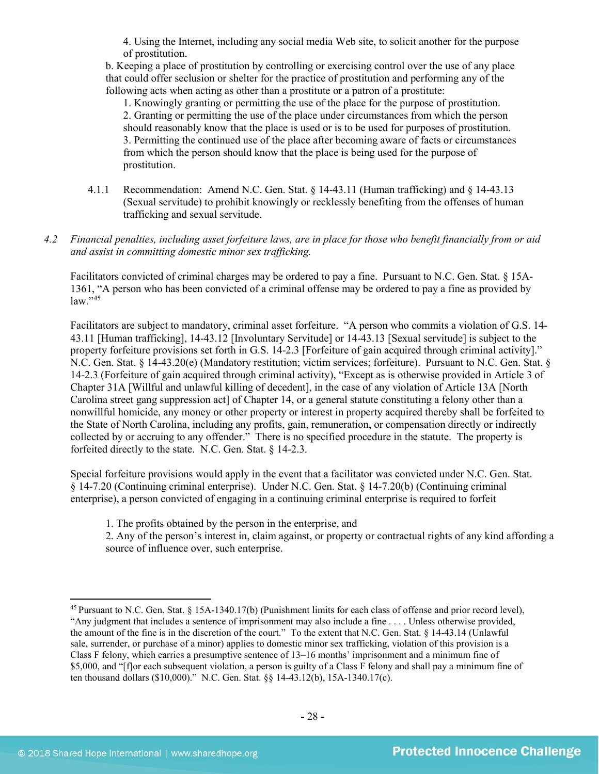4. Using the Internet, including any social media Web site, to solicit another for the purpose of prostitution.

b. Keeping a place of prostitution by controlling or exercising control over the use of any place that could offer seclusion or shelter for the practice of prostitution and performing any of the following acts when acting as other than a prostitute or a patron of a prostitute:

1. Knowingly granting or permitting the use of the place for the purpose of prostitution. 2. Granting or permitting the use of the place under circumstances from which the person should reasonably know that the place is used or is to be used for purposes of prostitution. 3. Permitting the continued use of the place after becoming aware of facts or circumstances from which the person should know that the place is being used for the purpose of prostitution.

- 4.1.1 Recommendation: Amend N.C. Gen. Stat. § 14-43.11 (Human trafficking) and § 14-43.13 (Sexual servitude) to prohibit knowingly or recklessly benefiting from the offenses of human trafficking and sexual servitude.
- *4.2 Financial penalties, including asset forfeiture laws, are in place for those who benefit financially from or aid and assist in committing domestic minor sex trafficking.*

Facilitators convicted of criminal charges may be ordered to pay a fine. Pursuant to N.C. Gen. Stat. § 15A-1361, "A person who has been convicted of a criminal offense may be ordered to pay a fine as provided by law."[45](#page-27-0)

Facilitators are subject to mandatory, criminal asset forfeiture. "A person who commits a violation of G.S. 14- 43.11 [Human trafficking], 14-43.12 [Involuntary Servitude] or 14-43.13 [Sexual servitude] is subject to the property forfeiture provisions set forth in G.S. 14-2.3 [Forfeiture of gain acquired through criminal activity]." N.C. Gen. Stat. § 14-43.20(e) (Mandatory restitution; victim services; forfeiture). Pursuant to N.C. Gen. Stat. § 14-2.3 (Forfeiture of gain acquired through criminal activity), "Except as is otherwise provided in Article 3 of Chapter 31A [Willful and unlawful killing of decedent], in the case of any violation of Article 13A [North Carolina street gang suppression act] of Chapter 14, or a general statute constituting a felony other than a nonwillful homicide, any money or other property or interest in property acquired thereby shall be forfeited to the State of North Carolina, including any profits, gain, remuneration, or compensation directly or indirectly collected by or accruing to any offender." There is no specified procedure in the statute. The property is forfeited directly to the state. N.C. Gen. Stat. § 14-2.3.

Special forfeiture provisions would apply in the event that a facilitator was convicted under N.C. Gen. Stat. § 14-7.20 (Continuing criminal enterprise). Under N.C. Gen. Stat. § 14-7.20(b) (Continuing criminal enterprise), a person convicted of engaging in a continuing criminal enterprise is required to forfeit

1. The profits obtained by the person in the enterprise, and

2. Any of the person's interest in, claim against, or property or contractual rights of any kind affording a source of influence over, such enterprise.

<span id="page-27-0"></span><sup>45</sup> Pursuant to N.C. Gen. Stat. § 15A-1340.17(b) (Punishment limits for each class of offense and prior record level), "Any judgment that includes a sentence of imprisonment may also include a fine . . . . Unless otherwise provided, the amount of the fine is in the discretion of the court." To the extent that N.C. Gen. Stat. § 14-43.14 (Unlawful sale, surrender, or purchase of a minor) applies to domestic minor sex trafficking, violation of this provision is a Class F felony, which carries a presumptive sentence of 13–16 months' imprisonment and a minimum fine of \$5,000, and "[f]or each subsequent violation, a person is guilty of a Class F felony and shall pay a minimum fine of ten thousand dollars (\$10,000)." N.C. Gen. Stat. §§ 14-43.12(b), 15A-1340.17(c).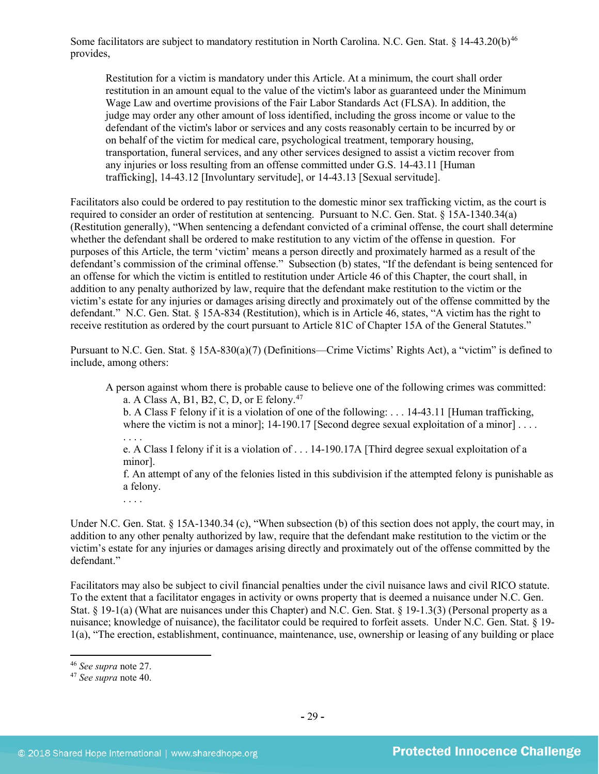Some facilitators are subject to mandatory restitution in North Carolina. N.C. Gen. Stat. § 14-43.20(b)<sup>[46](#page-28-0)</sup> provides,

Restitution for a victim is mandatory under this Article. At a minimum, the court shall order restitution in an amount equal to the value of the victim's labor as guaranteed under the Minimum Wage Law and overtime provisions of the Fair Labor Standards Act (FLSA). In addition, the judge may order any other amount of loss identified, including the gross income or value to the defendant of the victim's labor or services and any costs reasonably certain to be incurred by or on behalf of the victim for medical care, psychological treatment, temporary housing, transportation, funeral services, and any other services designed to assist a victim recover from any injuries or loss resulting from an offense committed under G.S. 14-43.11 [Human trafficking], 14-43.12 [Involuntary servitude], or 14-43.13 [Sexual servitude].

Facilitators also could be ordered to pay restitution to the domestic minor sex trafficking victim, as the court is required to consider an order of restitution at sentencing. Pursuant to N.C. Gen. Stat. § 15A-1340.34(a) (Restitution generally), "When sentencing a defendant convicted of a criminal offense, the court shall determine whether the defendant shall be ordered to make restitution to any victim of the offense in question. For purposes of this Article, the term 'victim' means a person directly and proximately harmed as a result of the defendant's commission of the criminal offense." Subsection (b) states, "If the defendant is being sentenced for an offense for which the victim is entitled to restitution under Article 46 of this Chapter, the court shall, in addition to any penalty authorized by law, require that the defendant make restitution to the victim or the victim's estate for any injuries or damages arising directly and proximately out of the offense committed by the defendant." N.C. Gen. Stat. § 15A-834 (Restitution), which is in Article 46, states, "A victim has the right to receive restitution as ordered by the court pursuant to Article 81C of Chapter 15A of the General Statutes."

Pursuant to N.C. Gen. Stat. § 15A-830(a)(7) (Definitions—Crime Victims' Rights Act), a "victim" is defined to include, among others:

A person against whom there is probable cause to believe one of the following crimes was committed: a. A Class A, B1, B2, C, D, or E felony.<sup>[47](#page-28-1)</sup>

b. A Class F felony if it is a violation of one of the following: . . . 14-43.11 [Human trafficking, where the victim is not a minor]; 14-190.17 [Second degree sexual exploitation of a minor] . . . .

. . . .

e. A Class I felony if it is a violation of . . . 14-190.17A [Third degree sexual exploitation of a minor].

f. An attempt of any of the felonies listed in this subdivision if the attempted felony is punishable as a felony.

. . . .

Under N.C. Gen. Stat. § 15A-1340.34 (c), "When subsection (b) of this section does not apply, the court may, in addition to any other penalty authorized by law, require that the defendant make restitution to the victim or the victim's estate for any injuries or damages arising directly and proximately out of the offense committed by the defendant."

Facilitators may also be subject to civil financial penalties under the civil nuisance laws and civil RICO statute. To the extent that a facilitator engages in activity or owns property that is deemed a nuisance under N.C. Gen. Stat. § 19-1(a) (What are nuisances under this Chapter) and N.C. Gen. Stat. § 19-1.3(3) (Personal property as a nuisance; knowledge of nuisance), the facilitator could be required to forfeit assets. Under N.C. Gen. Stat. § 19- 1(a), "The erection, establishment, continuance, maintenance, use, ownership or leasing of any building or place

<span id="page-28-0"></span><sup>46</sup> *See supra* note [27.](#page-15-1)

<span id="page-28-1"></span><sup>47</sup> *See supra* note [40.](#page-21-2)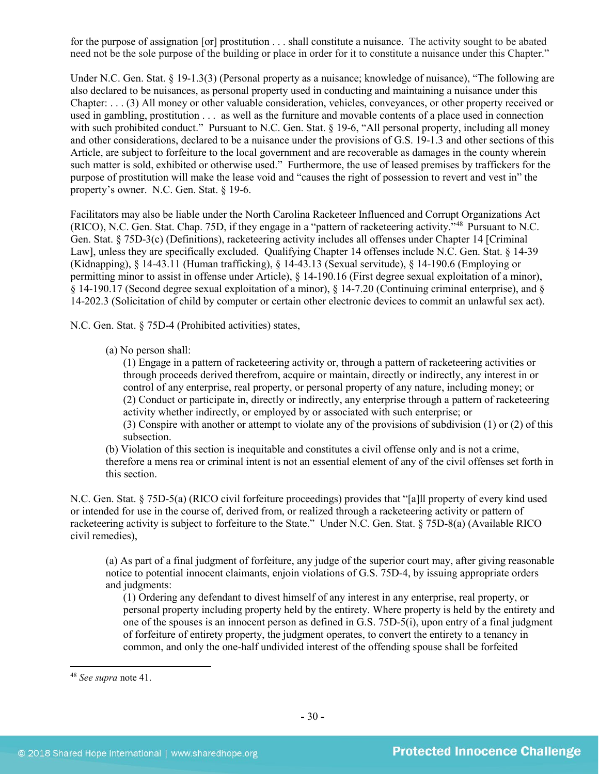for the purpose of assignation [or] prostitution . . . shall constitute a nuisance. The activity sought to be abated need not be the sole purpose of the building or place in order for it to constitute a nuisance under this Chapter."

Under N.C. Gen. Stat. § 19-1.3(3) (Personal property as a nuisance; knowledge of nuisance), "The following are also declared to be nuisances, as personal property used in conducting and maintaining a nuisance under this Chapter: . . . (3) All money or other valuable consideration, vehicles, conveyances, or other property received or used in gambling, prostitution . . . as well as the furniture and movable contents of a place used in connection with such prohibited conduct." Pursuant to N.C. Gen. Stat. § 19-6, "All personal property, including all money and other considerations, declared to be a nuisance under the provisions of G.S. 19-1.3 and other sections of this Article, are subject to forfeiture to the local government and are recoverable as damages in the county wherein such matter is sold, exhibited or otherwise used." Furthermore, the use of leased premises by traffickers for the purpose of prostitution will make the lease void and "causes the right of possession to revert and vest in" the property's owner. N.C. Gen. Stat. § 19-6.

Facilitators may also be liable under the North Carolina Racketeer Influenced and Corrupt Organizations Act (RICO), N.C. Gen. Stat. Chap. 75D, if they engage in a "pattern of racketeering activity."[48](#page-29-0) Pursuant to N.C. Gen. Stat. § 75D-3(c) (Definitions), racketeering activity includes all offenses under Chapter 14 [Criminal Law], unless they are specifically excluded. Qualifying Chapter 14 offenses include N.C. Gen. Stat. § 14-39 (Kidnapping), § 14-43.11 (Human trafficking), § 14-43.13 (Sexual servitude), § 14-190.6 (Employing or permitting minor to assist in offense under Article), § 14-190.16 (First degree sexual exploitation of a minor), § 14-190.17 (Second degree sexual exploitation of a minor), § 14-7.20 (Continuing criminal enterprise), and § 14-202.3 (Solicitation of child by computer or certain other electronic devices to commit an unlawful sex act).

N.C. Gen. Stat. § 75D-4 (Prohibited activities) states,

(a) No person shall:

(1) Engage in a pattern of racketeering activity or, through a pattern of racketeering activities or through proceeds derived therefrom, acquire or maintain, directly or indirectly, any interest in or control of any enterprise, real property, or personal property of any nature, including money; or (2) Conduct or participate in, directly or indirectly, any enterprise through a pattern of racketeering activity whether indirectly, or employed by or associated with such enterprise; or

(3) Conspire with another or attempt to violate any of the provisions of subdivision (1) or (2) of this subsection.

(b) Violation of this section is inequitable and constitutes a civil offense only and is not a crime, therefore a mens rea or criminal intent is not an essential element of any of the civil offenses set forth in this section.

N.C. Gen. Stat. § 75D-5(a) (RICO civil forfeiture proceedings) provides that "[a]ll property of every kind used or intended for use in the course of, derived from, or realized through a racketeering activity or pattern of racketeering activity is subject to forfeiture to the State." Under N.C. Gen. Stat. § 75D-8(a) (Available RICO civil remedies),

(a) As part of a final judgment of forfeiture, any judge of the superior court may, after giving reasonable notice to potential innocent claimants, enjoin violations of G.S. 75D-4, by issuing appropriate orders and judgments:

(1) Ordering any defendant to divest himself of any interest in any enterprise, real property, or personal property including property held by the entirety. Where property is held by the entirety and one of the spouses is an innocent person as defined in G.S. 75D-5(i), upon entry of a final judgment of forfeiture of entirety property, the judgment operates, to convert the entirety to a tenancy in common, and only the one-half undivided interest of the offending spouse shall be forfeited

<span id="page-29-0"></span><sup>48</sup> *See supra* note [41.](#page-22-1)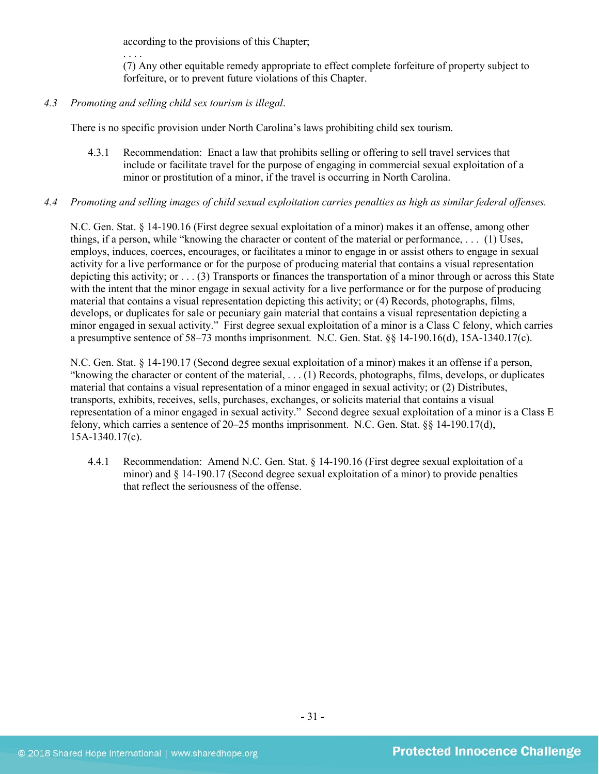according to the provisions of this Chapter;

(7) Any other equitable remedy appropriate to effect complete forfeiture of property subject to forfeiture, or to prevent future violations of this Chapter.

#### *4.3 Promoting and selling child sex tourism is illegal*.

. . . .

There is no specific provision under North Carolina's laws prohibiting child sex tourism.

4.3.1 Recommendation: Enact a law that prohibits selling or offering to sell travel services that include or facilitate travel for the purpose of engaging in commercial sexual exploitation of a minor or prostitution of a minor, if the travel is occurring in North Carolina.

#### *4.4 Promoting and selling images of child sexual exploitation carries penalties as high as similar federal offenses.*

N.C. Gen. Stat. § 14-190.16 (First degree sexual exploitation of a minor) makes it an offense, among other things, if a person, while "knowing the character or content of the material or performance, . . . (1) Uses, employs, induces, coerces, encourages, or facilitates a minor to engage in or assist others to engage in sexual activity for a live performance or for the purpose of producing material that contains a visual representation depicting this activity; or . . . (3) Transports or finances the transportation of a minor through or across this State with the intent that the minor engage in sexual activity for a live performance or for the purpose of producing material that contains a visual representation depicting this activity; or (4) Records, photographs, films, develops, or duplicates for sale or pecuniary gain material that contains a visual representation depicting a minor engaged in sexual activity." First degree sexual exploitation of a minor is a Class C felony, which carries a presumptive sentence of 58–73 months imprisonment. N.C. Gen. Stat. §§ 14-190.16(d), 15A-1340.17(c).

N.C. Gen. Stat. § 14-190.17 (Second degree sexual exploitation of a minor) makes it an offense if a person, "knowing the character or content of the material, . . . (1) Records, photographs, films, develops, or duplicates material that contains a visual representation of a minor engaged in sexual activity; or (2) Distributes, transports, exhibits, receives, sells, purchases, exchanges, or solicits material that contains a visual representation of a minor engaged in sexual activity." Second degree sexual exploitation of a minor is a Class E felony, which carries a sentence of 20–25 months imprisonment. N.C. Gen. Stat. §§ 14-190.17(d), 15A-1340.17(c).

4.4.1 Recommendation: Amend N.C. Gen. Stat. § 14-190.16 (First degree sexual exploitation of a minor) and § 14-190.17 (Second degree sexual exploitation of a minor) to provide penalties that reflect the seriousness of the offense.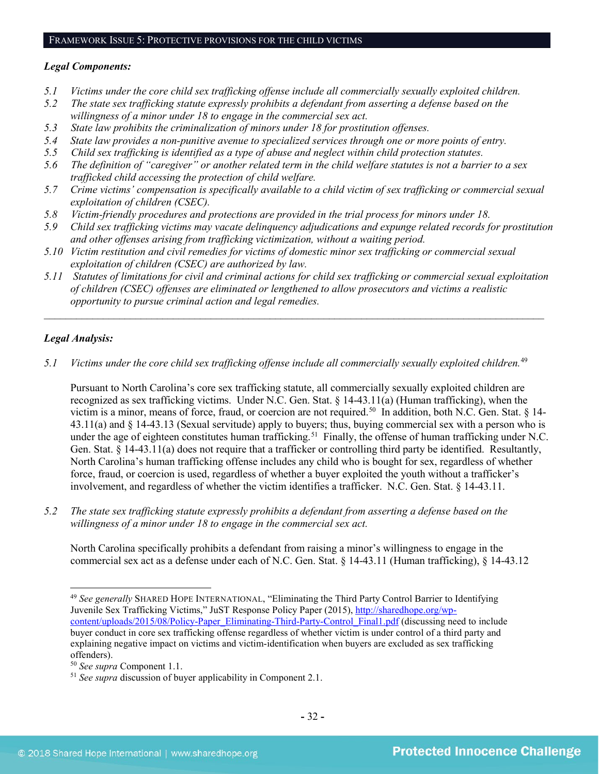## *Legal Components:*

- *5.1 Victims under the core child sex trafficking offense include all commercially sexually exploited children.*
- *5.2 The state sex trafficking statute expressly prohibits a defendant from asserting a defense based on the willingness of a minor under 18 to engage in the commercial sex act.*
- *5.3 State law prohibits the criminalization of minors under 18 for prostitution offenses.*
- *5.4 State law provides a non-punitive avenue to specialized services through one or more points of entry.*
- *5.5 Child sex trafficking is identified as a type of abuse and neglect within child protection statutes.*
- *5.6 The definition of "caregiver" or another related term in the child welfare statutes is not a barrier to a sex trafficked child accessing the protection of child welfare.*
- *5.7 Crime victims' compensation is specifically available to a child victim of sex trafficking or commercial sexual exploitation of children (CSEC).*
- *5.8 Victim-friendly procedures and protections are provided in the trial process for minors under 18.*
- *5.9 Child sex trafficking victims may vacate delinquency adjudications and expunge related records for prostitution and other offenses arising from trafficking victimization, without a waiting period.*
- *5.10 Victim restitution and civil remedies for victims of domestic minor sex trafficking or commercial sexual exploitation of children (CSEC) are authorized by law.*
- *5.11 Statutes of limitations for civil and criminal actions for child sex trafficking or commercial sexual exploitation of children (CSEC) offenses are eliminated or lengthened to allow prosecutors and victims a realistic opportunity to pursue criminal action and legal remedies.*

*\_\_\_\_\_\_\_\_\_\_\_\_\_\_\_\_\_\_\_\_\_\_\_\_\_\_\_\_\_\_\_\_\_\_\_\_\_\_\_\_\_\_\_\_\_\_\_\_\_\_\_\_\_\_\_\_\_\_\_\_\_\_\_\_\_\_\_\_\_\_\_\_\_\_\_\_\_\_\_\_\_\_\_\_\_\_\_\_\_\_\_\_\_*

## *Legal Analysis:*

*5.1 Victims under the core child sex trafficking offense include all commercially sexually exploited children.* [49](#page-31-0)

Pursuant to North Carolina's core sex trafficking statute, all commercially sexually exploited children are recognized as sex trafficking victims. Under N.C. Gen. Stat. § 14-43.11(a) (Human trafficking), when the victim is a minor, means of force, fraud, or coercion are not required.<sup>[50](#page-31-1)</sup> In addition, both N.C. Gen. Stat. § 14-43.11(a) and § 14-43.13 (Sexual servitude) apply to buyers; thus, buying commercial sex with a person who is under the age of eighteen constitutes human trafficking.<sup>[51](#page-31-2)</sup> Finally, the offense of human trafficking under N.C. Gen. Stat. § 14-43.11(a) does not require that a trafficker or controlling third party be identified. Resultantly, North Carolina's human trafficking offense includes any child who is bought for sex, regardless of whether force, fraud, or coercion is used, regardless of whether a buyer exploited the youth without a trafficker's involvement, and regardless of whether the victim identifies a trafficker. N.C. Gen. Stat. § 14-43.11.

*5.2 The state sex trafficking statute expressly prohibits a defendant from asserting a defense based on the willingness of a minor under 18 to engage in the commercial sex act.*

North Carolina specifically prohibits a defendant from raising a minor's willingness to engage in the commercial sex act as a defense under each of N.C. Gen. Stat. § 14-43.11 (Human trafficking), § 14-43.12

<span id="page-31-0"></span> $\overline{\phantom{a}}$ <sup>49</sup> *See generally* SHARED HOPE INTERNATIONAL, "Eliminating the Third Party Control Barrier to Identifying Juvenile Sex Trafficking Victims," JuST Response Policy Paper (2015), [http://sharedhope.org/wp](http://sharedhope.org/wp-content/uploads/2015/08/Policy-Paper_Eliminating-Third-Party-Control_Final1.pdf)[content/uploads/2015/08/Policy-Paper\\_Eliminating-Third-Party-Control\\_Final1.pdf](http://sharedhope.org/wp-content/uploads/2015/08/Policy-Paper_Eliminating-Third-Party-Control_Final1.pdf) (discussing need to include buyer conduct in core sex trafficking offense regardless of whether victim is under control of a third party and explaining negative impact on victims and victim-identification when buyers are excluded as sex trafficking offenders).

<span id="page-31-1"></span><sup>50</sup> *See supra* Component 1.1.

<span id="page-31-2"></span><sup>51</sup> *See supra* discussion of buyer applicability in Component 2.1.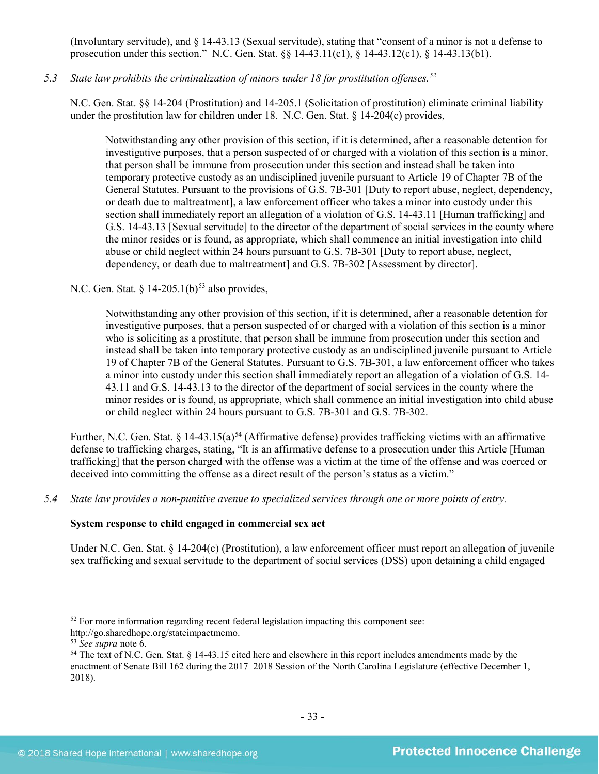(Involuntary servitude), and § 14-43.13 (Sexual servitude), stating that "consent of a minor is not a defense to prosecution under this section." N.C. Gen. Stat. §§ 14-43.11(c1), § 14-43.12(c1), § 14-43.13(b1).

## *5.3 State law prohibits the criminalization of minors under 18 for prostitution offenses. [52](#page-32-0)*

N.C. Gen. Stat. §§ 14-204 (Prostitution) and 14-205.1 (Solicitation of prostitution) eliminate criminal liability under the prostitution law for children under 18. N.C. Gen. Stat. § 14-204(c) provides,

Notwithstanding any other provision of this section, if it is determined, after a reasonable detention for investigative purposes, that a person suspected of or charged with a violation of this section is a minor, that person shall be immune from prosecution under this section and instead shall be taken into temporary protective custody as an undisciplined juvenile pursuant to Article 19 of Chapter 7B of the General Statutes. Pursuant to the provisions of G.S. 7B-301 [Duty to report abuse, neglect, dependency, or death due to maltreatment], a law enforcement officer who takes a minor into custody under this section shall immediately report an allegation of a violation of G.S. 14-43.11 [Human trafficking] and G.S. 14-43.13 [Sexual servitude] to the director of the department of social services in the county where the minor resides or is found, as appropriate, which shall commence an initial investigation into child abuse or child neglect within 24 hours pursuant to G.S. 7B-301 [Duty to report abuse, neglect, dependency, or death due to maltreatment] and G.S. 7B-302 [Assessment by director].

N.C. Gen. Stat. §  $14-205.1(b)^{53}$  $14-205.1(b)^{53}$  $14-205.1(b)^{53}$  also provides,

Notwithstanding any other provision of this section, if it is determined, after a reasonable detention for investigative purposes, that a person suspected of or charged with a violation of this section is a minor who is soliciting as a prostitute, that person shall be immune from prosecution under this section and instead shall be taken into temporary protective custody as an undisciplined juvenile pursuant to Article 19 of Chapter 7B of the General Statutes. Pursuant to G.S. 7B-301, a law enforcement officer who takes a minor into custody under this section shall immediately report an allegation of a violation of G.S. 14- 43.11 and G.S. 14-43.13 to the director of the department of social services in the county where the minor resides or is found, as appropriate, which shall commence an initial investigation into child abuse or child neglect within 24 hours pursuant to G.S. 7B-301 and G.S. 7B-302.

Further, N.C. Gen. Stat. § 14-43.15(a)<sup>[54](#page-32-2)</sup> (Affirmative defense) provides trafficking victims with an affirmative defense to trafficking charges, stating, "It is an affirmative defense to a prosecution under this Article [Human trafficking] that the person charged with the offense was a victim at the time of the offense and was coerced or deceived into committing the offense as a direct result of the person's status as a victim."

*5.4 State law provides a non-punitive avenue to specialized services through one or more points of entry.*

## **System response to child engaged in commercial sex act**

Under N.C. Gen. Stat. § 14-204(c) (Prostitution), a law enforcement officer must report an allegation of juvenile sex trafficking and sexual servitude to the department of social services (DSS) upon detaining a child engaged

<span id="page-32-0"></span><sup>&</sup>lt;sup>52</sup> For more information regarding recent federal legislation impacting this component see:

http://go.sharedhope.org/stateimpactmemo.

<span id="page-32-1"></span><sup>53</sup> *See supra* note [6.](#page-2-5)

<span id="page-32-2"></span><sup>54</sup> The text of N.C. Gen. Stat. § 14-43.15 cited here and elsewhere in this report includes amendments made by the enactment of Senate Bill 162 during the 2017–2018 Session of the North Carolina Legislature (effective December 1, 2018).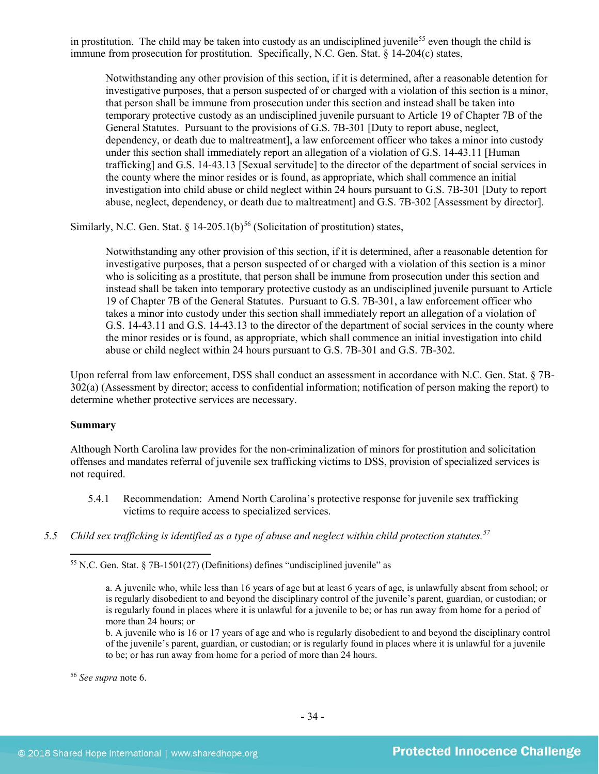in prostitution. The child may be taken into custody as an undisciplined juvenile<sup>[55](#page-33-0)</sup> even though the child is immune from prosecution for prostitution. Specifically, N.C. Gen. Stat. § 14-204(c) states,

Notwithstanding any other provision of this section, if it is determined, after a reasonable detention for investigative purposes, that a person suspected of or charged with a violation of this section is a minor, that person shall be immune from prosecution under this section and instead shall be taken into temporary protective custody as an undisciplined juvenile pursuant to Article 19 of Chapter 7B of the General Statutes. Pursuant to the provisions of G.S. 7B-301 [Duty to report abuse, neglect, dependency, or death due to maltreatment], a law enforcement officer who takes a minor into custody under this section shall immediately report an allegation of a violation of G.S. 14-43.11 [Human trafficking] and G.S. 14-43.13 [Sexual servitude] to the director of the department of social services in the county where the minor resides or is found, as appropriate, which shall commence an initial investigation into child abuse or child neglect within 24 hours pursuant to G.S. 7B-301 [Duty to report abuse, neglect, dependency, or death due to maltreatment] and G.S. 7B-302 [Assessment by director].

Similarly, N.C. Gen. Stat.  $\S$  14-205.1(b)<sup>[56](#page-33-1)</sup> (Solicitation of prostitution) states,

Notwithstanding any other provision of this section, if it is determined, after a reasonable detention for investigative purposes, that a person suspected of or charged with a violation of this section is a minor who is soliciting as a prostitute, that person shall be immune from prosecution under this section and instead shall be taken into temporary protective custody as an undisciplined juvenile pursuant to Article 19 of Chapter 7B of the General Statutes. Pursuant to G.S. 7B-301, a law enforcement officer who takes a minor into custody under this section shall immediately report an allegation of a violation of G.S. 14-43.11 and G.S. 14-43.13 to the director of the department of social services in the county where the minor resides or is found, as appropriate, which shall commence an initial investigation into child abuse or child neglect within 24 hours pursuant to G.S. 7B-301 and G.S. 7B-302.

Upon referral from law enforcement, DSS shall conduct an assessment in accordance with N.C. Gen. Stat. § 7B-302(a) (Assessment by director; access to confidential information; notification of person making the report) to determine whether protective services are necessary.

## **Summary**

Although North Carolina law provides for the non-criminalization of minors for prostitution and solicitation offenses and mandates referral of juvenile sex trafficking victims to DSS, provision of specialized services is not required.

- 5.4.1 Recommendation: Amend North Carolina's protective response for juvenile sex trafficking victims to require access to specialized services.
- <span id="page-33-0"></span>*5.5 Child sex trafficking is identified as a type of abuse and neglect within child protection statutes.[57](#page-33-2)*

 $\overline{\phantom{a}}$  $55$  N.C. Gen. Stat.  $\frac{1}{2}$  7B-1501(27) (Definitions) defines "undisciplined juvenile" as

<span id="page-33-2"></span><span id="page-33-1"></span><sup>56</sup> *See supra* note [6.](#page-2-5)

a. A juvenile who, while less than 16 years of age but at least 6 years of age, is unlawfully absent from school; or is regularly disobedient to and beyond the disciplinary control of the juvenile's parent, guardian, or custodian; or is regularly found in places where it is unlawful for a juvenile to be; or has run away from home for a period of more than 24 hours; or

b. A juvenile who is 16 or 17 years of age and who is regularly disobedient to and beyond the disciplinary control of the juvenile's parent, guardian, or custodian; or is regularly found in places where it is unlawful for a juvenile to be; or has run away from home for a period of more than 24 hours.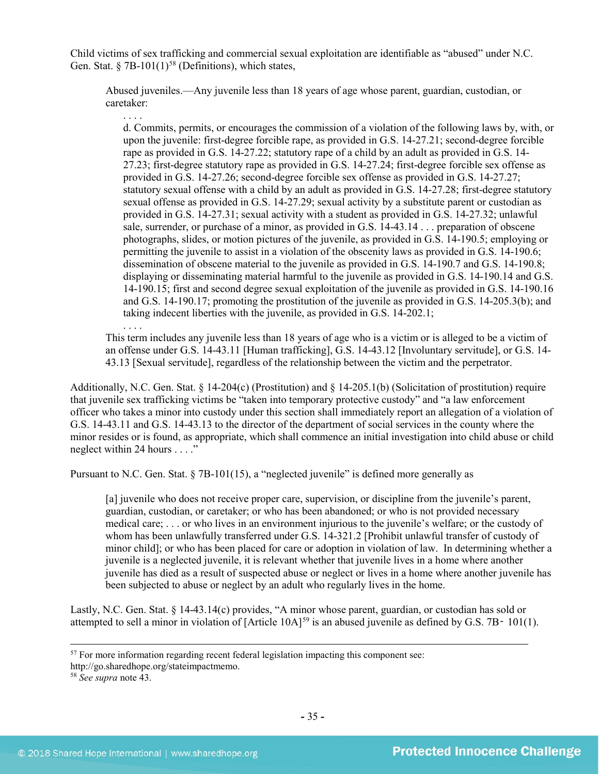Child victims of sex trafficking and commercial sexual exploitation are identifiable as "abused" under N.C. Gen. Stat.  $\S$  7B-101(1)<sup>[58](#page-34-0)</sup> (Definitions), which states,

Abused juveniles.—Any juvenile less than 18 years of age whose parent, guardian, custodian, or caretaker:

d. Commits, permits, or encourages the commission of a violation of the following laws by, with, or upon the juvenile: first-degree forcible rape, as provided in G.S. 14-27.21; second-degree forcible rape as provided in G.S. 14-27.22; statutory rape of a child by an adult as provided in G.S. 14- 27.23; first-degree statutory rape as provided in G.S. 14-27.24; first-degree forcible sex offense as provided in G.S. 14-27.26; second-degree forcible sex offense as provided in G.S. 14-27.27; statutory sexual offense with a child by an adult as provided in G.S. 14-27.28; first-degree statutory sexual offense as provided in G.S. 14-27.29; sexual activity by a substitute parent or custodian as provided in G.S. 14-27.31; sexual activity with a student as provided in G.S. 14-27.32; unlawful sale, surrender, or purchase of a minor, as provided in G.S. 14-43.14 . . . preparation of obscene photographs, slides, or motion pictures of the juvenile, as provided in G.S. 14-190.5; employing or permitting the juvenile to assist in a violation of the obscenity laws as provided in G.S. 14-190.6; dissemination of obscene material to the juvenile as provided in G.S. 14-190.7 and G.S. 14-190.8; displaying or disseminating material harmful to the juvenile as provided in G.S. 14-190.14 and G.S. 14-190.15; first and second degree sexual exploitation of the juvenile as provided in G.S. 14-190.16 and G.S. 14-190.17; promoting the prostitution of the juvenile as provided in G.S. 14-205.3(b); and taking indecent liberties with the juvenile, as provided in G.S. 14-202.1;

. . . . This term includes any juvenile less than 18 years of age who is a victim or is alleged to be a victim of an offense under G.S. 14-43.11 [Human trafficking], G.S. 14-43.12 [Involuntary servitude], or G.S. 14- 43.13 [Sexual servitude], regardless of the relationship between the victim and the perpetrator.

Additionally, N.C. Gen. Stat. § 14-204(c) (Prostitution) and § 14-205.1(b) (Solicitation of prostitution) require that juvenile sex trafficking victims be "taken into temporary protective custody" and "a law enforcement officer who takes a minor into custody under this section shall immediately report an allegation of a violation of G.S. 14-43.11 and G.S. 14-43.13 to the director of the department of social services in the county where the minor resides or is found, as appropriate, which shall commence an initial investigation into child abuse or child neglect within 24 hours . . . ."

<span id="page-34-1"></span>Pursuant to N.C. Gen. Stat. § 7B-101(15), a "neglected juvenile" is defined more generally as

[a] juvenile who does not receive proper care, supervision, or discipline from the juvenile's parent, guardian, custodian, or caretaker; or who has been abandoned; or who is not provided necessary medical care; . . . or who lives in an environment injurious to the juvenile's welfare; or the custody of whom has been unlawfully transferred under G.S. 14-321.2 [Prohibit unlawful transfer of custody of minor child]; or who has been placed for care or adoption in violation of law. In determining whether a juvenile is a neglected juvenile, it is relevant whether that juvenile lives in a home where another juvenile has died as a result of suspected abuse or neglect or lives in a home where another juvenile has been subjected to abuse or neglect by an adult who regularly lives in the home.

Lastly, N.C. Gen. Stat. § 14-43.14(c) provides, "A minor whose parent, guardian, or custodian has sold or attempted to sell a minor in violation of [Article 10A]<sup>[59](#page-34-1)</sup> is an abused juvenile as defined by G.S. 7B– 101(1).

<sup>&</sup>lt;sup>57</sup> For more information regarding recent federal legislation impacting this component see:

<span id="page-34-0"></span>http://go.sharedhope.org/stateimpactmemo.

<sup>58</sup> *See supra* note [43.](#page-24-1)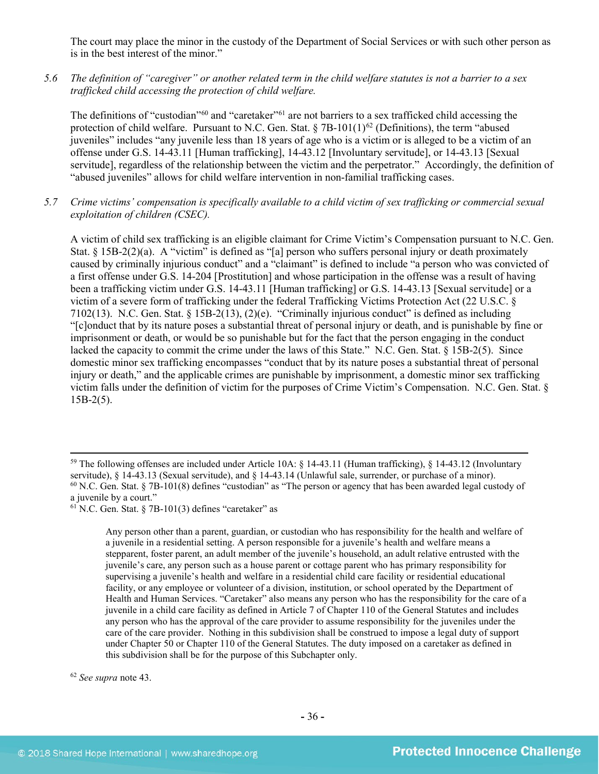The court may place the minor in the custody of the Department of Social Services or with such other person as is in the best interest of the minor."

*5.6 The definition of "caregiver" or another related term in the child welfare statutes is not a barrier to a sex trafficked child accessing the protection of child welfare.*

The definitions of "custodian"<sup>[60](#page-35-0)</sup> and "caretaker"<sup>[61](#page-35-1)</sup> are not barriers to a sex trafficked child accessing the protection of child welfare. Pursuant to N.C. Gen. Stat.  $\S 7B-101(1)^{62}$  $\S 7B-101(1)^{62}$  $\S 7B-101(1)^{62}$  (Definitions), the term "abused juveniles" includes "any juvenile less than 18 years of age who is a victim or is alleged to be a victim of an offense under G.S. 14-43.11 [Human trafficking], 14-43.12 [Involuntary servitude], or 14-43.13 [Sexual servitude], regardless of the relationship between the victim and the perpetrator." Accordingly, the definition of "abused juveniles" allows for child welfare intervention in non-familial trafficking cases.

*5.7 Crime victims' compensation is specifically available to a child victim of sex trafficking or commercial sexual exploitation of children (CSEC).*

A victim of child sex trafficking is an eligible claimant for Crime Victim's Compensation pursuant to N.C. Gen. Stat.  $\S$  15B-2(2)(a). A "victim" is defined as "[a] person who suffers personal injury or death proximately caused by criminally injurious conduct" and a "claimant" is defined to include "a person who was convicted of a first offense under G.S. 14-204 [Prostitution] and whose participation in the offense was a result of having been a trafficking victim under G.S. 14-43.11 [Human trafficking] or G.S. 14-43.13 [Sexual servitude] or a victim of a severe form of trafficking under the federal Trafficking Victims Protection Act (22 U.S.C. § 7102(13). N.C. Gen. Stat. § 15B-2(13), (2)(e). "Criminally injurious conduct" is defined as including "[c]onduct that by its nature poses a substantial threat of personal injury or death, and is punishable by fine or imprisonment or death, or would be so punishable but for the fact that the person engaging in the conduct lacked the capacity to commit the crime under the laws of this State." N.C. Gen. Stat. § 15B-2(5). Since domestic minor sex trafficking encompasses "conduct that by its nature poses a substantial threat of personal injury or death," and the applicable crimes are punishable by imprisonment, a domestic minor sex trafficking victim falls under the definition of victim for the purposes of Crime Victim's Compensation. N.C. Gen. Stat. § 15B-2(5).

Any person other than a parent, guardian, or custodian who has responsibility for the health and welfare of a juvenile in a residential setting. A person responsible for a juvenile's health and welfare means a stepparent, foster parent, an adult member of the juvenile's household, an adult relative entrusted with the juvenile's care, any person such as a house parent or cottage parent who has primary responsibility for supervising a juvenile's health and welfare in a residential child care facility or residential educational facility, or any employee or volunteer of a division, institution, or school operated by the Department of Health and Human Services. "Caretaker" also means any person who has the responsibility for the care of a juvenile in a child care facility as defined in Article 7 of Chapter 110 of the General Statutes and includes any person who has the approval of the care provider to assume responsibility for the juveniles under the care of the care provider. Nothing in this subdivision shall be construed to impose a legal duty of support under Chapter 50 or Chapter 110 of the General Statutes. The duty imposed on a caretaker as defined in this subdivision shall be for the purpose of this Subchapter only.

<span id="page-35-2"></span><sup>62</sup> *See supra* note [43.](#page-24-1)

<span id="page-35-0"></span><sup>&</sup>lt;sup>59</sup> The following offenses are included under Article 10A:  $\S$  14-43.11 (Human trafficking),  $\S$  14-43.12 (Involuntary servitude),  $\S$  14-43.13 (Sexual servitude), and  $\S$  14-43.14 (Unlawful sale, surrender, or purchase  $60$  N.C. Gen. Stat. § 7B-101(8) defines "custodian" as "The person or agency that has been awarded legal custody of a juvenile by a court."

<span id="page-35-1"></span> $61$  N.C. Gen. Stat. § 7B-101(3) defines "caretaker" as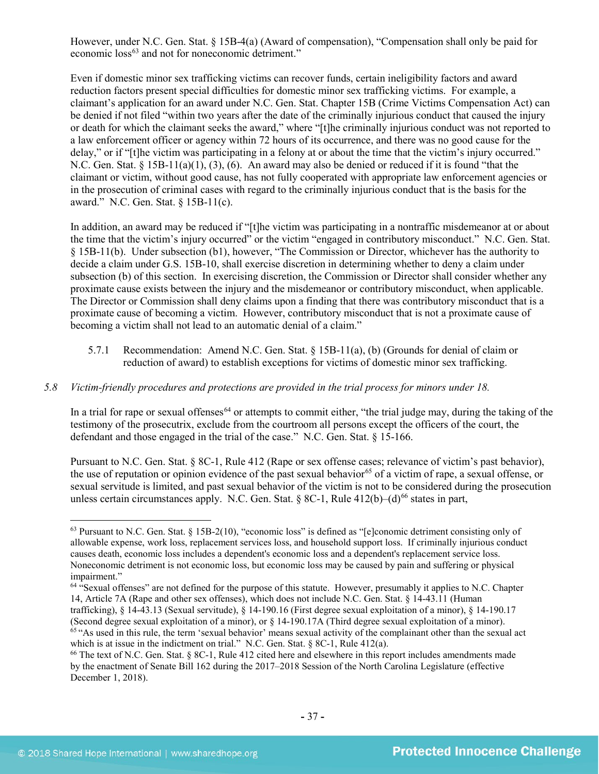However, under N.C. Gen. Stat. § 15B-4(a) (Award of compensation), "Compensation shall only be paid for economic loss<sup>[63](#page-36-0)</sup> and not for noneconomic detriment."

Even if domestic minor sex trafficking victims can recover funds, certain ineligibility factors and award reduction factors present special difficulties for domestic minor sex trafficking victims. For example, a claimant's application for an award under N.C. Gen. Stat. Chapter 15B (Crime Victims Compensation Act) can be denied if not filed "within two years after the date of the criminally injurious conduct that caused the injury or death for which the claimant seeks the award," where "[t]he criminally injurious conduct was not reported to a law enforcement officer or agency within 72 hours of its occurrence, and there was no good cause for the delay," or if "[t]he victim was participating in a felony at or about the time that the victim's injury occurred." N.C. Gen. Stat.  $\S 15B-11(a)(1)$ ,  $\S (3)$ ,  $\S (6)$ . An award may also be denied or reduced if it is found "that the claimant or victim, without good cause, has not fully cooperated with appropriate law enforcement agencies or in the prosecution of criminal cases with regard to the criminally injurious conduct that is the basis for the award." N.C. Gen. Stat. § 15B-11(c).

In addition, an award may be reduced if "[t]he victim was participating in a nontraffic misdemeanor at or about the time that the victim's injury occurred" or the victim "engaged in contributory misconduct." N.C. Gen. Stat. § 15B-11(b). Under subsection (b1), however, "The Commission or Director, whichever has the authority to decide a claim under G.S. 15B-10, shall exercise discretion in determining whether to deny a claim under subsection (b) of this section. In exercising discretion, the Commission or Director shall consider whether any proximate cause exists between the injury and the misdemeanor or contributory misconduct, when applicable. The Director or Commission shall deny claims upon a finding that there was contributory misconduct that is a proximate cause of becoming a victim. However, contributory misconduct that is not a proximate cause of becoming a victim shall not lead to an automatic denial of a claim."

5.7.1 Recommendation: Amend N.C. Gen. Stat. § 15B-11(a), (b) (Grounds for denial of claim or reduction of award) to establish exceptions for victims of domestic minor sex trafficking.

## *5.8 Victim-friendly procedures and protections are provided in the trial process for minors under 18.*

In a trial for rape or sexual offenses<sup>[64](#page-36-1)</sup> or attempts to commit either, "the trial judge may, during the taking of the testimony of the prosecutrix, exclude from the courtroom all persons except the officers of the court, the defendant and those engaged in the trial of the case." N.C. Gen. Stat. § 15-166.

Pursuant to N.C. Gen. Stat. § 8C-1, Rule 412 (Rape or sex offense cases; relevance of victim's past behavior), the use of reputation or opinion evidence of the past sexual behavior<sup>[65](#page-36-2)</sup> of a victim of rape, a sexual offense, or sexual servitude is limited, and past sexual behavior of the victim is not to be considered during the prosecution unless certain circumstances apply. N.C. Gen. Stat.  $88C-1$ , Rule  $412(b)-(d)^{66}$  $412(b)-(d)^{66}$  $412(b)-(d)^{66}$  states in part,

<span id="page-36-0"></span> $63$  Pursuant to N.C. Gen. Stat.  $\S 15B-2(10)$ , "economic loss" is defined as "[e]conomic detriment consisting only of allowable expense, work loss, replacement services loss, and household support loss. If criminally injurious conduct causes death, economic loss includes a dependent's economic loss and a dependent's replacement service loss. Noneconomic detriment is not economic loss, but economic loss may be caused by pain and suffering or physical impairment."

<span id="page-36-1"></span><sup>64</sup> "Sexual offenses" are not defined for the purpose of this statute. However, presumably it applies to N.C. Chapter 14, Article 7A (Rape and other sex offenses), which does not include N.C. Gen. Stat. § 14-43.11 (Human trafficking), § 14-43.13 (Sexual servitude), § 14-190.16 (First degree sexual exploitation of a minor), § 14-190.17 (Second degree sexual exploitation of a minor), or § 14-190.17A (Third degree sexual exploitation of a minor).

<span id="page-36-2"></span> $65$  "As used in this rule, the term 'sexual behavior' means sexual activity of the complainant other than the sexual act which is at issue in the indictment on trial." N.C. Gen. Stat. § 8C-1, Rule 412(a).

<span id="page-36-3"></span><sup>66</sup> The text of N.C. Gen. Stat. § 8C-1, Rule 412 cited here and elsewhere in this report includes amendments made by the enactment of Senate Bill 162 during the 2017–2018 Session of the North Carolina Legislature (effective December 1, 2018).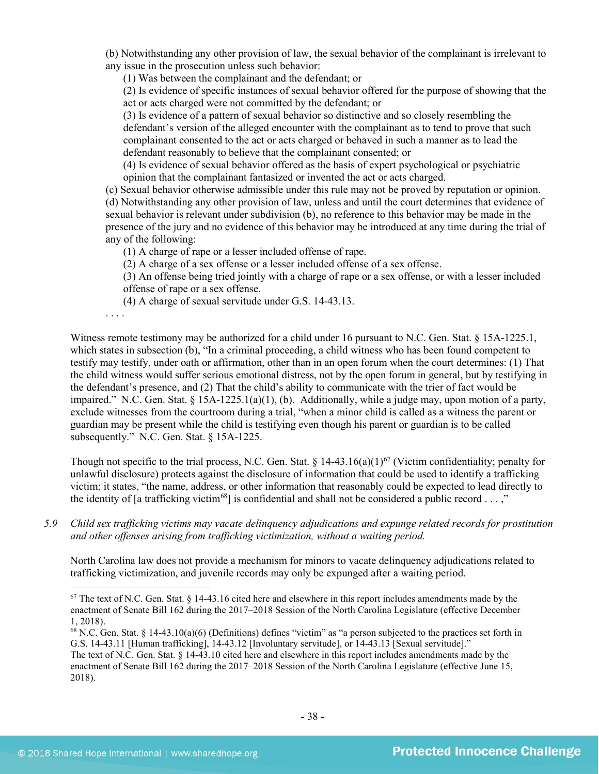(b) Notwithstanding any other provision of law, the sexual behavior of the complainant is irrelevant to any issue in the prosecution unless such behavior:

(1) Was between the complainant and the defendant; or

(2) Is evidence of specific instances of sexual behavior offered for the purpose of showing that the act or acts charged were not committed by the defendant; or

(3) Is evidence of a pattern of sexual behavior so distinctive and so closely resembling the defendant's version of the alleged encounter with the complainant as to tend to prove that such complainant consented to the act or acts charged or behaved in such a manner as to lead the defendant reasonably to believe that the complainant consented; or

(4) Is evidence of sexual behavior offered as the basis of expert psychological or psychiatric opinion that the complainant fantasized or invented the act or acts charged.

(c) Sexual behavior otherwise admissible under this rule may not be proved by reputation or opinion. (d) Notwithstanding any other provision of law, unless and until the court determines that evidence of sexual behavior is relevant under subdivision (b), no reference to this behavior may be made in the presence of the jury and no evidence of this behavior may be introduced at any time during the trial of any of the following:

(1) A charge of rape or a lesser included offense of rape.

(2) A charge of a sex offense or a lesser included offense of a sex offense.

(3) An offense being tried jointly with a charge of rape or a sex offense, or with a lesser included offense of rape or a sex offense.

(4) A charge of sexual servitude under G.S. 14-43.13.

. . . .

 $\overline{\phantom{a}}$ 

Witness remote testimony may be authorized for a child under 16 pursuant to N.C. Gen. Stat. § 15A-1225.1, which states in subsection (b), "In a criminal proceeding, a child witness who has been found competent to testify may testify, under oath or affirmation, other than in an open forum when the court determines: (1) That the child witness would suffer serious emotional distress, not by the open forum in general, but by testifying in the defendant's presence, and (2) That the child's ability to communicate with the trier of fact would be impaired." N.C. Gen. Stat. § 15A-1225.1(a)(1), (b). Additionally, while a judge may, upon motion of a party, exclude witnesses from the courtroom during a trial, "when a minor child is called as a witness the parent or guardian may be present while the child is testifying even though his parent or guardian is to be called subsequently." N.C. Gen. Stat. § 15A-1225.

Though not specific to the trial process, N.C. Gen. Stat. §  $14-43.16(a)(1)^{67}$  (Victim confidentiality; penalty for unlawful disclosure) protects against the disclosure of information that could be used to identify a trafficking victim; it states, "the name, address, or other information that reasonably could be expected to lead directly to the identity of [a trafficking victim<sup>68</sup>] is confidential and shall not be considered a public record . . . ,"

*5.9 Child sex trafficking victims may vacate delinquency adjudications and expunge related records for prostitution and other offenses arising from trafficking victimization, without a waiting period.*

North Carolina law does not provide a mechanism for minors to vacate delinquency adjudications related to trafficking victimization, and juvenile records may only be expunged after a waiting period.

The text of N.C. Gen. Stat. § 14-43.10 cited here and elsewhere in this report includes amendments made by the enactment of Senate Bill 162 during the 2017–2018 Session of the North Carolina Legislature (effective June 15, 2018).

<span id="page-37-0"></span> $67$  The text of N.C. Gen. Stat.  $8\,14-43.16$  cited here and elsewhere in this report includes amendments made by the enactment of Senate Bill 162 during the 2017–2018 Session of the North Carolina Legislature (effective December 1, 2018).

<span id="page-37-1"></span> $^{68}$  N.C. Gen. Stat. § 14-43.10(a)(6) (Definitions) defines "victim" as "a person subjected to the practices set forth in G.S. 14-43.11 [Human trafficking], 14-43.12 [Involuntary servitude], or 14-43.13 [Sexual servitude]."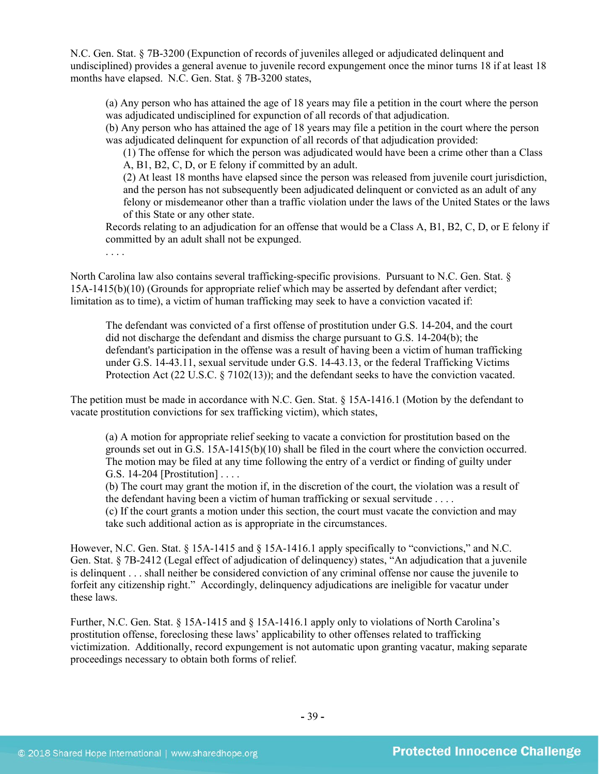N.C. Gen. Stat. § 7B-3200 (Expunction of records of juveniles alleged or adjudicated delinquent and undisciplined) provides a general avenue to juvenile record expungement once the minor turns 18 if at least 18 months have elapsed. N.C. Gen. Stat. § 7B-3200 states,

(a) Any person who has attained the age of 18 years may file a petition in the court where the person was adjudicated undisciplined for expunction of all records of that adjudication.

(b) Any person who has attained the age of 18 years may file a petition in the court where the person was adjudicated delinquent for expunction of all records of that adjudication provided:

(1) The offense for which the person was adjudicated would have been a crime other than a Class A, B1, B2, C, D, or E felony if committed by an adult.

(2) At least 18 months have elapsed since the person was released from juvenile court jurisdiction, and the person has not subsequently been adjudicated delinquent or convicted as an adult of any felony or misdemeanor other than a traffic violation under the laws of the United States or the laws of this State or any other state.

Records relating to an adjudication for an offense that would be a Class A, B1, B2, C, D, or E felony if committed by an adult shall not be expunged.

North Carolina law also contains several trafficking-specific provisions. Pursuant to N.C. Gen. Stat. § 15A-1415(b)(10) (Grounds for appropriate relief which may be asserted by defendant after verdict; limitation as to time), a victim of human trafficking may seek to have a conviction vacated if:

The defendant was convicted of a first offense of prostitution under G.S. 14-204, and the court did not discharge the defendant and dismiss the charge pursuant to G.S. 14-204(b); the defendant's participation in the offense was a result of having been a victim of human trafficking under G.S. 14-43.11, sexual servitude under G.S. 14-43.13, or the federal Trafficking Victims Protection Act (22 U.S.C. § 7102(13)); and the defendant seeks to have the conviction vacated.

The petition must be made in accordance with N.C. Gen. Stat. § 15A-1416.1 (Motion by the defendant to vacate prostitution convictions for sex trafficking victim), which states,

(a) A motion for appropriate relief seeking to vacate a conviction for prostitution based on the grounds set out in G.S. 15A-1415(b)(10) shall be filed in the court where the conviction occurred. The motion may be filed at any time following the entry of a verdict or finding of guilty under G.S. 14-204 [Prostitution] . . . .

(b) The court may grant the motion if, in the discretion of the court, the violation was a result of the defendant having been a victim of human trafficking or sexual servitude . . . .

(c) If the court grants a motion under this section, the court must vacate the conviction and may take such additional action as is appropriate in the circumstances.

However, N.C. Gen. Stat. § 15A-1415 and § 15A-1416.1 apply specifically to "convictions," and N.C. Gen. Stat. § 7B-2412 (Legal effect of adjudication of delinquency) states, "An adjudication that a juvenile is delinquent . . . shall neither be considered conviction of any criminal offense nor cause the juvenile to forfeit any citizenship right." Accordingly, delinquency adjudications are ineligible for vacatur under these laws.

Further, N.C. Gen. Stat. § 15A-1415 and § 15A-1416.1 apply only to violations of North Carolina's prostitution offense, foreclosing these laws' applicability to other offenses related to trafficking victimization. Additionally, record expungement is not automatic upon granting vacatur, making separate proceedings necessary to obtain both forms of relief.

. . . .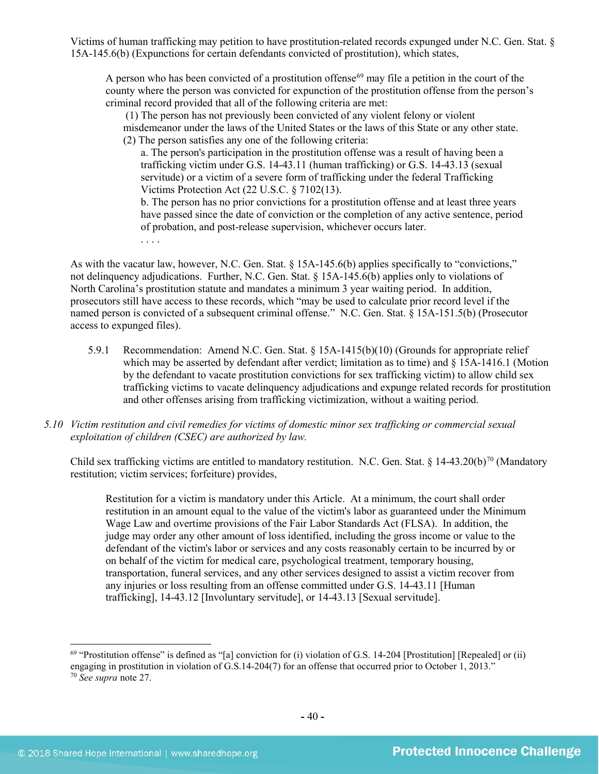Victims of human trafficking may petition to have prostitution-related records expunged under N.C. Gen. Stat. § 15A-145.6(b) (Expunctions for certain defendants convicted of prostitution), which states,

A person who has been convicted of a prostitution offense<sup>[69](#page-39-0)</sup> may file a petition in the court of the county where the person was convicted for expunction of the prostitution offense from the person's criminal record provided that all of the following criteria are met:

(1) The person has not previously been convicted of any violent felony or violent

misdemeanor under the laws of the United States or the laws of this State or any other state. (2) The person satisfies any one of the following criteria:

a. The person's participation in the prostitution offense was a result of having been a trafficking victim under G.S. 14-43.11 (human trafficking) or G.S. 14-43.13 (sexual servitude) or a victim of a severe form of trafficking under the federal Trafficking Victims Protection Act (22 U.S.C. § 7102(13).

b. The person has no prior convictions for a prostitution offense and at least three years have passed since the date of conviction or the completion of any active sentence, period of probation, and post-release supervision, whichever occurs later.

As with the vacatur law, however, N.C. Gen. Stat. § 15A-145.6(b) applies specifically to "convictions," not delinquency adjudications. Further, N.C. Gen. Stat. § 15A-145.6(b) applies only to violations of North Carolina's prostitution statute and mandates a minimum 3 year waiting period. In addition, prosecutors still have access to these records, which "may be used to calculate prior record level if the named person is convicted of a subsequent criminal offense." N.C. Gen. Stat. § 15A-151.5(b) (Prosecutor access to expunged files).

- 5.9.1 Recommendation: Amend N.C. Gen. Stat. § 15A-1415(b)(10) (Grounds for appropriate relief which may be asserted by defendant after verdict; limitation as to time) and § 15A-1416.1 (Motion by the defendant to vacate prostitution convictions for sex trafficking victim) to allow child sex trafficking victims to vacate delinquency adjudications and expunge related records for prostitution and other offenses arising from trafficking victimization, without a waiting period.
- *5.10 Victim restitution and civil remedies for victims of domestic minor sex trafficking or commercial sexual exploitation of children (CSEC) are authorized by law.*

Child sex trafficking victims are entitled to mandatory restitution. N.C. Gen. Stat. § 14-43.20(b)<sup>[70](#page-39-1)</sup> (Mandatory restitution; victim services; forfeiture) provides,

Restitution for a victim is mandatory under this Article. At a minimum, the court shall order restitution in an amount equal to the value of the victim's labor as guaranteed under the Minimum Wage Law and overtime provisions of the Fair Labor Standards Act (FLSA). In addition, the judge may order any other amount of loss identified, including the gross income or value to the defendant of the victim's labor or services and any costs reasonably certain to be incurred by or on behalf of the victim for medical care, psychological treatment, temporary housing, transportation, funeral services, and any other services designed to assist a victim recover from any injuries or loss resulting from an offense committed under G.S. 14-43.11 [Human trafficking], 14-43.12 [Involuntary servitude], or 14-43.13 [Sexual servitude].

<span id="page-39-1"></span><span id="page-39-0"></span> $^{69}$  "Prostitution offense" is defined as "[a] conviction for (i) violation of G.S. 14-204 [Prostitution] [Repealed] or (ii) engaging in prostitution in violation of G.S.14-204(7) for an offense that occurred prior to October 1, 2013." <sup>70</sup> *See supra* note [27.](#page-15-1)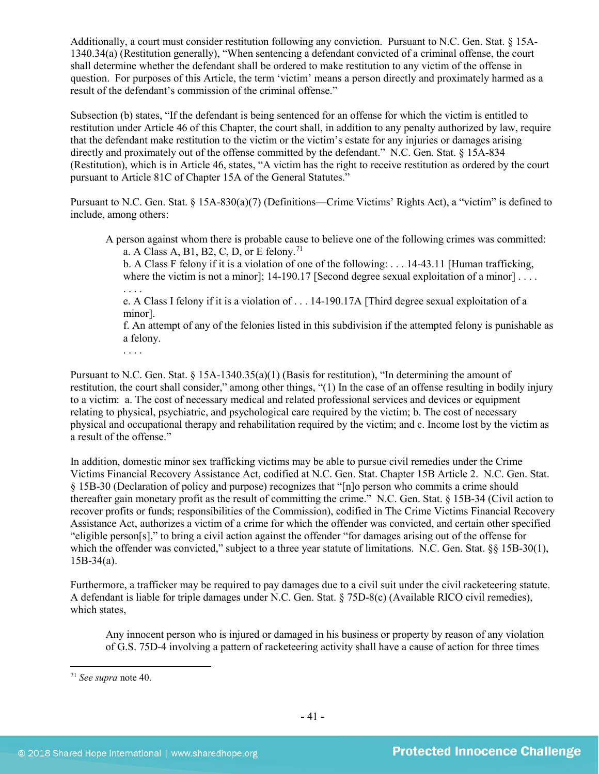Additionally, a court must consider restitution following any conviction. Pursuant to N.C. Gen. Stat. § 15A-1340.34(a) (Restitution generally), "When sentencing a defendant convicted of a criminal offense, the court shall determine whether the defendant shall be ordered to make restitution to any victim of the offense in question. For purposes of this Article, the term 'victim' means a person directly and proximately harmed as a result of the defendant's commission of the criminal offense."

Subsection (b) states, "If the defendant is being sentenced for an offense for which the victim is entitled to restitution under Article 46 of this Chapter, the court shall, in addition to any penalty authorized by law, require that the defendant make restitution to the victim or the victim's estate for any injuries or damages arising directly and proximately out of the offense committed by the defendant." N.C. Gen. Stat. § 15A-834 (Restitution), which is in Article 46, states, "A victim has the right to receive restitution as ordered by the court pursuant to Article 81C of Chapter 15A of the General Statutes."

Pursuant to N.C. Gen. Stat. § 15A-830(a)(7) (Definitions—Crime Victims' Rights Act), a "victim" is defined to include, among others:

A person against whom there is probable cause to believe one of the following crimes was committed: a. A Class A, B1, B2, C, D, or E felony.<sup>[71](#page-40-0)</sup>

b. A Class F felony if it is a violation of one of the following: . . . 14-43.11 [Human trafficking, where the victim is not a minor];  $14-190.17$  [Second degree sexual exploitation of a minor] ... . . . .

e. A Class I felony if it is a violation of . . . 14-190.17A [Third degree sexual exploitation of a minor].

f. An attempt of any of the felonies listed in this subdivision if the attempted felony is punishable as a felony.

. . . .

Pursuant to N.C. Gen. Stat. § 15A-1340.35(a)(1) (Basis for restitution), "In determining the amount of restitution, the court shall consider," among other things, "(1) In the case of an offense resulting in bodily injury to a victim: a. The cost of necessary medical and related professional services and devices or equipment relating to physical, psychiatric, and psychological care required by the victim; b. The cost of necessary physical and occupational therapy and rehabilitation required by the victim; and c. Income lost by the victim as a result of the offense."

In addition, domestic minor sex trafficking victims may be able to pursue civil remedies under the Crime Victims Financial Recovery Assistance Act, codified at N.C. Gen. Stat. Chapter 15B Article 2. N.C. Gen. Stat. § 15B-30 (Declaration of policy and purpose) recognizes that "[n]o person who commits a crime should thereafter gain monetary profit as the result of committing the crime." N.C. Gen. Stat. § 15B-34 (Civil action to recover profits or funds; responsibilities of the Commission), codified in The Crime Victims Financial Recovery Assistance Act, authorizes a victim of a crime for which the offender was convicted, and certain other specified "eligible person[s]," to bring a civil action against the offender "for damages arising out of the offense for which the offender was convicted," subject to a three year statute of limitations. N.C. Gen. Stat. §§ 15B-30(1), 15B-34(a).

Furthermore, a trafficker may be required to pay damages due to a civil suit under the civil racketeering statute. A defendant is liable for triple damages under N.C. Gen. Stat. § 75D-8(c) (Available RICO civil remedies), which states,

Any innocent person who is injured or damaged in his business or property by reason of any violation of G.S. 75D-4 involving a pattern of racketeering activity shall have a cause of action for three times

<span id="page-40-0"></span><sup>71</sup> *See supra* note [40.](#page-21-2)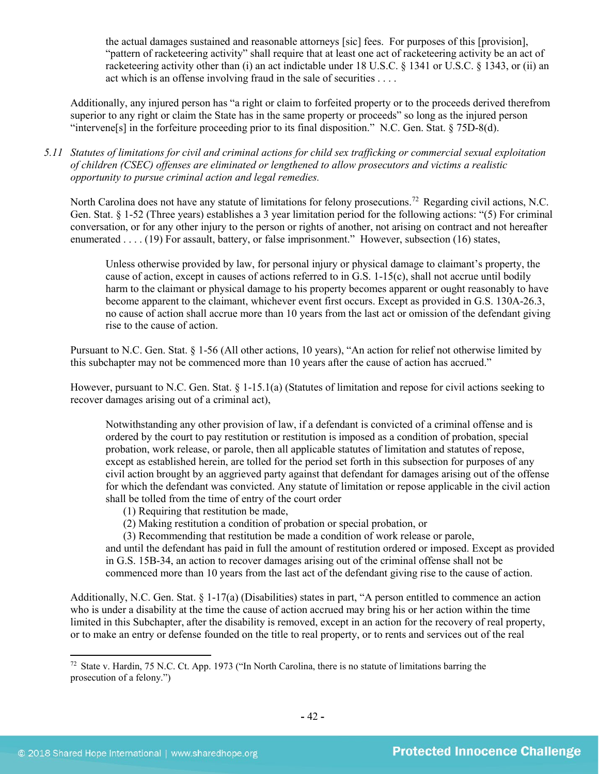the actual damages sustained and reasonable attorneys [sic] fees. For purposes of this [provision], "pattern of racketeering activity" shall require that at least one act of racketeering activity be an act of racketeering activity other than (i) an act indictable under 18 U.S.C. § 1341 or U.S.C. § 1343, or (ii) an act which is an offense involving fraud in the sale of securities . . . .

Additionally, any injured person has "a right or claim to forfeited property or to the proceeds derived therefrom superior to any right or claim the State has in the same property or proceeds" so long as the injured person "intervene[s] in the forfeiture proceeding prior to its final disposition." N.C. Gen. Stat. § 75D-8(d).

*5.11 Statutes of limitations for civil and criminal actions for child sex trafficking or commercial sexual exploitation of children (CSEC) offenses are eliminated or lengthened to allow prosecutors and victims a realistic opportunity to pursue criminal action and legal remedies.*

North Carolina does not have any statute of limitations for felony prosecutions.[72](#page-41-0) Regarding civil actions, N.C. Gen. Stat. § 1-52 (Three years) establishes a 3 year limitation period for the following actions: "(5) For criminal conversation, or for any other injury to the person or rights of another, not arising on contract and not hereafter enumerated . . . . (19) For assault, battery, or false imprisonment." However, subsection (16) states,

Unless otherwise provided by law, for personal injury or physical damage to claimant's property, the cause of action, except in causes of actions referred to in G.S.  $1-15(c)$ , shall not accrue until bodily harm to the claimant or physical damage to his property becomes apparent or ought reasonably to have become apparent to the claimant, whichever event first occurs. Except as provided in G.S. 130A-26.3, no cause of action shall accrue more than 10 years from the last act or omission of the defendant giving rise to the cause of action.

Pursuant to N.C. Gen. Stat. § 1-56 (All other actions, 10 years), "An action for relief not otherwise limited by this subchapter may not be commenced more than 10 years after the cause of action has accrued."

However, pursuant to N.C. Gen. Stat. § 1-15.1(a) (Statutes of limitation and repose for civil actions seeking to recover damages arising out of a criminal act),

Notwithstanding any other provision of law, if a defendant is convicted of a criminal offense and is ordered by the court to pay restitution or restitution is imposed as a condition of probation, special probation, work release, or parole, then all applicable statutes of limitation and statutes of repose, except as established herein, are tolled for the period set forth in this subsection for purposes of any civil action brought by an aggrieved party against that defendant for damages arising out of the offense for which the defendant was convicted. Any statute of limitation or repose applicable in the civil action shall be tolled from the time of entry of the court order

- (1) Requiring that restitution be made,
- (2) Making restitution a condition of probation or special probation, or

(3) Recommending that restitution be made a condition of work release or parole,

and until the defendant has paid in full the amount of restitution ordered or imposed. Except as provided in G.S. 15B-34, an action to recover damages arising out of the criminal offense shall not be commenced more than 10 years from the last act of the defendant giving rise to the cause of action.

Additionally, N.C. Gen. Stat. § 1-17(a) (Disabilities) states in part, "A person entitled to commence an action who is under a disability at the time the cause of action accrued may bring his or her action within the time limited in this Subchapter, after the disability is removed, except in an action for the recovery of real property, or to make an entry or defense founded on the title to real property, or to rents and services out of the real

<span id="page-41-0"></span><sup>72</sup> State v. Hardin, 75 N.C. Ct. App. 1973 ("In North Carolina, there is no statute of limitations barring the prosecution of a felony.")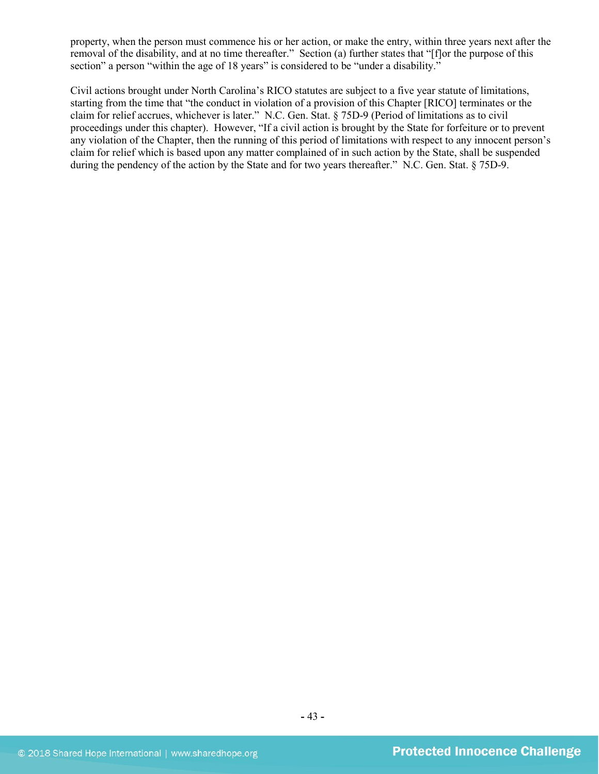property, when the person must commence his or her action, or make the entry, within three years next after the removal of the disability, and at no time thereafter." Section (a) further states that "[f]or the purpose of this section" a person "within the age of 18 years" is considered to be "under a disability."

Civil actions brought under North Carolina's RICO statutes are subject to a five year statute of limitations, starting from the time that "the conduct in violation of a provision of this Chapter [RICO] terminates or the claim for relief accrues, whichever is later." N.C. Gen. Stat. § 75D-9 (Period of limitations as to civil proceedings under this chapter). However, "If a civil action is brought by the State for forfeiture or to prevent any violation of the Chapter, then the running of this period of limitations with respect to any innocent person's claim for relief which is based upon any matter complained of in such action by the State, shall be suspended during the pendency of the action by the State and for two years thereafter." N.C. Gen. Stat. § 75D-9.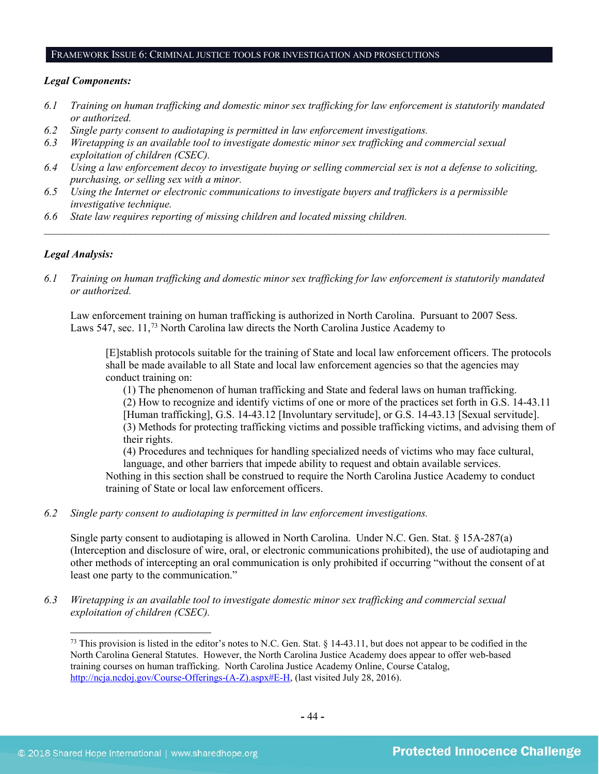#### FRAMEWORK ISSUE 6: CRIMINAL JUSTICE TOOLS FOR INVESTIGATION AND PROSECUTIONS

#### *Legal Components:*

- *6.1 Training on human trafficking and domestic minor sex trafficking for law enforcement is statutorily mandated or authorized.*
- *6.2 Single party consent to audiotaping is permitted in law enforcement investigations.*
- *6.3 Wiretapping is an available tool to investigate domestic minor sex trafficking and commercial sexual exploitation of children (CSEC).*
- *6.4 Using a law enforcement decoy to investigate buying or selling commercial sex is not a defense to soliciting, purchasing, or selling sex with a minor.*
- *6.5 Using the Internet or electronic communications to investigate buyers and traffickers is a permissible investigative technique.*
- *6.6 State law requires reporting of missing children and located missing children.*

## *Legal Analysis:*

l

*6.1 Training on human trafficking and domestic minor sex trafficking for law enforcement is statutorily mandated or authorized.*

*\_\_\_\_\_\_\_\_\_\_\_\_\_\_\_\_\_\_\_\_\_\_\_\_\_\_\_\_\_\_\_\_\_\_\_\_\_\_\_\_\_\_\_\_\_\_\_\_\_\_\_\_\_\_\_\_\_\_\_\_\_\_\_\_\_\_\_\_\_\_\_\_\_\_\_\_\_\_\_\_\_\_\_\_\_\_\_\_\_\_\_\_\_\_*

Law enforcement training on human trafficking is authorized in North Carolina. Pursuant to 2007 Sess. Laws 547, sec. 11,[73](#page-43-0) North Carolina law directs the North Carolina Justice Academy to

[E]stablish protocols suitable for the training of State and local law enforcement officers. The protocols shall be made available to all State and local law enforcement agencies so that the agencies may conduct training on:

(1) The phenomenon of human trafficking and State and federal laws on human trafficking. (2) How to recognize and identify victims of one or more of the practices set forth in G.S. 14-43.11 [Human trafficking], G.S. 14-43.12 [Involuntary servitude], or G.S. 14-43.13 [Sexual servitude]. (3) Methods for protecting trafficking victims and possible trafficking victims, and advising them of their rights.

(4) Procedures and techniques for handling specialized needs of victims who may face cultural, language, and other barriers that impede ability to request and obtain available services.

Nothing in this section shall be construed to require the North Carolina Justice Academy to conduct training of State or local law enforcement officers.

*6.2 Single party consent to audiotaping is permitted in law enforcement investigations.*

Single party consent to audiotaping is allowed in North Carolina. Under N.C. Gen. Stat. § 15A-287(a) (Interception and disclosure of wire, oral, or electronic communications prohibited), the use of audiotaping and other methods of intercepting an oral communication is only prohibited if occurring "without the consent of at least one party to the communication."

<span id="page-43-0"></span>*6.3 Wiretapping is an available tool to investigate domestic minor sex trafficking and commercial sexual exploitation of children (CSEC).* 

 $^{73}$  This provision is listed in the editor's notes to N.C. Gen. Stat. § 14-43.11, but does not appear to be codified in the North Carolina General Statutes. However, the North Carolina Justice Academy does appear to offer web-based training courses on human trafficking. North Carolina Justice Academy Online, Course Catalog, [http://ncja.ncdoj.gov/Course-Offerings-\(A-Z\).aspx#E-H,](http://ncja.ncdoj.gov/Course-Offerings-(A-Z).aspx#E-H) (last visited July 28, 2016).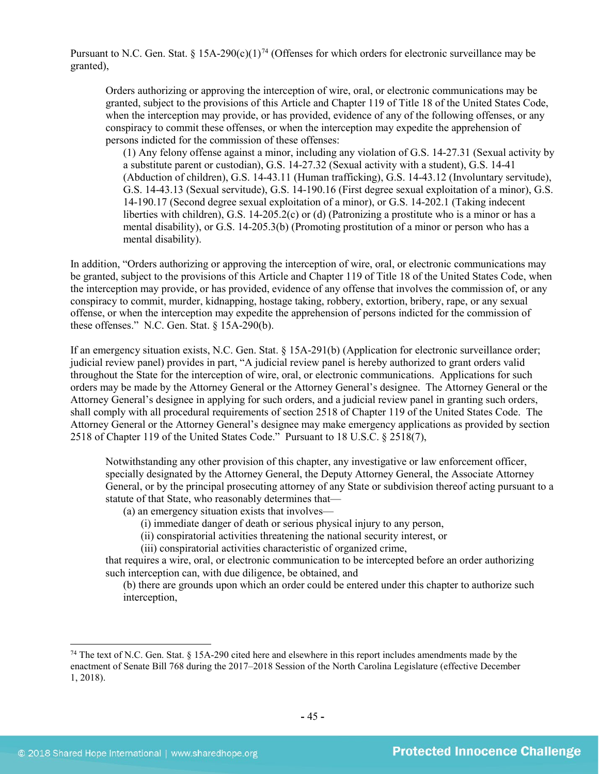Pursuant to N.C. Gen. Stat. § 15A-290(c)(1)<sup>[74](#page-44-0)</sup> (Offenses for which orders for electronic surveillance may be granted),

Orders authorizing or approving the interception of wire, oral, or electronic communications may be granted, subject to the provisions of this Article and Chapter 119 of Title 18 of the United States Code, when the interception may provide, or has provided, evidence of any of the following offenses, or any conspiracy to commit these offenses, or when the interception may expedite the apprehension of persons indicted for the commission of these offenses:

(1) Any felony offense against a minor, including any violation of G.S. 14-27.31 (Sexual activity by a substitute parent or custodian), G.S. 14-27.32 (Sexual activity with a student), G.S. 14-41 (Abduction of children), G.S. 14-43.11 (Human trafficking), G.S. 14-43.12 (Involuntary servitude), G.S. 14-43.13 (Sexual servitude), G.S. 14-190.16 (First degree sexual exploitation of a minor), G.S. 14-190.17 (Second degree sexual exploitation of a minor), or G.S. 14-202.1 (Taking indecent liberties with children), G.S. 14-205.2(c) or (d) (Patronizing a prostitute who is a minor or has a mental disability), or G.S. 14-205.3(b) (Promoting prostitution of a minor or person who has a mental disability).

In addition, "Orders authorizing or approving the interception of wire, oral, or electronic communications may be granted, subject to the provisions of this Article and Chapter 119 of Title 18 of the United States Code, when the interception may provide, or has provided, evidence of any offense that involves the commission of, or any conspiracy to commit, murder, kidnapping, hostage taking, robbery, extortion, bribery, rape, or any sexual offense, or when the interception may expedite the apprehension of persons indicted for the commission of these offenses." N.C. Gen. Stat. § 15A-290(b).

If an emergency situation exists, N.C. Gen. Stat. § 15A-291(b) (Application for electronic surveillance order; judicial review panel) provides in part, "A judicial review panel is hereby authorized to grant orders valid throughout the State for the interception of wire, oral, or electronic communications. Applications for such orders may be made by the Attorney General or the Attorney General's designee. The Attorney General or the Attorney General's designee in applying for such orders, and a judicial review panel in granting such orders, shall comply with all procedural requirements of section 2518 of Chapter 119 of the United States Code. The Attorney General or the Attorney General's designee may make emergency applications as provided by section 2518 of Chapter 119 of the United States Code." Pursuant to 18 U.S.C. § 2518(7),

Notwithstanding any other provision of this chapter, any investigative or law enforcement officer, specially designated by the Attorney General, the Deputy Attorney General, the Associate Attorney General, or by the principal prosecuting attorney of any State or subdivision thereof acting pursuant to a statute of that State, who reasonably determines that—

- (a) an emergency situation exists that involves—
	- (i) immediate danger of death or serious physical injury to any person,
	- (ii) conspiratorial activities threatening the national security interest, or
	- (iii) conspiratorial activities characteristic of organized crime,

that requires a wire, oral, or electronic communication to be intercepted before an order authorizing such interception can, with due diligence, be obtained, and

(b) there are grounds upon which an order could be entered under this chapter to authorize such interception,

<span id="page-44-0"></span><sup>74</sup> The text of N.C. Gen. Stat. § 15A-290 cited here and elsewhere in this report includes amendments made by the enactment of Senate Bill 768 during the 2017–2018 Session of the North Carolina Legislature (effective December 1, 2018).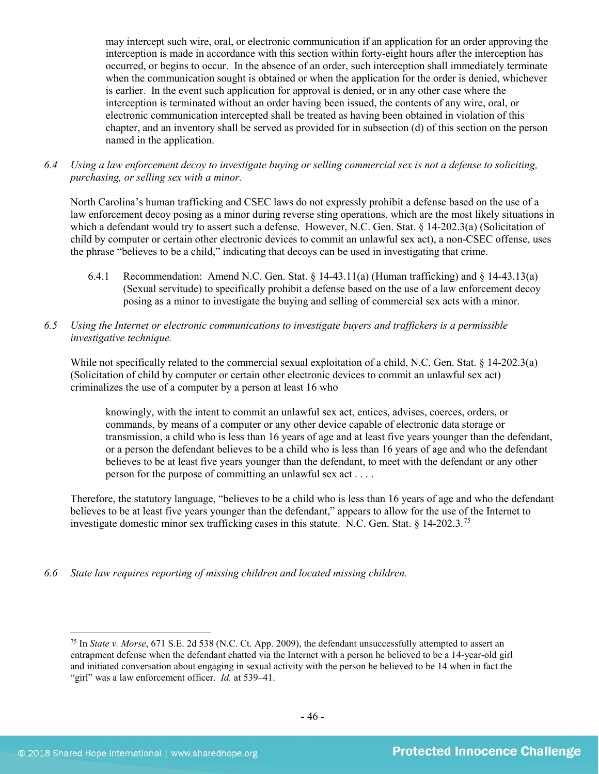may intercept such wire, oral, or electronic communication if an application for an order approving the interception is made in accordance with this section within forty-eight hours after the interception has occurred, or begins to occur. In the absence of an order, such interception shall immediately terminate when the communication sought is obtained or when the application for the order is denied, whichever is earlier. In the event such application for approval is denied, or in any other case where the interception is terminated without an order having been issued, the contents of any wire, oral, or electronic communication intercepted shall be treated as having been obtained in violation of this chapter, and an inventory shall be served as provided for in subsection (d) of this section on the person named in the application.

*6.4 Using a law enforcement decoy to investigate buying or selling commercial sex is not a defense to soliciting, purchasing, or selling sex with a minor.*

North Carolina's human trafficking and CSEC laws do not expressly prohibit a defense based on the use of a law enforcement decoy posing as a minor during reverse sting operations, which are the most likely situations in which a defendant would try to assert such a defense. However, N.C. Gen. Stat. § 14-202.3(a) (Solicitation of child by computer or certain other electronic devices to commit an unlawful sex act), a non-CSEC offense, uses the phrase "believes to be a child," indicating that decoys can be used in investigating that crime.

- 6.4.1 Recommendation: Amend N.C. Gen. Stat. § 14-43.11(a) (Human trafficking) and § 14-43.13(a) (Sexual servitude) to specifically prohibit a defense based on the use of a law enforcement decoy posing as a minor to investigate the buying and selling of commercial sex acts with a minor.
- *6.5 Using the Internet or electronic communications to investigate buyers and traffickers is a permissible investigative technique.*

While not specifically related to the commercial sexual exploitation of a child, N.C. Gen. Stat. § 14-202.3(a) (Solicitation of child by computer or certain other electronic devices to commit an unlawful sex act) criminalizes the use of a computer by a person at least 16 who

knowingly, with the intent to commit an unlawful sex act, entices, advises, coerces, orders, or commands, by means of a computer or any other device capable of electronic data storage or transmission, a child who is less than 16 years of age and at least five years younger than the defendant, or a person the defendant believes to be a child who is less than 16 years of age and who the defendant believes to be at least five years younger than the defendant, to meet with the defendant or any other person for the purpose of committing an unlawful sex act . . . .

Therefore, the statutory language, "believes to be a child who is less than 16 years of age and who the defendant believes to be at least five years younger than the defendant," appears to allow for the use of the Internet to investigate domestic minor sex trafficking cases in this statute. N.C. Gen. Stat. § 14-202.3.[75](#page-45-0)

*6.6 State law requires reporting of missing children and located missing children.*

<span id="page-45-0"></span><sup>75</sup> In *State v. Morse*, 671 S.E. 2d 538 (N.C. Ct. App. 2009), the defendant unsuccessfully attempted to assert an entrapment defense when the defendant chatted via the Internet with a person he believed to be a 14-year-old girl and initiated conversation about engaging in sexual activity with the person he believed to be 14 when in fact the "girl" was a law enforcement officer. *Id.* at 539-41.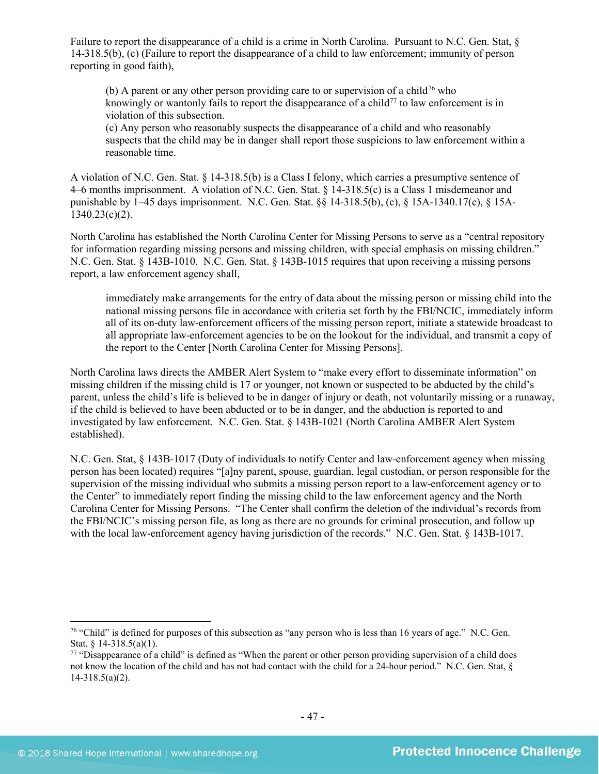Failure to report the disappearance of a child is a crime in North Carolina. Pursuant to N.C. Gen. Stat, § 14-318.5(b), (c) (Failure to report the disappearance of a child to law enforcement; immunity of person reporting in good faith),

(b) A parent or any other person providing care to or supervision of a child<sup>[76](#page-46-0)</sup> who knowingly or wantonly fails to report the disappearance of a child<sup>[77](#page-46-1)</sup> to law enforcement is in violation of this subsection.

(c) Any person who reasonably suspects the disappearance of a child and who reasonably suspects that the child may be in danger shall report those suspicions to law enforcement within a reasonable time.

A violation of N.C. Gen. Stat. § 14-318.5(b) is a Class I felony, which carries a presumptive sentence of 4–6 months imprisonment. A violation of N.C. Gen. Stat. § 14-318.5(c) is a Class 1 misdemeanor and punishable by 1–45 days imprisonment. N.C. Gen. Stat. §§ 14-318.5(b), (c), § 15A-1340.17(c), § 15A- $1340.23(c)(2)$ .

North Carolina has established the North Carolina Center for Missing Persons to serve as a "central repository for information regarding missing persons and missing children, with special emphasis on missing children." N.C. Gen. Stat. § 143B-1010. N.C. Gen. Stat. § 143B-1015 requires that upon receiving a missing persons report, a law enforcement agency shall,

immediately make arrangements for the entry of data about the missing person or missing child into the national missing persons file in accordance with criteria set forth by the FBI/NCIC, immediately inform all of its on-duty law-enforcement officers of the missing person report, initiate a statewide broadcast to all appropriate law-enforcement agencies to be on the lookout for the individual, and transmit a copy of the report to the Center [North Carolina Center for Missing Persons].

North Carolina laws directs the AMBER Alert System to "make every effort to disseminate information" on missing children if the missing child is 17 or younger, not known or suspected to be abducted by the child's parent, unless the child's life is believed to be in danger of injury or death, not voluntarily missing or a runaway, if the child is believed to have been abducted or to be in danger, and the abduction is reported to and investigated by law enforcement. N.C. Gen. Stat. § 143B-1021 (North Carolina AMBER Alert System established).

N.C. Gen. Stat, § 143B-1017 (Duty of individuals to notify Center and law-enforcement agency when missing person has been located) requires "[a]ny parent, spouse, guardian, legal custodian, or person responsible for the supervision of the missing individual who submits a missing person report to a law-enforcement agency or to the Center" to immediately report finding the missing child to the law enforcement agency and the North Carolina Center for Missing Persons. "The Center shall confirm the deletion of the individual's records from the FBI/NCIC's missing person file, as long as there are no grounds for criminal prosecution, and follow up with the local law-enforcement agency having jurisdiction of the records." N.C. Gen. Stat. § 143B-1017.

<span id="page-46-0"></span><sup>&</sup>lt;sup>76</sup> "Child" is defined for purposes of this subsection as "any person who is less than 16 years of age." N.C. Gen. Stat, § 14-318.5(a)(1).

<span id="page-46-1"></span> $77$  "Disappearance of a child" is defined as "When the parent or other person providing supervision of a child does not know the location of the child and has not had contact with the child for a 24-hour period." N.C. Gen. Stat, § 14-318.5(a)(2).